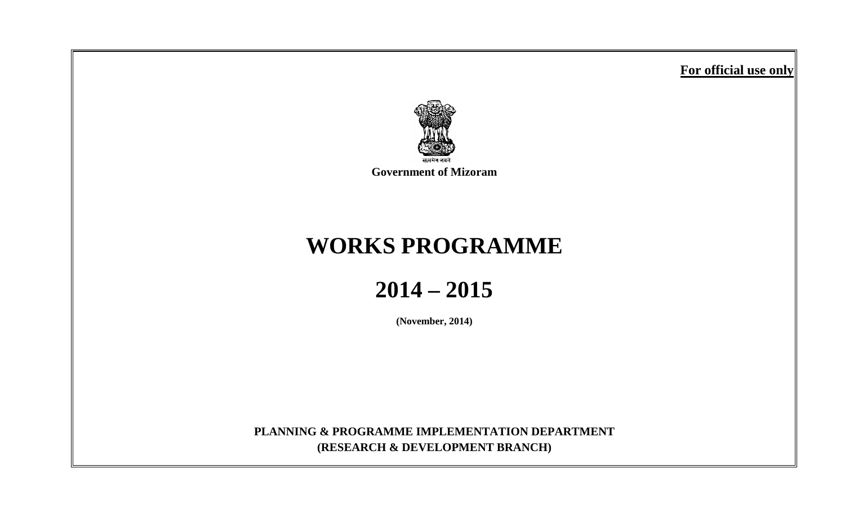**For official use only**



**Government of Mizoram**

# **WORKS PROGRAMME**

**2014 – 2015**

**(November, 2014)**

**PLANNING & PROGRAMME IMPLEMENTATION DEPARTMENT (RESEARCH & DEVELOPMENT BRANCH)**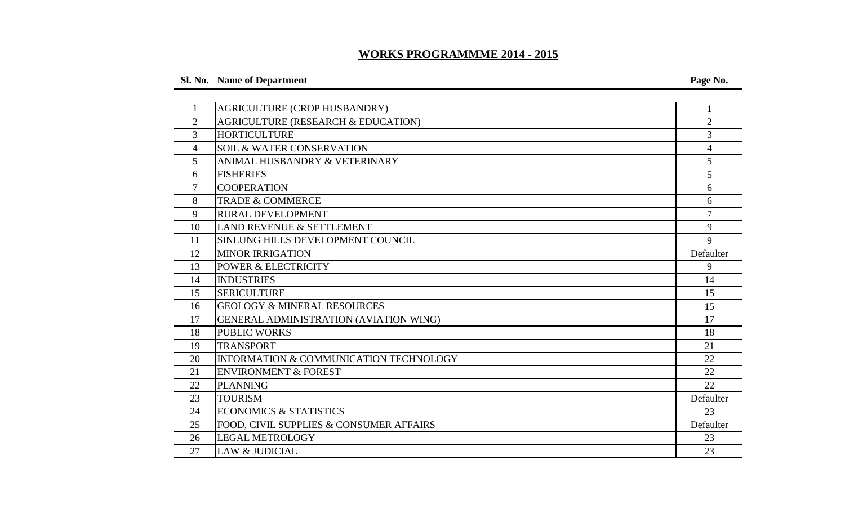# **WORKS PROGRAMMME 2014 - 2015**

# **Sl. No. Name of Department Page No.**

| $\mathbf{1}$   | AGRICULTURE (CROP HUSBANDRY)            | 1              |
|----------------|-----------------------------------------|----------------|
| $\overline{2}$ | AGRICULTURE (RESEARCH & EDUCATION)      | $\overline{2}$ |
| 3              | <b>HORTICULTURE</b>                     | $\overline{3}$ |
| 4              | <b>SOIL &amp; WATER CONSERVATION</b>    | $\overline{4}$ |
| 5              | ANIMAL HUSBANDRY & VETERINARY           | 5              |
| 6              | <b>FISHERIES</b>                        | 5              |
| 7              | <b>COOPERATION</b>                      | 6              |
| 8              | <b>TRADE &amp; COMMERCE</b>             | 6              |
| 9              | <b>RURAL DEVELOPMENT</b>                | $\overline{7}$ |
| 10             | LAND REVENUE & SETTLEMENT               | 9              |
| 11             | SINLUNG HILLS DEVELOPMENT COUNCIL       | 9              |
| 12             | <b>MINOR IRRIGATION</b>                 | Defaulter      |
| 13             | <b>POWER &amp; ELECTRICITY</b>          | 9              |
| 14             | <b>INDUSTRIES</b>                       | 14             |
| 15             | <b>SERICULTURE</b>                      | 15             |
| 16             | <b>GEOLOGY &amp; MINERAL RESOURCES</b>  | 15             |
| 17             | GENERAL ADMINISTRATION (AVIATION WING)  | 17             |
| 18             | <b>PUBLIC WORKS</b>                     | 18             |
| 19             | <b>TRANSPORT</b>                        | 21             |
| 20             | INFORMATION & COMMUNICATION TECHNOLOGY  | 22             |
| 21             | <b>ENVIRONMENT &amp; FOREST</b>         | 22             |
| 22             | <b>PLANNING</b>                         | 22             |
| 23             | <b>TOURISM</b>                          | Defaulter      |
| 24             | <b>ECONOMICS &amp; STATISTICS</b>       | 23             |
| 25             | FOOD, CIVIL SUPPLIES & CONSUMER AFFAIRS | Defaulter      |
| 26             | <b>LEGAL METROLOGY</b>                  | 23             |
| 27             | <b>LAW &amp; JUDICIAL</b>               | 23             |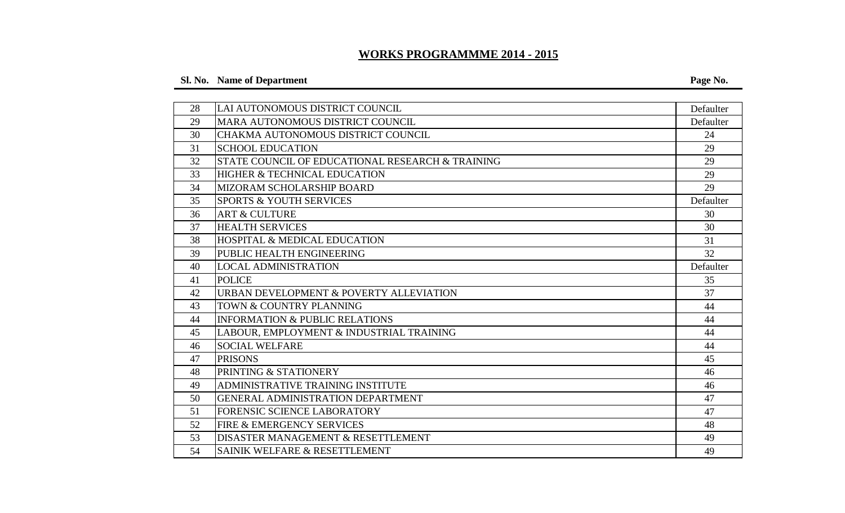# **WORKS PROGRAMMME 2014 - 2015**

# **Sl. No. Name of Department Page No.**

| 28 | LAI AUTONOMOUS DISTRICT COUNCIL                  | Defaulter |
|----|--------------------------------------------------|-----------|
| 29 | MARA AUTONOMOUS DISTRICT COUNCIL                 | Defaulter |
| 30 | CHAKMA AUTONOMOUS DISTRICT COUNCIL               | 24        |
| 31 | <b>SCHOOL EDUCATION</b>                          | 29        |
| 32 | STATE COUNCIL OF EDUCATIONAL RESEARCH & TRAINING | 29        |
| 33 | <b>HIGHER &amp; TECHNICAL EDUCATION</b>          | 29        |
| 34 | MIZORAM SCHOLARSHIP BOARD                        | 29        |
| 35 | <b>SPORTS &amp; YOUTH SERVICES</b>               | Defaulter |
| 36 | <b>ART &amp; CULTURE</b>                         | 30        |
| 37 | <b>HEALTH SERVICES</b>                           | 30        |
| 38 | <b>HOSPITAL &amp; MEDICAL EDUCATION</b>          | 31        |
| 39 | PUBLIC HEALTH ENGINEERING                        | 32        |
| 40 | <b>LOCAL ADMINISTRATION</b>                      | Defaulter |
| 41 | <b>POLICE</b>                                    | 35        |
| 42 | URBAN DEVELOPMENT & POVERTY ALLEVIATION          | 37        |
| 43 | TOWN & COUNTRY PLANNING                          | 44        |
| 44 | <b>INFORMATION &amp; PUBLIC RELATIONS</b>        | 44        |
| 45 | LABOUR, EMPLOYMENT & INDUSTRIAL TRAINING         | 44        |
| 46 | <b>SOCIAL WELFARE</b>                            | 44        |
| 47 | <b>PRISONS</b>                                   | 45        |
| 48 | PRINTING & STATIONERY                            | 46        |
| 49 | ADMINISTRATIVE TRAINING INSTITUTE                | 46        |
| 50 | GENERAL ADMINISTRATION DEPARTMENT                | 47        |
| 51 | <b>FORENSIC SCIENCE LABORATORY</b>               | 47        |
| 52 | <b>FIRE &amp; EMERGENCY SERVICES</b>             | 48        |
| 53 | DISASTER MANAGEMENT & RESETTLEMENT               | 49        |
| 54 | SAINIK WELFARE & RESETTLEMENT                    | 49        |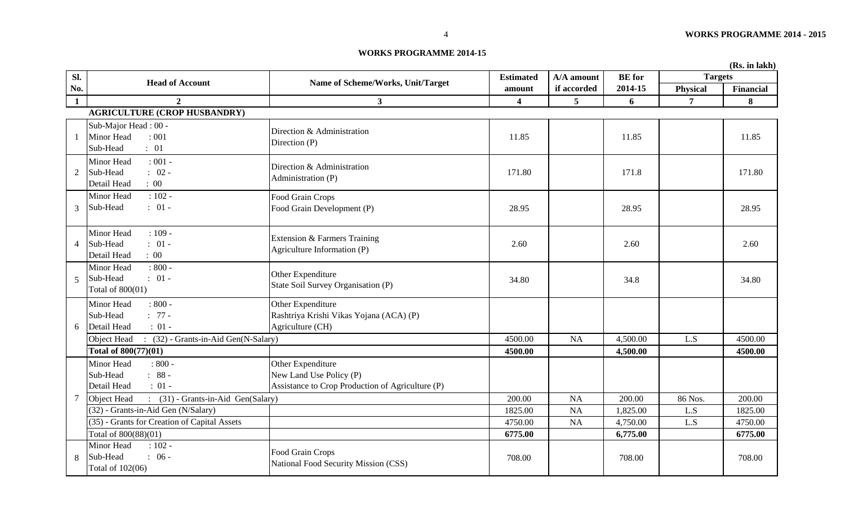#### **WORKS PROGRAMME 2014-15**

|                |                                                                               |                                                                                                  |                  |              |               |                | (Rs. in lakh) |
|----------------|-------------------------------------------------------------------------------|--------------------------------------------------------------------------------------------------|------------------|--------------|---------------|----------------|---------------|
| Sl.            | <b>Head of Account</b>                                                        | Name of Scheme/Works, Unit/Target                                                                | <b>Estimated</b> | $A/A$ amount | <b>BE</b> for | <b>Targets</b> |               |
| No.            |                                                                               |                                                                                                  | amount           | if accorded  | 2014-15       | Physical       | Financial     |
| $\mathbf{1}$   | $\overline{2}$                                                                | 3 <sup>1</sup>                                                                                   | 4                | 5            | 6             | $\overline{7}$ | 8             |
|                | <b>AGRICULTURE (CROP HUSBANDRY)</b>                                           |                                                                                                  |                  |              |               |                |               |
|                | Sub-Major Head: 00 -<br><b>Minor Head</b><br>: 001<br>: 01<br>Sub-Head        | Direction & Administration<br>Direction (P)                                                      | 11.85            |              | 11.85         |                | 11.85         |
| $\overline{2}$ | $: 001 -$<br>Minor Head<br>$: 02 -$<br>Sub-Head<br>Detail Head<br>$\colon 00$ | Direction & Administration<br>Administration (P)                                                 | 171.80           |              | 171.8         |                | 171.80        |
| $\mathfrak{Z}$ | $: 102 -$<br>Minor Head<br>$: 01 -$<br>Sub-Head                               | Food Grain Crops<br>Food Grain Development (P)                                                   | 28.95            |              | 28.95         |                | 28.95         |
| $\overline{4}$ | $: 109 -$<br>Minor Head<br>Sub-Head<br>$: 01 -$<br>$\colon 00$<br>Detail Head | Extension & Farmers Training<br>Agriculture Information (P)                                      | 2.60             |              | 2.60          |                | 2.60          |
| $\overline{5}$ | $: 800 -$<br>Minor Head<br>$: 01 -$<br>Sub-Head<br>Total of 800(01)           | Other Expenditure<br>State Soil Survey Organisation (P)                                          | 34.80            |              | 34.8          |                | 34.80         |
| 6              | $: 800 -$<br>Minor Head<br>Sub-Head<br>$: 77 -$<br>$: 01 -$<br>Detail Head    | Other Expenditure<br>Rashtriya Krishi Vikas Yojana (ACA) (P)<br>Agriculture (CH)                 |                  |              |               |                |               |
|                | Object Head<br>$\therefore$ (32) - Grants-in-Aid Gen(N-Salary)                |                                                                                                  | 4500.00          | <b>NA</b>    | 4,500.00      | L.S            | 4500.00       |
|                | Total of 800(77)(01)                                                          |                                                                                                  | 4500.00          |              | 4,500.00      |                | 4500.00       |
|                | Minor Head<br>$: 800 -$<br>$: 88 -$<br>Sub-Head<br>$: 01 -$<br>Detail Head    | Other Expenditure<br>New Land Use Policy (P)<br>Assistance to Crop Production of Agriculture (P) |                  |              |               |                |               |
| 7              | : (31) - Grants-in-Aid Gen(Salary)<br>Object Head                             |                                                                                                  | 200.00           | <b>NA</b>    | 200.00        | 86 Nos.        | 200.00        |
|                | (32) - Grants-in-Aid Gen (N/Salary)                                           |                                                                                                  | 1825.00          | <b>NA</b>    | 1,825.00      | L.S            | 1825.00       |
|                | (35) - Grants for Creation of Capital Assets                                  |                                                                                                  | 4750.00          | <b>NA</b>    | 4,750.00      | L.S            | 4750.00       |
|                | Total of 800(88)(01)                                                          |                                                                                                  | 6775.00          |              | 6,775.00      |                | 6775.00       |
| 8              | Minor Head<br>$: 102 -$<br>$: 06 -$<br>Sub-Head<br>Total of 102(06)           | Food Grain Crops<br>National Food Security Mission (CSS)                                         | 708.00           |              | 708.00        |                | 708.00        |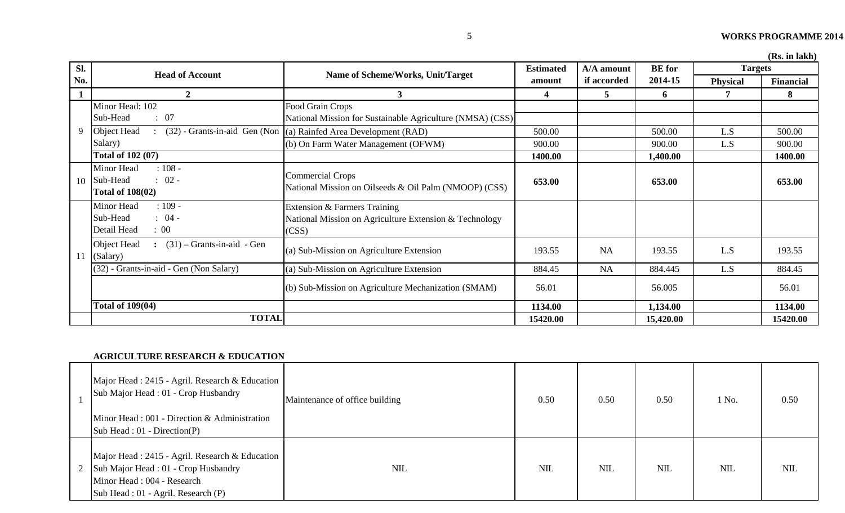**(Rs. in lakh)**

| SI. | <b>Head of Account</b>                                                            | Name of Scheme/Works, Unit/Target                                                               | <b>Estimated</b> | A/A amount  | <b>BE</b> for | <b>Targets</b>  | ANS. III IANII |
|-----|-----------------------------------------------------------------------------------|-------------------------------------------------------------------------------------------------|------------------|-------------|---------------|-----------------|----------------|
| No. |                                                                                   |                                                                                                 | amount           | if accorded | 2014-15       | <b>Physical</b> | Financial      |
|     | $\overline{2}$                                                                    | 3 <sup>1</sup>                                                                                  | $\boldsymbol{4}$ | 5           | 6             |                 | 8              |
|     | Minor Head: 102<br>: 07<br>Sub-Head                                               | Food Grain Crops<br>National Mission for Sustainable Agriculture (NMSA) (CSS)                   |                  |             |               |                 |                |
| 9   | Object Head                                                                       | (32) - Grants-in-aid Gen (Non  (a) Rainfed Area Development (RAD)                               | 500.00           |             | 500.00        | L.S             | 500.00         |
|     | Salary)                                                                           | (b) On Farm Water Management (OFWM)                                                             | 900.00           |             | 900.00        | L.S             | 900.00         |
|     | Total of 102 (07)                                                                 |                                                                                                 | 1400.00          |             | 1,400.00      |                 | 1400.00        |
| 10  | Minor Head<br>$: 108 -$<br>$: 02 -$<br>Sub-Head<br><b>Total of 108(02)</b>        | <b>Commercial Crops</b><br>National Mission on Oilseeds & Oil Palm (NMOOP) (CSS)                | 653.00           |             | 653.00        |                 | 653.00         |
|     | Minor Head<br>$: 109 -$<br>Sub-Head<br>$: 04 -$<br>Detail Head<br>$\therefore 00$ | Extension & Farmers Training<br>National Mission on Agriculture Extension & Technology<br>(CSS) |                  |             |               |                 |                |
| 11  | Object Head<br>$\colon$ (31) – Grants-in-aid - Gen<br>(Salary)                    | (a) Sub-Mission on Agriculture Extension                                                        | 193.55           | <b>NA</b>   | 193.55        | L.S             | 193.55         |
|     | (32) - Grants-in-aid - Gen (Non Salary)                                           | (a) Sub-Mission on Agriculture Extension                                                        | 884.45           | <b>NA</b>   | 884.445       | L.S             | 884.45         |
|     |                                                                                   | (b) Sub-Mission on Agriculture Mechanization (SMAM)                                             | 56.01            |             | 56.005        |                 | 56.01          |
|     | <b>Total of 109(04)</b>                                                           |                                                                                                 | 1134.00          |             | 1,134.00      |                 | 1134.00        |
|     | <b>TOTAL</b>                                                                      |                                                                                                 | 15420.00         |             | 15,420.00     |                 | 15420.00       |

#### **AGRICULTURE RESEARCH & EDUCATION**

| Major Head: 2415 - Agril. Research & Education<br>Sub Major Head: 01 - Crop Husbandry<br>Minor Head: 001 - Direction & Administration<br>$\text{Sub Head}: 01 - \text{Direction}(P)$ | Maintenance of office building | 0.50       | 0.50       | 0.50       | 1 No.      | 0.50 |
|--------------------------------------------------------------------------------------------------------------------------------------------------------------------------------------|--------------------------------|------------|------------|------------|------------|------|
| Major Head : 2415 - Agril. Research & Education<br>2 Sub Major Head : 01 - Crop Husbandry<br>Minor Head: 004 - Research<br>Sub Head : 01 - Agril. Research (P)                       | <b>NIL</b>                     | <b>NIL</b> | <b>NIL</b> | <b>NIL</b> | <b>NIL</b> | NIL  |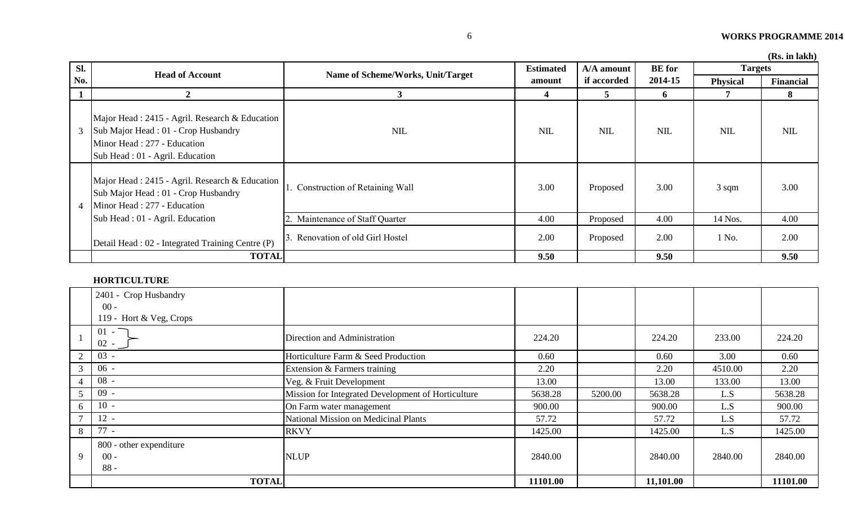| Sl.            |                                                                                                                                                          |                                       | <b>Estimated</b> | A/A amount  | <b>BE</b> for | <b>Targets</b>  | (100, 111 IANII) |
|----------------|----------------------------------------------------------------------------------------------------------------------------------------------------------|---------------------------------------|------------------|-------------|---------------|-----------------|------------------|
| No.            | <b>Head of Account</b>                                                                                                                                   | Name of Scheme/Works, Unit/Target     | amount           | if accorded | 2014-15       | Physical        | Financial        |
|                | $\boldsymbol{2}$                                                                                                                                         | 3                                     | 4                | 5           | 6             |                 | 8                |
| 3              | Major Head: 2415 - Agril. Research & Education<br>Sub Major Head: 01 - Crop Husbandry<br>Minor Head: 277 - Education<br>Sub Head : 01 - Agril. Education | <b>NIL</b>                            | <b>NIL</b>       | NIL         | <b>NIL</b>    | <b>NIL</b>      | NIL              |
| $\overline{4}$ | Major Head: 2415 - Agril. Research & Education<br>Sub Major Head: 01 - Crop Husbandry<br>Minor Head: 277 - Education                                     | <b>Construction of Retaining Wall</b> | 3.00             | Proposed    | 3.00          | $3 \text{ sqm}$ | 3.00             |
|                | Sub Head : 01 - Agril. Education                                                                                                                         | Maintenance of Staff Quarter          | 4.00             | Proposed    | 4.00          | 14 Nos.         | 4.00             |
|                | Detail Head : 02 - Integrated Training Centre (P)                                                                                                        | Renovation of old Girl Hostel         | 2.00             | Proposed    | 2.00          | 1 No.           | 2.00             |
|                | <b>TOTAL</b>                                                                                                                                             |                                       | 9.50             |             | 9.50          |                 | 9.50             |

### **HORTICULTURE**

|                | 2401 - Crop Husbandry                       |                                                    |          |         |           |         |          |
|----------------|---------------------------------------------|----------------------------------------------------|----------|---------|-----------|---------|----------|
|                | $00 -$                                      |                                                    |          |         |           |         |          |
|                | 119 - Hort & Veg, Crops                     |                                                    |          |         |           |         |          |
|                | $01 - \Box$<br>$02 -$                       | Direction and Administration                       | 224.20   |         | 224.20    | 233.00  | 224.20   |
| 2              | $03 -$                                      | Horticulture Farm & Seed Production                | 0.60     |         | 0.60      | 3.00    | 0.60     |
| 3 <sup>1</sup> | $06 -$                                      | Extension & Farmers training                       | 2.20     |         | 2.20      | 4510.00 | 2.20     |
| 4              | $08 -$                                      | Veg. & Fruit Development                           | 13.00    |         | 13.00     | 133.00  | 13.00    |
|                | $09 -$                                      | Mission for Integrated Development of Horticulture | 5638.28  | 5200.00 | 5638.28   | L.S     | 5638.28  |
| 6              | $10 -$                                      | On Farm water management                           | 900.00   |         | 900.00    | L.S     | 900.00   |
| $\tau$         | $12 -$                                      | <b>National Mission on Medicinal Plants</b>        | 57.72    |         | 57.72     | L.S     | 57.72    |
| 8              | $77 -$                                      | <b>RKVY</b>                                        | 1425.00  |         | 1425.00   | L.S     | 1425.00  |
| 9              | 800 - other expenditure<br>$00 -$<br>$88 -$ | <b>NLUP</b>                                        | 2840.00  |         | 2840.00   | 2840.00 | 2840.00  |
|                | <b>TOTAL</b>                                |                                                    | 11101.00 |         | 11,101.00 |         | 11101.00 |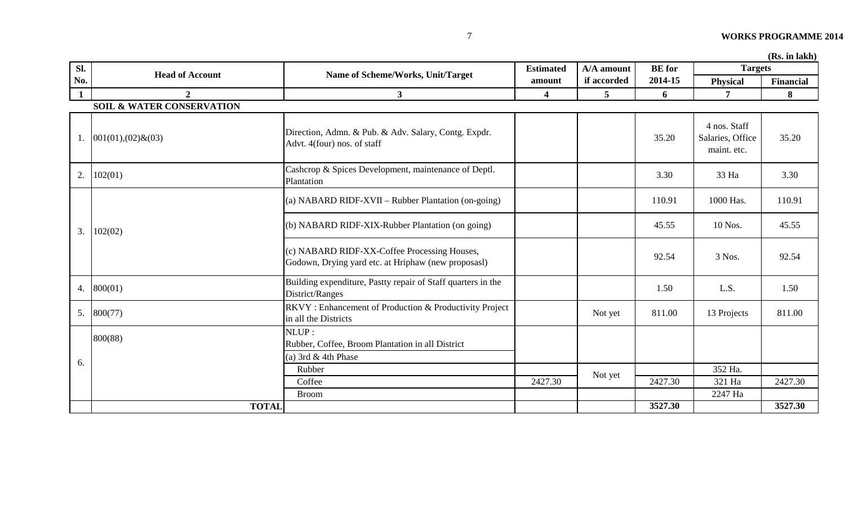|              |                                      | $(Ks.$ In $lalkh)$                                                                                  |                  |             |               |                                                 |           |
|--------------|--------------------------------------|-----------------------------------------------------------------------------------------------------|------------------|-------------|---------------|-------------------------------------------------|-----------|
| Sl.          |                                      |                                                                                                     | <b>Estimated</b> | A/A amount  | <b>BE</b> for | <b>Targets</b>                                  |           |
| No.          | <b>Head of Account</b>               | Name of Scheme/Works, Unit/Target                                                                   | amount           | if accorded | 2014-15       | Physical                                        | Financial |
| $\mathbf{1}$ | $\overline{2}$                       | 3 <sup>1</sup>                                                                                      | 4                | 5           | 6             | 7                                               | 8         |
|              | <b>SOIL &amp; WATER CONSERVATION</b> |                                                                                                     |                  |             |               |                                                 |           |
| 1.           | $001(01),(02)$ & $(03)$              | Direction, Admn. & Pub. & Adv. Salary, Contg. Expdr.<br>Advt. 4(four) nos. of staff                 |                  |             | 35.20         | 4 nos. Staff<br>Salaries, Office<br>maint. etc. | 35.20     |
| 2.           | 102(01)                              | Cashcrop & Spices Development, maintenance of Deptl.<br>Plantation                                  |                  |             | 3.30          | 33 Ha                                           | 3.30      |
|              |                                      | (a) NABARD RIDF-XVII – Rubber Plantation (on-going)                                                 |                  |             | 110.91        | 1000 Has.                                       | 110.91    |
| 3.           | 102(02)                              | (b) NABARD RIDF-XIX-Rubber Plantation (on going)                                                    |                  |             | 45.55         | 10 Nos.                                         | 45.55     |
|              |                                      | (c) NABARD RIDF-XX-Coffee Processing Houses,<br>Godown, Drying yard etc. at Hriphaw (new proposasl) |                  |             | 92.54         | 3 Nos.                                          | 92.54     |
| 4.           | 800(01)                              | Building expenditure, Pastty repair of Staff quarters in the<br>District/Ranges                     |                  |             | 1.50          | L.S.                                            | 1.50      |
| 5.           | 800(77)                              | RKVY: Enhancement of Production & Productivity Project<br>in all the Districts                      |                  | Not yet     | 811.00        | 13 Projects                                     | 811.00    |
|              | 800(88)                              | NLUP:<br>Rubber, Coffee, Broom Plantation in all District                                           |                  |             |               |                                                 |           |
| 6.           |                                      | (a) 3rd & 4th Phase                                                                                 |                  |             |               |                                                 |           |
|              |                                      | Rubber                                                                                              |                  |             |               | 352 Ha.                                         |           |
|              |                                      | Coffee                                                                                              | 2427.30          | Not yet     | 2427.30       | 321 Ha                                          | 2427.30   |
|              |                                      | <b>Broom</b>                                                                                        |                  |             |               | 2247 Ha                                         |           |
|              | <b>TOTAL</b>                         |                                                                                                     |                  |             | 3527.30       |                                                 | 3527.30   |

 $(\mathbf{D}_\alpha, \mathbf{L}_\alpha | \mathbf{L}_\alpha)$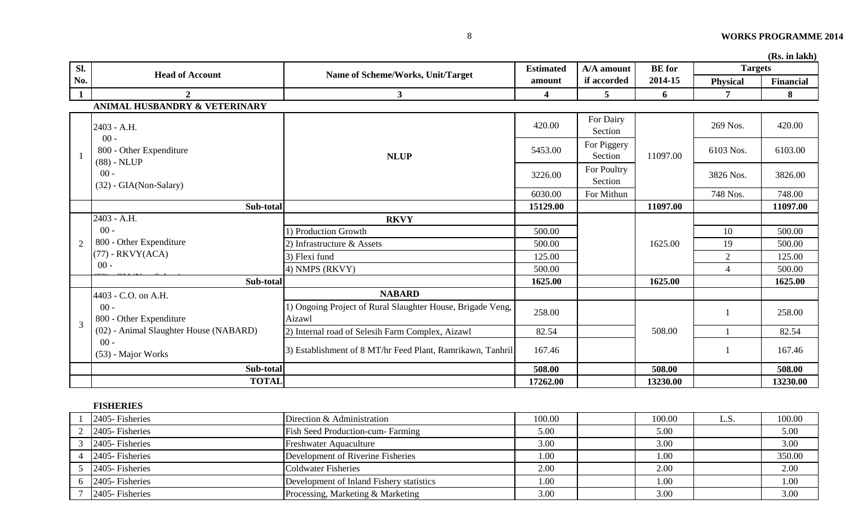|              |                                                    |                                                                      |                         |                        |               |                 | (RS. In lakh) |
|--------------|----------------------------------------------------|----------------------------------------------------------------------|-------------------------|------------------------|---------------|-----------------|---------------|
| Sl.          |                                                    |                                                                      | <b>Estimated</b>        | A/A amount             | <b>BE</b> for | <b>Targets</b>  |               |
| No.          | <b>Head of Account</b>                             | Name of Scheme/Works, Unit/Target                                    | amount                  | if accorded            | 2014-15       | <b>Physical</b> | Financial     |
| $\mathbf{1}$ | $\overline{2}$                                     | 3 <sup>1</sup>                                                       | $\overline{\mathbf{4}}$ | 5                      | 6             | 7               | 8             |
|              | ANIMAL HUSBANDRY & VETERINARY                      |                                                                      |                         |                        |               |                 |               |
|              | 2403 - A.H.                                        |                                                                      | 420.00                  | For Dairy<br>Section   |               | 269 Nos.        | 420.00        |
|              | $00 -$<br>800 - Other Expenditure<br>$(88)$ - NLUP | <b>NLUP</b>                                                          | 5453.00                 | For Piggery<br>Section | 11097.00      | 6103 Nos.       | 6103.00       |
|              | $00 -$<br>$(32)$ - GIA(Non-Salary)                 |                                                                      | 3226.00                 | For Poultry<br>Section |               | 3826 Nos.       | 3826.00       |
|              |                                                    |                                                                      | 6030.00                 | For Mithun             |               | 748 Nos.        | 748.00        |
|              | Sub-total                                          |                                                                      | 15129.00                |                        | 11097.00      |                 | 11097.00      |
|              | 2403 - A.H.                                        | <b>RKVY</b>                                                          |                         |                        |               |                 |               |
|              | $00 -$                                             | ) Production Growth                                                  | 500.00                  |                        |               | 10              | 500.00        |
| 2            | 800 - Other Expenditure                            | 2) Infrastructure & Assets                                           | 500.00                  |                        | 1625.00       | 19              | 500.00        |
|              | $(77)$ - RKVY(ACA)                                 | 3) Flexi fund                                                        | 125.00                  |                        |               | $\overline{2}$  | 125.00        |
|              | $00 -$                                             | 4) NMPS (RKVY)                                                       | 500.00                  |                        |               | $\overline{4}$  | 500.00        |
|              | Sub-total                                          |                                                                      | 1625.00                 |                        | 1625.00       |                 | 1625.00       |
|              | 4403 - C.O. on A.H.                                | <b>NABARD</b>                                                        |                         |                        |               |                 |               |
| 3            | $00 -$<br>800 - Other Expenditure                  | 1) Ongoing Project of Rural Slaughter House, Brigade Veng,<br>Aizawl | 258.00                  |                        |               |                 | 258.00        |
|              | (02) - Animal Slaughter House (NABARD)             | 2) Internal road of Selesih Farm Complex, Aizawl                     | 82.54                   |                        | 508.00        |                 | 82.54         |
|              | $00 -$<br>(53) - Major Works                       | 3) Establishment of 8 MT/hr Feed Plant, Ramrikawn, Tanhril           | 167.46                  |                        |               |                 | 167.46        |
|              | Sub-total                                          |                                                                      | 508.00                  |                        | 508.00        |                 | 508.00        |
|              | <b>TOTAL</b>                                       |                                                                      | 17262.00                |                        | 13230.00      |                 | 13230.00      |

 $(\mathbf{D}_\mathbf{S} \text{ in } \text{labh})$ 

# **FISHERIES**

| 2405-Fisheries                 | Direction & Administration               | 100.00 | 100.00   | L.S. | 100.00 |
|--------------------------------|------------------------------------------|--------|----------|------|--------|
| $2\quad 2405$ -Fisheries       | <b>Fish Seed Production-cum- Farming</b> | 5.00   | 5.00     |      | 5.00   |
| $3$ 2405-Fisheries             | <b>Freshwater Aquaculture</b>            | 3.00   | 3.00     |      | 3.00   |
| $4 \overline{2405}$ -Fisheries | Development of Riverine Fisheries        | 1.00   | $1.00\,$ |      | 350.00 |
| $5$ 2405-Fisheries             | <b>Coldwater Fisheries</b>               | 2.00   | 2.00     |      | 2.00   |
| $6\quad 2405$ -Fisheries       | Development of Inland Fishery statistics | 1.00   | 1.00     |      | 1.00   |
| 2405-Fisheries                 | Processing, Marketing & Marketing        | 3.00   | 3.00     |      | 3.00   |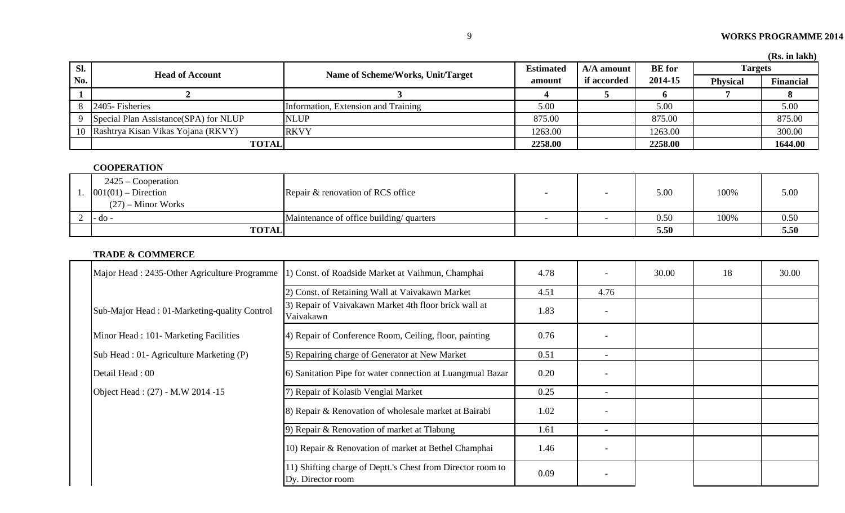| Sl. | <b>Head of Account</b>                               | Name of Scheme/Works, Unit/Target   | <b>Estimated</b> | $A/A$ amount | <b>BE</b> for | <b>Targets</b>  |                  |
|-----|------------------------------------------------------|-------------------------------------|------------------|--------------|---------------|-----------------|------------------|
| No. |                                                      |                                     | amount           | if accorded  | 2014-15       | <b>Physical</b> | <b>Financial</b> |
|     |                                                      |                                     |                  |              |               |                 |                  |
|     | 8 2405-Fisheries                                     | Information, Extension and Training | 5.00             |              | 5.00          |                 | 5.00             |
|     | Special Plan Assistance (SPA) for NLUP               | <b>NLUP</b>                         |                  |              | 875.00        |                 | 875.00           |
|     | 10 Rashtrya Kisan Vikas Yojana (RKVY)<br><b>RKVY</b> |                                     | 1263.00          |              | 1263.00       |                 | 300.00           |
|     | <b>TOTAL</b>                                         |                                     | 2258.00          |              | 2258.00       |                 | 1644.00          |

# **COOPERATION**

| $2425 - Cooperation$<br>$\log 1001(01) -$ Direction<br>$(27)$ – Minor Works | Repair & renovation of RCS office       |                          |                          | 5.00 | 100% | 5.00 |
|-----------------------------------------------------------------------------|-----------------------------------------|--------------------------|--------------------------|------|------|------|
| - do -                                                                      | Maintenance of office building/quarters | $\overline{\phantom{0}}$ | $\overline{\phantom{0}}$ | 0.50 | 100% | 0.50 |
| <b>TOTAL</b>                                                                |                                         |                          |                          | 5.50 |      | 5.50 |

# **TRADE & COMMERCE**

| Major Head: 2435-Other Agriculture Programme | 1) Const. of Roadside Market at Vaihmun, Champhai                                | 4.78 |                          | 30.00 | 18 | 30.00 |
|----------------------------------------------|----------------------------------------------------------------------------------|------|--------------------------|-------|----|-------|
|                                              | 2) Const. of Retaining Wall at Vaivakawn Market                                  | 4.51 | 4.76                     |       |    |       |
| Sub-Major Head: 01-Marketing-quality Control | 3) Repair of Vaivakawn Market 4th floor brick wall at<br>Vaivakawn               |      | $\overline{\phantom{a}}$ |       |    |       |
| Minor Head : 101 - Marketing Facilities      | 4) Repair of Conference Room, Ceiling, floor, painting                           |      |                          |       |    |       |
| Sub Head : 01- Agriculture Marketing (P)     | 5) Repairing charge of Generator at New Market                                   |      | $\sim$                   |       |    |       |
| Detail Head: 00                              | 6) Sanitation Pipe for water connection at Luangmual Bazar                       | 0.20 | $\overline{\phantom{0}}$ |       |    |       |
| Object Head: (27) - M.W 2014 -15             | 7) Repair of Kolasib Venglai Market                                              |      | $\overline{\phantom{a}}$ |       |    |       |
|                                              | 8) Repair & Renovation of wholesale market at Bairabi                            | 1.02 |                          |       |    |       |
|                                              | 9) Repair & Renovation of market at Tlabung                                      | 1.61 | $\overline{\phantom{a}}$ |       |    |       |
|                                              | 10) Repair & Renovation of market at Bethel Champhai                             | 1.46 | $\overline{\phantom{0}}$ |       |    |       |
|                                              | 11) Shifting charge of Deptt.'s Chest from Director room to<br>Dy. Director room | 0.09 |                          |       |    |       |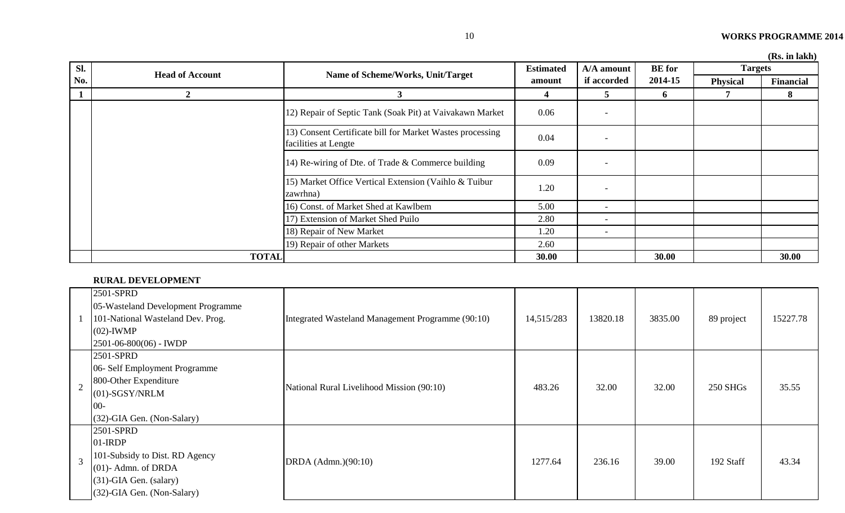|  | (Rs. in lakh) |  |
|--|---------------|--|
|  |               |  |

| Sl. |                          |                                                                                   | <b>Estimated</b> | A/A amount               | <b>BE</b> for | <b>Targets</b>  | (RS, III IARII)  |
|-----|--------------------------|-----------------------------------------------------------------------------------|------------------|--------------------------|---------------|-----------------|------------------|
| No. | <b>Head of Account</b>   | Name of Scheme/Works, Unit/Target                                                 | amount           | if accorded              | 2014-15       | <b>Physical</b> | <b>Financial</b> |
|     | $\mathbf{2}$             | 3                                                                                 |                  | $\mathbf{c}$             | 6             |                 | 8                |
|     |                          | 12) Repair of Septic Tank (Soak Pit) at Vaivakawn Market                          | 0.06             |                          |               |                 |                  |
|     |                          | 13) Consent Certificate bill for Market Wastes processing<br>facilities at Lengte | 0.04             | $\overline{\phantom{0}}$ |               |                 |                  |
|     |                          | 14) Re-wiring of Dte. of Trade & Commerce building                                |                  | $\overline{\phantom{a}}$ |               |                 |                  |
|     |                          | 15) Market Office Vertical Extension (Vaihlo & Tuibur<br>zawrhna)                 | 1.20             | $\overline{\phantom{a}}$ |               |                 |                  |
|     |                          | 16) Const. of Market Shed at Kawlbem                                              | 5.00             | $\overline{\phantom{a}}$ |               |                 |                  |
|     |                          | 17) Extension of Market Shed Puilo                                                | 2.80             | $\overline{\phantom{a}}$ |               |                 |                  |
|     | 18) Repair of New Market |                                                                                   | 1.20             | $\overline{\phantom{a}}$ |               |                 |                  |
|     |                          | 19) Repair of other Markets                                                       | 2.60             |                          |               |                 |                  |
|     | <b>TOTAL</b>             |                                                                                   | 30.00            |                          | 30.00         |                 | 30.00            |

#### **RURAL DEVELOPMENT**

|                | 2501-SPRD<br>05-Wasteland Development Programme<br>101-National Wasteland Dev. Prog.<br>$(02)$ -IWMP<br>$2501 - 06 - 800(06) -$ IWDP              | Integrated Wasteland Management Programme (90:10) | 14,515/283 | 13820.18 | 3835.00 | 89 project      | 15227.78 |
|----------------|---------------------------------------------------------------------------------------------------------------------------------------------------|---------------------------------------------------|------------|----------|---------|-----------------|----------|
| $\overline{2}$ | 2501-SPRD<br>06- Self Employment Programme<br>800-Other Expenditure<br>$(01)$ -SGSY/NRLM<br>$00 -$<br>$(32)$ -GIA Gen. (Non-Salary)               | National Rural Livelihood Mission (90:10)         | 483.26     | 32.00    | 32.00   | <b>250 SHGs</b> | 35.55    |
| $\overline{3}$ | 2501-SPRD<br>$01$ -IRDP<br>101-Subsidy to Dist. RD Agency<br>$(01)$ - Admn. of DRDA<br>$(31)$ -GIA Gen. (salary)<br>$(32)$ -GIA Gen. (Non-Salary) | DRDA (Admn.)(90:10)                               | 1277.64    | 236.16   | 39.00   | 192 Staff       | 43.34    |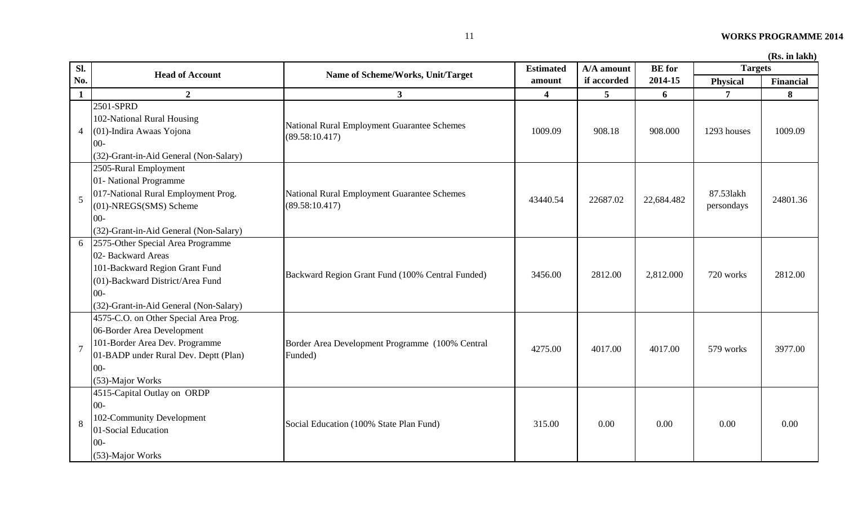| Sl.            | <b>Head of Account</b>                                                                                                                                                            | Name of Scheme/Works, Unit/Target                             | <b>Estimated</b>        | A/A amount      | <b>BE</b> for | <b>Targets</b>          |           |
|----------------|-----------------------------------------------------------------------------------------------------------------------------------------------------------------------------------|---------------------------------------------------------------|-------------------------|-----------------|---------------|-------------------------|-----------|
| No.            |                                                                                                                                                                                   |                                                               | amount                  | if accorded     | 2014-15       | <b>Physical</b>         | Financial |
| $\mathbf{1}$   | $\boldsymbol{2}$                                                                                                                                                                  | 3 <sup>1</sup>                                                | $\overline{\mathbf{4}}$ | $5\overline{)}$ | 6             | $\overline{7}$          | 8         |
| $\overline{4}$ | 2501-SPRD<br>102-National Rural Housing<br>(01)-Indira Awaas Yojona<br>$00 -$<br>(32)-Grant-in-Aid General (Non-Salary)                                                           | National Rural Employment Guarantee Schemes<br>(89.58:10.417) | 1009.09                 | 908.18          | 908.000       | 1293 houses             | 1009.09   |
| 5              | 2505-Rural Employment<br>01- National Programme<br>017-National Rural Employment Prog.<br>(01)-NREGS(SMS) Scheme<br>$00 -$<br>(32)-Grant-in-Aid General (Non-Salary)              | National Rural Employment Guarantee Schemes<br>(89.58:10.417) | 43440.54                | 22687.02        | 22,684.482    | 87.531akh<br>persondays | 24801.36  |
| 6              | 2575-Other Special Area Programme<br>02- Backward Areas<br>101-Backward Region Grant Fund<br>(01)-Backward District/Area Fund<br>$00 -$<br>(32)-Grant-in-Aid General (Non-Salary) | Backward Region Grant Fund (100% Central Funded)              | 3456.00                 | 2812.00         | 2,812.000     | 720 works               | 2812.00   |
| $\overline{7}$ | 4575-C.O. on Other Special Area Prog.<br>06-Border Area Development<br>101-Border Area Dev. Programme<br>01-BADP under Rural Dev. Deptt (Plan)<br>$00 -$<br>(53)-Major Works      | Border Area Development Programme (100% Central<br>Funded)    | 4275.00                 | 4017.00         | 4017.00       | 579 works               | 3977.00   |
| 8              | 4515-Capital Outlay on ORDP<br>$00 -$<br>102-Community Development<br>01-Social Education<br>$00 -$<br>(53)-Major Works                                                           | Social Education (100% State Plan Fund)                       | 315.00                  | 0.00            | 0.00          | 0.00                    | 0.00      |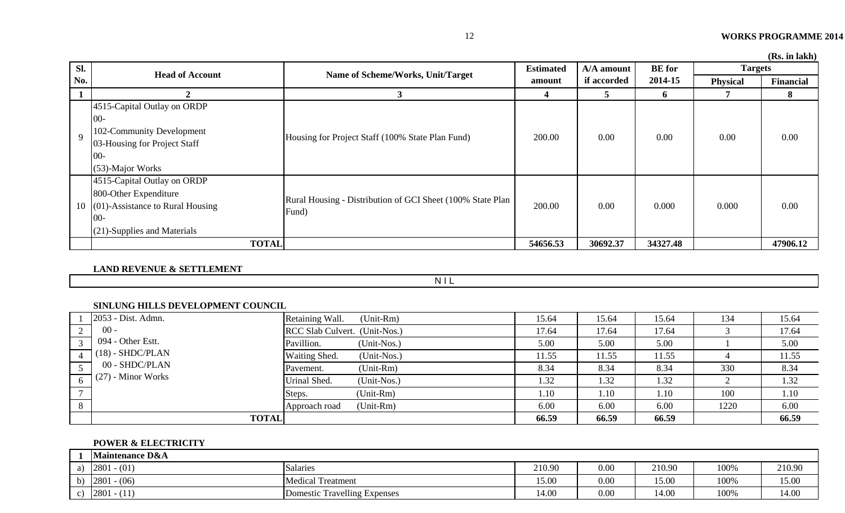|  |  | (Rs. in lakh) |
|--|--|---------------|
|--|--|---------------|

| Sl.          |                                        |                                                                      | <b>Estimated</b><br>A/A amount | <b>BE</b> for | <b>Targets</b> | Тар, ні іапп    |           |
|--------------|----------------------------------------|----------------------------------------------------------------------|--------------------------------|---------------|----------------|-----------------|-----------|
| No.          | <b>Head of Account</b>                 | Name of Scheme/Works, Unit/Target                                    | amount                         | if accorded   | 2014-15        | <b>Physical</b> | Financial |
|              |                                        |                                                                      | 4                              | 5             | 6              |                 | 8         |
|              | 4515-Capital Outlay on ORDP            |                                                                      | 200.00                         |               |                |                 |           |
|              | $00-$                                  |                                                                      |                                | 0.00          |                | 0.00            |           |
| $\mathbf{Q}$ | 102-Community Development              | Housing for Project Staff (100% State Plan Fund)                     |                                |               | 0.00           |                 | 0.00      |
|              | 03-Housing for Project Staff           |                                                                      |                                |               |                |                 |           |
|              | $00 -$                                 |                                                                      |                                |               |                |                 |           |
|              | (53)-Major Works                       |                                                                      |                                |               |                |                 |           |
|              | 4515-Capital Outlay on ORDP            |                                                                      |                                |               |                |                 |           |
|              | 800-Other Expenditure                  |                                                                      |                                |               |                |                 |           |
|              | 10 $(01)$ -Assistance to Rural Housing | Rural Housing - Distribution of GCI Sheet (100% State Plan)<br>Fund) | 200.00                         | 0.00          | 0.000          | 0.000           | 0.00      |
|              | $00 -$                                 |                                                                      |                                |               |                |                 |           |
|              | $(21)$ -Supplies and Materials         |                                                                      |                                |               |                |                 |           |
|              | <b>TOTAL</b>                           |                                                                      | 54656.53                       | 30692.37      | 34327.48       |                 | 47906.12  |

**LAND REVENUE & SETTLEMENT**

**NIL** 

#### **SINLUNG HILLS DEVELOPMENT COUNCIL**

|   | 2053 - Dist. Admn.   | $(Unit-Rm)$<br>Retaining Wall. | 15.64 | 15.64 | 15.64 | 134  | 15.64 |
|---|----------------------|--------------------------------|-------|-------|-------|------|-------|
|   | $00 -$               | RCC Slab Culvert. (Unit-Nos.)  | 17.64 | 17.64 | 17.64 |      | 17.64 |
|   | 094 - Other Estt.    | (Unit-Nos.)<br>Pavillion.      | 5.00  | 5.00  | 5.00  |      | 5.00  |
|   | $(18)$ - SHDC/PLAN   | Waiting Shed.<br>(Unit-Nos.)   | 11.55 | 11.55 | 11.55 |      | 11.55 |
|   | 00 - SHDC/PLAN       | $(Unit-Rm)$<br>Pavement.       | 8.34  | 8.34  | 8.34  | 330  | 8.34  |
|   | $(27)$ - Minor Works | Urinal Shed.<br>(Unit-Nos.)    | 1.32  | 1.32  | 1.32  |      | 1.32  |
|   |                      | (Unit-Rm)<br>Steps.            | 1.10  | 1.10  | 1.10  | 100  | 1.10  |
| 8 |                      | (Unit-Rm)<br>Approach road     | 6.00  | 6.00  | 6.00  | 1220 | 6.00  |
|   | <b>TOTAL</b>         |                                | 66.59 | 66.59 | 66.59 |      | 66.59 |

#### **POWER & ELECTRICITY**

|    | <b>Maintenance D&amp;A</b> |                                          |        |      |        |      |        |
|----|----------------------------|------------------------------------------|--------|------|--------|------|--------|
| a) | 2801<br>$- (01)$           | Salaries                                 | 210.90 | 0.00 | 210.90 | 100% | 210.90 |
| b) | 2801<br>$- (06)$           | $\mathbf{r}$<br><b>Medical Treatment</b> | 5.00   | 0.00 | 15.00  | 100% | 15.00  |
| ◡  | 2801<br>(11)<br>$-111$     | Domestic Travelling Expenses             | 14.00  | 0.00 | 14.00  | 100% | 14.00  |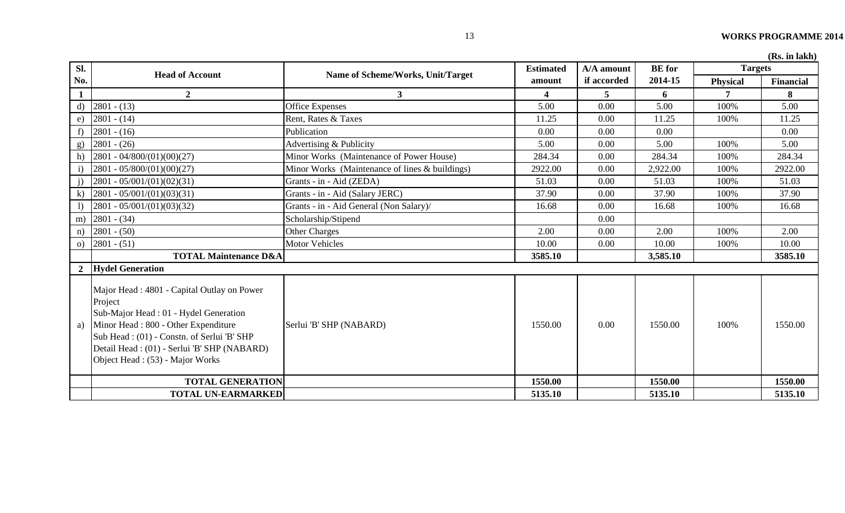|  |  | (Rs. in lakh) |
|--|--|---------------|
|--|--|---------------|

| Sl.          | <b>Head of Account</b>                                                                                                                                                                                                                                                    | Name of Scheme/Works, Unit/Target              | <b>Estimated</b>        | A/A amount  | <b>BE</b> for | <b>Targets</b>  | (ISS. III IARII) |
|--------------|---------------------------------------------------------------------------------------------------------------------------------------------------------------------------------------------------------------------------------------------------------------------------|------------------------------------------------|-------------------------|-------------|---------------|-----------------|------------------|
| No.          |                                                                                                                                                                                                                                                                           |                                                | amount                  | if accorded | 2014-15       | <b>Physical</b> | <b>Financial</b> |
| $\mathbf{1}$ | $\overline{2}$                                                                                                                                                                                                                                                            | $\mathbf{3}$                                   | $\overline{\mathbf{4}}$ | 5           | 6             | $\overline{7}$  | 8                |
| $\mathbf{d}$ | $2801 - (13)$                                                                                                                                                                                                                                                             | <b>Office Expenses</b>                         | 5.00                    | 0.00        | 5.00          | 100%            | 5.00             |
| e)           | $2801 - (14)$                                                                                                                                                                                                                                                             | Rent, Rates & Taxes                            | 11.25                   | 0.00        | 11.25         | 100%            | 11.25            |
| f)           | $2801 - (16)$                                                                                                                                                                                                                                                             | Publication                                    | 0.00                    | 0.00        | 0.00          |                 | 0.00             |
| g)           | $2801 - (26)$                                                                                                                                                                                                                                                             | Advertising & Publicity                        | 5.00                    | 0.00        | 5.00          | 100%            | 5.00             |
| h)           | $2801 - 04/800/(01)(00)(27)$                                                                                                                                                                                                                                              | Minor Works (Maintenance of Power House)       | 284.34                  | 0.00        | 284.34        | 100%            | 284.34           |
| i)           | $2801 - 05/800/(01)(00)(27)$                                                                                                                                                                                                                                              | Minor Works (Maintenance of lines & buildings) | 2922.00                 | 0.00        | 2,922.00      | 100%            | 2922.00          |
|              | $2801 - 05/001/(01)(02)(31)$                                                                                                                                                                                                                                              | Grants - in - Aid (ZEDA)                       | 51.03                   | 0.00        | 51.03         | 100%            | 51.03            |
| $\bf k$ )    | $2801 - 05/001/(01)(03)(31)$                                                                                                                                                                                                                                              | Grants - in - Aid (Salary JERC)                | 37.90                   | 0.00        | 37.90         | 100%            | 37.90            |
|              | $2801 - 05/001/(01)(03)(32)$                                                                                                                                                                                                                                              | Grants - in - Aid General (Non Salary)/        | 16.68                   | 0.00        | 16.68         | 100%            | 16.68            |
| m)           | $2801 - (34)$                                                                                                                                                                                                                                                             | Scholarship/Stipend                            |                         | 0.00        |               |                 |                  |
| n)           | $2801 - (50)$                                                                                                                                                                                                                                                             | <b>Other Charges</b>                           | 2.00                    | 0.00        | 2.00          | 100%            | 2.00             |
| $\circ$ )    | $2801 - (51)$                                                                                                                                                                                                                                                             | <b>Motor Vehicles</b>                          | 10.00                   | 0.00        | 10.00         | 100%            | 10.00            |
|              | <b>TOTAL Maintenance D&amp;A</b>                                                                                                                                                                                                                                          |                                                | 3585.10                 |             | 3,585.10      |                 | 3585.10          |
|              | 2 Hydel Generation                                                                                                                                                                                                                                                        |                                                |                         |             |               |                 |                  |
|              | Major Head: 4801 - Capital Outlay on Power<br>Project<br>Sub-Major Head: 01 - Hydel Generation<br>a) Minor Head : 800 - Other Expenditure<br>Sub Head: (01) - Constn. of Serlui 'B' SHP<br>Detail Head: (01) - Serlui 'B' SHP (NABARD)<br>Object Head: (53) - Major Works | Serlui 'B' SHP (NABARD)                        | 1550.00                 | 0.00        | 1550.00       | 100%            | 1550.00          |
|              | <b>TOTAL GENERATION</b>                                                                                                                                                                                                                                                   |                                                | 1550.00                 |             | 1550.00       |                 | 1550.00          |
|              | <b>TOTAL UN-EARMARKED</b>                                                                                                                                                                                                                                                 |                                                | 5135.10                 |             | 5135.10       |                 | 5135.10          |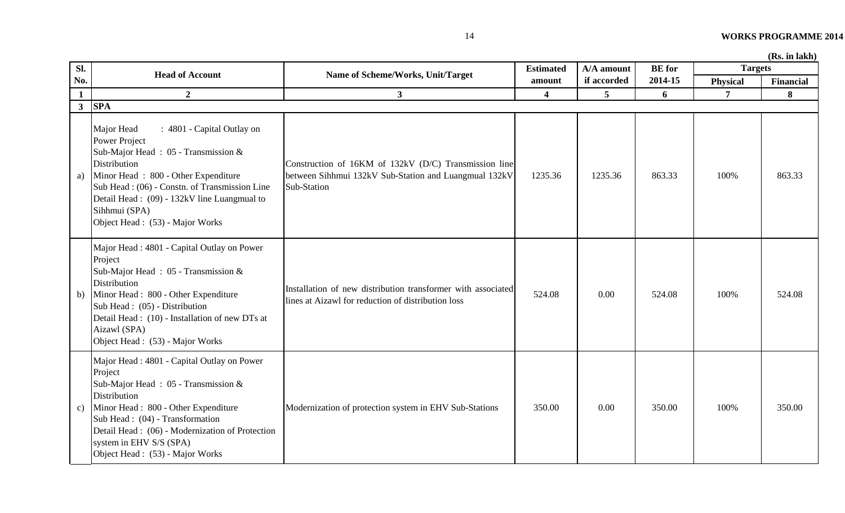| Sl.          | <b>Head of Account</b>                                                                                                                                                                                                                                                                                              | Name of Scheme/Works, Unit/Target                                                                                             | <b>Estimated</b>        | A/A amount      | <b>BE</b> for | <b>Targets</b>  |           |
|--------------|---------------------------------------------------------------------------------------------------------------------------------------------------------------------------------------------------------------------------------------------------------------------------------------------------------------------|-------------------------------------------------------------------------------------------------------------------------------|-------------------------|-----------------|---------------|-----------------|-----------|
| No.          |                                                                                                                                                                                                                                                                                                                     |                                                                                                                               | amount                  | if accorded     | 2014-15       | <b>Physical</b> | Financial |
| $\mathbf{1}$ | $\overline{2}$                                                                                                                                                                                                                                                                                                      | $\mathbf{3}$                                                                                                                  | $\overline{\mathbf{4}}$ | $5\overline{)}$ | 6             | $\overline{7}$  | 8         |
| $\mathbf{3}$ | <b>SPA</b>                                                                                                                                                                                                                                                                                                          |                                                                                                                               |                         |                 |               |                 |           |
| a)           | : 4801 - Capital Outlay on<br>Major Head<br><b>Power Project</b><br>Sub-Major Head: 05 - Transmission &<br>Distribution<br>Minor Head: 800 - Other Expenditure<br>Sub Head: (06) - Constn. of Transmission Line<br>Detail Head: (09) - 132kV line Luangmual to<br>Sihhmui (SPA)<br>Object Head : (53) - Major Works | Construction of 16KM of 132kV (D/C) Transmission line<br>between Sihhmui 132kV Sub-Station and Luangmual 132kV<br>Sub-Station | 1235.36                 | 1235.36         | 863.33        | 100%            | 863.33    |
| b)           | Major Head: 4801 - Capital Outlay on Power<br>Project<br>Sub-Major Head: 05 - Transmission &<br>Distribution<br>Minor Head: 800 - Other Expenditure<br>Sub Head: (05) - Distribution<br>Detail Head : (10) - Installation of new DTs at<br>Aizawl (SPA)<br>Object Head : (53) - Major Works                         | Installation of new distribution transformer with associated<br>lines at Aizawl for reduction of distribution loss            | 524.08                  | 0.00            | 524.08        | 100%            | 524.08    |
| c)           | Major Head : 4801 - Capital Outlay on Power<br>Project<br>Sub-Major Head: 05 - Transmission &<br>Distribution<br>Minor Head: 800 - Other Expenditure<br>Sub Head: (04) - Transformation<br>Detail Head : (06) - Modernization of Protection<br>system in EHV S/S (SPA)<br>Object Head : (53) - Major Works          | Modernization of protection system in EHV Sub-Stations                                                                        | 350.00                  | 0.00            | 350.00        | 100%            | 350.00    |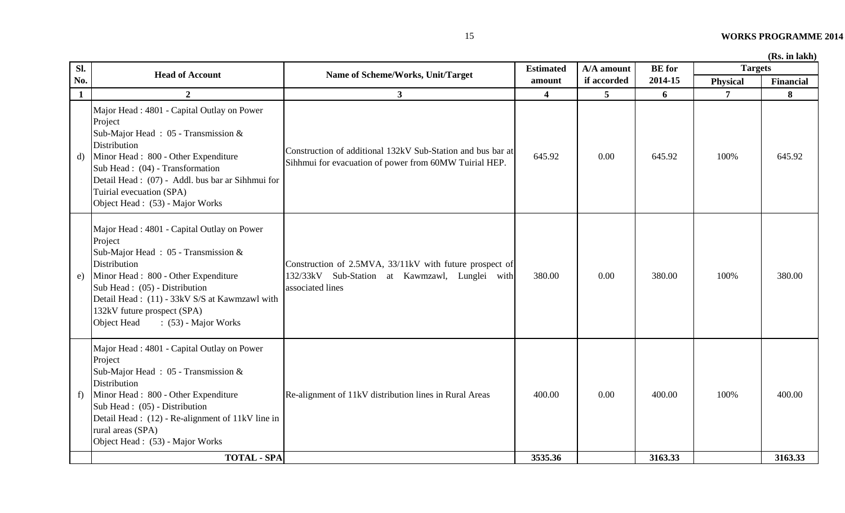| Sl.          | <b>Head of Account</b>                                                                                                                                                                                                                                                                                      | Name of Scheme/Works, Unit/Target                                                                                             | <b>Estimated</b> | A/A amount  | <b>BE</b> for | <b>Targets</b> |                  |
|--------------|-------------------------------------------------------------------------------------------------------------------------------------------------------------------------------------------------------------------------------------------------------------------------------------------------------------|-------------------------------------------------------------------------------------------------------------------------------|------------------|-------------|---------------|----------------|------------------|
| No.          |                                                                                                                                                                                                                                                                                                             |                                                                                                                               | amount           | if accorded | 2014-15       | Physical       | <b>Financial</b> |
| $\mathbf{1}$ | $\overline{2}$                                                                                                                                                                                                                                                                                              | 3 <sup>1</sup>                                                                                                                | $\boldsymbol{4}$ | 5           | 6             | $\overline{7}$ | 8                |
| d)           | Major Head: 4801 - Capital Outlay on Power<br>Project<br>Sub-Major Head: 05 - Transmission &<br>Distribution<br>Minor Head: 800 - Other Expenditure<br>Sub Head: (04) - Transformation<br>Detail Head: (07) - Addl. bus bar ar Sihhmui for<br>Tuirial evecuation (SPA)<br>Object Head: (53) - Major Works   | Construction of additional 132kV Sub-Station and bus bar at<br>Sihhmui for evacuation of power from 60MW Tuirial HEP.         | 645.92           | 0.00        | 645.92        | 100%           | 645.92           |
| e)           | Major Head: 4801 - Capital Outlay on Power<br>Project<br>Sub-Major Head: 05 - Transmission &<br>Distribution<br>Minor Head: 800 - Other Expenditure<br>Sub Head: (05) - Distribution<br>Detail Head: (11) - 33kV S/S at Kawmzawl with<br>132kV future prospect (SPA)<br>$(53)$ - Major Works<br>Object Head | Construction of 2.5MVA, 33/11kV with future prospect of<br>132/33kV Sub-Station at Kawmzawl, Lunglei with<br>associated lines | 380.00           | 0.00        | 380.00        | 100%           | 380.00           |
| f            | Major Head: 4801 - Capital Outlay on Power<br>Project<br>Sub-Major Head: 05 - Transmission &<br>Distribution<br>Minor Head: 800 - Other Expenditure<br>Sub Head: (05) - Distribution<br>Detail Head: (12) - Re-alignment of 11kV line in<br>rural areas (SPA)<br>Object Head: (53) - Major Works            | Re-alignment of 11kV distribution lines in Rural Areas                                                                        | 400.00           | 0.00        | 400.00        | 100%           | 400.00           |
|              | <b>TOTAL - SPA</b>                                                                                                                                                                                                                                                                                          |                                                                                                                               | 3535.36          |             | 3163.33       |                | 3163.33          |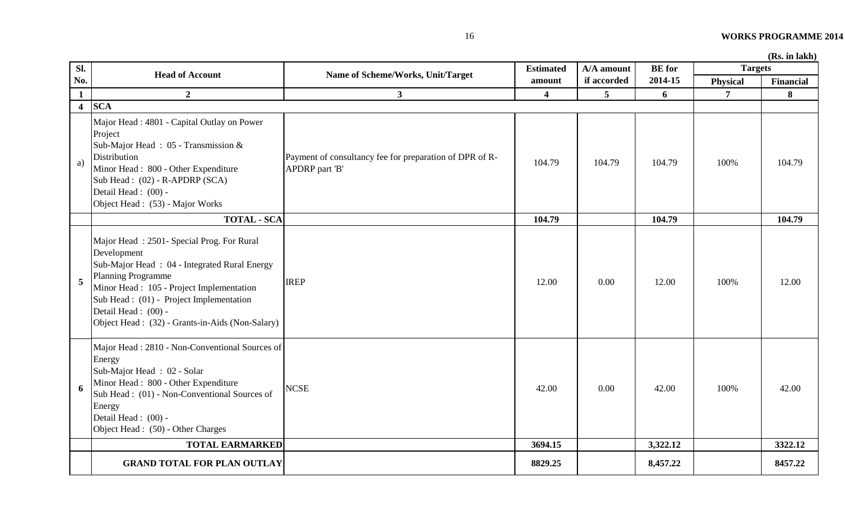| Sl.                     | <b>Head of Account</b>                                                                                                                                                                                                                                                                                  | Name of Scheme/Works, Unit/Target                                         | <b>Estimated</b>        | A/A amount  | <b>BE</b> for | <b>Targets</b> |                  |
|-------------------------|---------------------------------------------------------------------------------------------------------------------------------------------------------------------------------------------------------------------------------------------------------------------------------------------------------|---------------------------------------------------------------------------|-------------------------|-------------|---------------|----------------|------------------|
| No.                     |                                                                                                                                                                                                                                                                                                         |                                                                           | amount                  | if accorded | 2014-15       | Physical       | <b>Financial</b> |
| $\mathbf{1}$            | $\overline{2}$                                                                                                                                                                                                                                                                                          | 3 <sup>1</sup>                                                            | $\overline{\mathbf{4}}$ | 5           | 6             | $\overline{7}$ | 8                |
| $\overline{\mathbf{4}}$ | <b>SCA</b>                                                                                                                                                                                                                                                                                              |                                                                           |                         |             |               |                |                  |
| a)                      | Major Head : 4801 - Capital Outlay on Power<br>Project<br>Sub-Major Head: 05 - Transmission &<br><b>Distribution</b><br>Minor Head: 800 - Other Expenditure<br>Sub Head: (02) - R-APDRP (SCA)<br>Detail Head: (00) -<br>Object Head : (53) - Major Works                                                | Payment of consultancy fee for preparation of DPR of R-<br>APDRP part 'B' | 104.79                  | 104.79      | 104.79        | 100%           | 104.79           |
|                         | <b>TOTAL - SCA</b>                                                                                                                                                                                                                                                                                      |                                                                           | 104.79                  |             | 104.79        |                | 104.79           |
| 5                       | Major Head: 2501- Special Prog. For Rural<br>Development<br>Sub-Major Head: 04 - Integrated Rural Energy<br><b>Planning Programme</b><br>Minor Head: 105 - Project Implementation<br>Sub Head : (01) - Project Implementation<br>Detail Head: (00) -<br>Object Head: (32) - Grants-in-Aids (Non-Salary) | <b>IREP</b>                                                               | 12.00                   | 0.00        | 12.00         | 100%           | 12.00            |
| 6                       | Major Head: 2810 - Non-Conventional Sources of<br>Energy<br>Sub-Major Head: 02 - Solar<br>Minor Head: 800 - Other Expenditure<br>Sub Head: (01) - Non-Conventional Sources of<br>Energy<br>Detail Head: (00) -<br>Object Head : (50) - Other Charges                                                    | <b>NCSE</b>                                                               | 42.00                   | 0.00        | 42.00         | 100%           | 42.00            |
|                         | <b>TOTAL EARMARKED</b>                                                                                                                                                                                                                                                                                  |                                                                           | 3694.15                 |             | 3,322.12      |                | 3322.12          |
|                         | <b>GRAND TOTAL FOR PLAN OUTLAY</b>                                                                                                                                                                                                                                                                      |                                                                           | 8829.25                 |             | 8,457.22      |                | 8457.22          |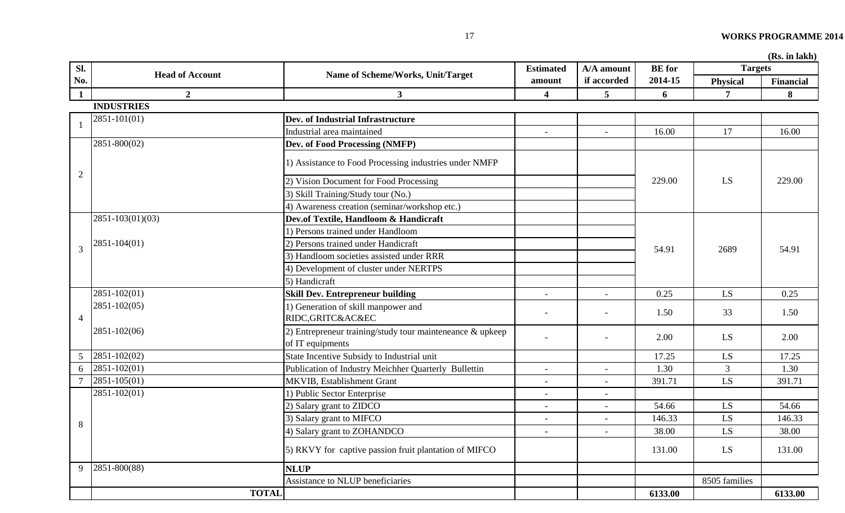| Sl.             | <b>Head of Account</b> |                                                                               | <b>Estimated</b>         | A/A amount               | <b>BE</b> for | <b>Targets</b>         |                  |
|-----------------|------------------------|-------------------------------------------------------------------------------|--------------------------|--------------------------|---------------|------------------------|------------------|
| No.             |                        | Name of Scheme/Works, Unit/Target                                             | amount                   | if accorded              | 2014-15       | <b>Physical</b>        | <b>Financial</b> |
| $\mathbf{1}$    | $\overline{2}$         | $\mathbf{3}$                                                                  | $\overline{\mathbf{4}}$  | 5                        | 6             | 7                      | 8                |
|                 | <b>INDUSTRIES</b>      |                                                                               |                          |                          |               |                        |                  |
|                 | 2851-101(01)           | Dev. of Industrial Infrastructure                                             |                          |                          |               |                        |                  |
|                 |                        | Industrial area maintained                                                    | $\overline{\phantom{a}}$ | $\overline{\phantom{a}}$ | 16.00         | 17                     | 16.00            |
|                 | 2851-800(02)           | Dev. of Food Processing (NMFP)                                                |                          |                          |               |                        |                  |
|                 |                        | 1) Assistance to Food Processing industries under NMFP                        |                          |                          |               |                        |                  |
| $\overline{2}$  |                        | 2) Vision Document for Food Processing                                        |                          |                          | 229.00        | LS                     | 229.00           |
|                 |                        | 3) Skill Training/Study tour (No.)                                            |                          |                          |               |                        |                  |
|                 |                        | 4) Awareness creation (seminar/workshop etc.)                                 |                          |                          |               |                        |                  |
|                 | 2851-103(01)(03)       | Dev.of Textile, Handloom & Handicraft                                         |                          |                          |               |                        |                  |
|                 |                        | 1) Persons trained under Handloom                                             |                          |                          |               |                        |                  |
| 3               | 2851-104(01)           | 2) Persons trained under Handicraft                                           |                          |                          | 54.91         | 2689                   | 54.91            |
|                 |                        | 3) Handloom societies assisted under RRR                                      |                          |                          |               |                        |                  |
|                 |                        | 4) Development of cluster under NERTPS                                        |                          |                          |               |                        |                  |
|                 |                        | 5) Handicraft                                                                 |                          |                          |               |                        |                  |
|                 | 2851-102(01)           | <b>Skill Dev. Entrepreneur building</b>                                       | $\overline{\phantom{a}}$ | $\overline{\phantom{a}}$ | 0.25          | LS                     | 0.25             |
| $\overline{4}$  | 2851-102(05)           | 1) Generation of skill manpower and<br>RIDC, GRITC& AC&EC                     |                          |                          | 1.50          | 33                     | 1.50             |
|                 | 2851-102(06)           | 2) Entrepreneur training/study tour mainteneance & upkeep<br>of IT equipments |                          |                          | 2.00          | LS                     | 2.00             |
| $5\overline{)}$ | 2851-102(02)           | State Incentive Subsidy to Industrial unit                                    |                          |                          | 17.25         | LS                     | 17.25            |
| 6               | 2851-102(01)           | Publication of Industry Meichher Quarterly Bullettin                          |                          |                          | 1.30          | 3                      | 1.30             |
|                 | 2851-105(01)           | MKVIB, Establishment Grant                                                    | $\overline{\phantom{a}}$ |                          | 391.71        | $\mathbf{L}\mathbf{S}$ | 391.71           |
|                 | 2851-102(01)           | 1) Public Sector Enterprise                                                   | $\overline{\phantom{a}}$ | $\overline{\phantom{a}}$ |               |                        |                  |
|                 |                        | 2) Salary grant to ZIDCO                                                      |                          |                          | 54.66         | LS                     | 54.66            |
| 8               |                        | 3) Salary grant to MIFCO                                                      |                          |                          | 146.33        | LS                     | 146.33           |
|                 |                        | 4) Salary grant to ZOHANDCO                                                   |                          |                          | 38.00         | LS                     | 38.00            |
|                 |                        | 5) RKVY for captive passion fruit plantation of MIFCO                         |                          |                          | 131.00        | LS                     | 131.00           |
| 9               | 2851-800(88)           | <b>NLUP</b>                                                                   |                          |                          |               |                        |                  |
|                 |                        | Assistance to NLUP beneficiaries                                              |                          |                          |               | 8505 families          |                  |
|                 | <b>TOTAL</b>           |                                                                               |                          |                          | 6133.00       |                        | 6133.00          |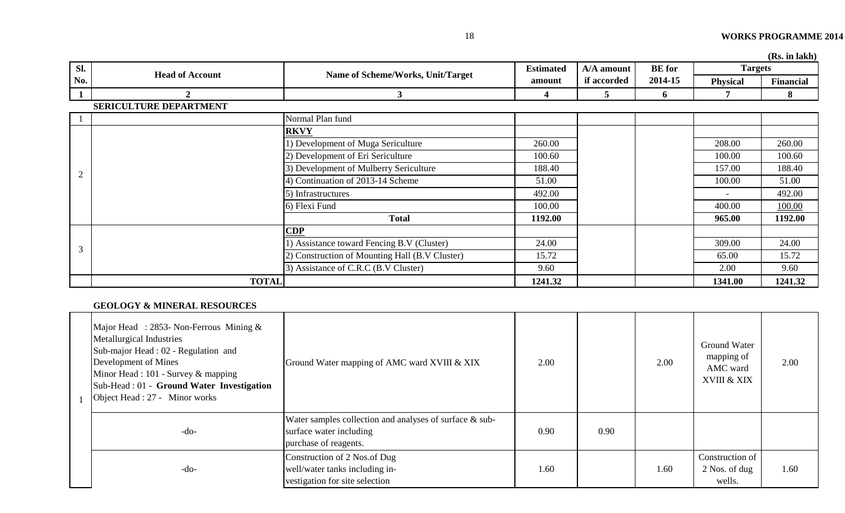|                |                               |                                                |                  |             |               |                 | (Rs. in lakh) |
|----------------|-------------------------------|------------------------------------------------|------------------|-------------|---------------|-----------------|---------------|
| Sl.            | <b>Head of Account</b>        |                                                | <b>Estimated</b> | A/A amount  | <b>BE</b> for | <b>Targets</b>  |               |
| No.            |                               | Name of Scheme/Works, Unit/Target              | amount           | if accorded | 2014-15       | <b>Physical</b> | Financial     |
| 1              | $\mathbf{2}$                  | $\mathbf{3}$                                   | 4                | 5           | 6             |                 | 8             |
|                | <b>SERICULTURE DEPARTMENT</b> |                                                |                  |             |               |                 |               |
|                |                               | Normal Plan fund                               |                  |             |               |                 |               |
|                |                               | <b>RKVY</b>                                    |                  |             |               |                 |               |
|                |                               | 1) Development of Muga Sericulture             | 260.00           |             |               | 208.00          | 260.00        |
|                |                               | 2) Development of Eri Sericulture              | 100.60           |             |               | 100.00          | 100.60        |
| $\overline{2}$ |                               | 3) Development of Mulberry Sericulture         | 188.40           |             |               | 157.00          | 188.40        |
|                |                               | 4) Continuation of 2013-14 Scheme              | 51.00            |             |               | 100.00          | 51.00         |
|                |                               | 5) Infrastructures                             | 492.00           |             |               |                 | 492.00        |
|                |                               | 6) Flexi Fund                                  | 100.00           |             |               | 400.00          | 100.00        |
|                |                               | <b>Total</b>                                   | 1192.00          |             |               | 965.00          | 1192.00       |
|                |                               | CDP                                            |                  |             |               |                 |               |
| 3              |                               | 1) Assistance toward Fencing B.V (Cluster)     | 24.00            |             |               | 309.00          | 24.00         |
|                |                               | 2) Construction of Mounting Hall (B.V Cluster) | 15.72            |             |               | 65.00           | 15.72         |
|                |                               | 3) Assistance of C.R.C (B.V Cluster)           | 9.60             |             |               | 2.00            | 9.60          |
|                | <b>TOTAL</b>                  |                                                | 1241.32          |             |               | 1341.00         | 1241.32       |

# **GEOLOGY & MINERAL RESOURCES**

| Major Head : 2853- Non-Ferrous Mining $&$<br><b>Metallurgical Industries</b><br>Sub-major Head : 02 - Regulation and<br>Development of Mines<br>Minor Head : 101 - Survey & mapping<br>Sub-Head : 01 - Ground Water Investigation<br>Object Head : 27 - Minor works | Ground Water mapping of AMC ward XVIII & XIX                                                                | 2.00 |      | 2.00 | Ground Water<br>mapping of<br>AMC ward<br>XVIII & XIX | 2.00 |
|---------------------------------------------------------------------------------------------------------------------------------------------------------------------------------------------------------------------------------------------------------------------|-------------------------------------------------------------------------------------------------------------|------|------|------|-------------------------------------------------------|------|
| $-do-$                                                                                                                                                                                                                                                              | Water samples collection and analyses of surface & sub-<br>surface water including<br>purchase of reagents. | 0.90 | 0.90 |      |                                                       |      |
| $-do-$                                                                                                                                                                                                                                                              | Construction of 2 Nos.of Dug<br>well/water tanks including in-<br>vestigation for site selection            | 1.60 |      | 1.60 | Construction of<br>2 Nos. of dug<br>wells.            | 1.60 |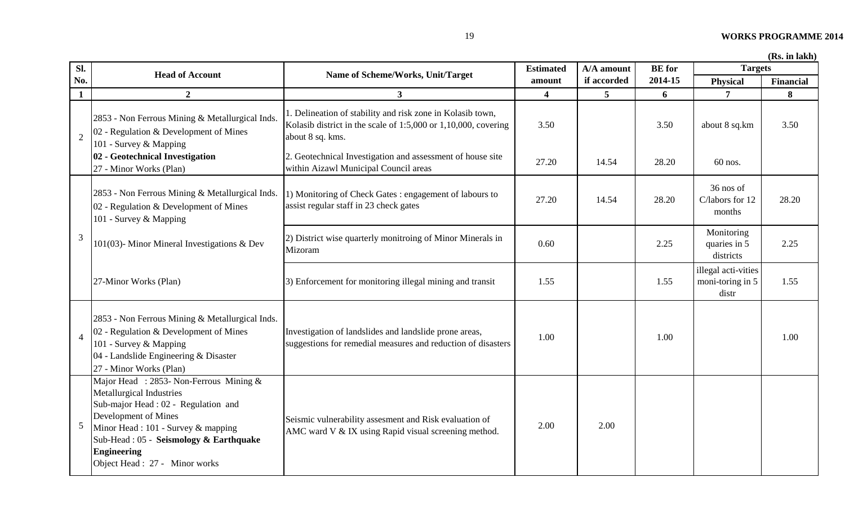| Sl.                      | <b>Head of Account</b>                                                                                                                                                                                                                                                | Name of Scheme/Works, Unit/Target                                                                                                                     | <b>Estimated</b>        | A/A amount  | <b>BE</b> for | <b>Targets</b>                                   |                  |
|--------------------------|-----------------------------------------------------------------------------------------------------------------------------------------------------------------------------------------------------------------------------------------------------------------------|-------------------------------------------------------------------------------------------------------------------------------------------------------|-------------------------|-------------|---------------|--------------------------------------------------|------------------|
| No.                      |                                                                                                                                                                                                                                                                       |                                                                                                                                                       | amount                  | if accorded | 2014-15       | Physical                                         | <b>Financial</b> |
| $\mathbf{1}$             | $\overline{2}$                                                                                                                                                                                                                                                        | 3 <sup>1</sup>                                                                                                                                        | $\overline{\mathbf{4}}$ | 5           | 6             | $\overline{7}$                                   | 8                |
| $\overline{2}$           | 2853 - Non Ferrous Mining & Metallurgical Inds.<br>02 - Regulation & Development of Mines<br>101 - Survey & Mapping                                                                                                                                                   | 1. Delineation of stability and risk zone in Kolasib town,<br>Kolasib district in the scale of $1:5,000$ or $1,10,000$ , covering<br>about 8 sq. kms. | 3.50                    |             | 3.50          | about 8 sq.km                                    | 3.50             |
|                          | 02 - Geotechnical Investigation<br>27 - Minor Works (Plan)                                                                                                                                                                                                            | 2. Geotechnical Investigation and assessment of house site<br>within Aizawl Municipal Council areas                                                   | 27.20                   | 14.54       | 28.20         | $60$ nos.                                        |                  |
|                          | 2853 - Non Ferrous Mining & Metallurgical Inds.<br>02 - Regulation & Development of Mines<br>101 - Survey & Mapping                                                                                                                                                   | 1) Monitoring of Check Gates : engagement of labours to<br>assist regular staff in 23 check gates                                                     | 27.20                   | 14.54       | 28.20         | 36 nos of<br>C/labors for 12<br>months           | 28.20            |
| 3                        | 101(03)- Minor Mineral Investigations & Dev                                                                                                                                                                                                                           | 2) District wise quarterly monitroing of Minor Minerals in<br>Mizoram                                                                                 | 0.60                    |             | 2.25          | Monitoring<br>quaries in 5<br>districts          | 2.25             |
|                          | 27-Minor Works (Plan)                                                                                                                                                                                                                                                 | 3) Enforcement for monitoring illegal mining and transit                                                                                              | 1.55                    |             | 1.55          | illegal acti-vities<br>moni-toring in 5<br>distr | 1.55             |
| $\overline{\mathcal{A}}$ | 2853 - Non Ferrous Mining & Metallurgical Inds.<br>02 - Regulation & Development of Mines<br>101 - Survey & Mapping<br>04 - Landslide Engineering & Disaster<br>27 - Minor Works (Plan)                                                                               | Investigation of landslides and landslide prone areas,<br>suggestions for remedial measures and reduction of disasters                                | 1.00                    |             | 1.00          |                                                  | 1.00             |
| 5                        | Major Head : 2853- Non-Ferrous Mining &<br>Metallurgical Industries<br>Sub-major Head : 02 - Regulation and<br>Development of Mines<br>Minor Head : 101 - Survey & mapping<br>Sub-Head: 05 - Seismology & Earthquake<br>Engineering<br>Object Head : 27 - Minor works | Seismic vulnerability assesment and Risk evaluation of<br>AMC ward V & IX using Rapid visual screening method.                                        | 2.00                    | 2.00        |               |                                                  |                  |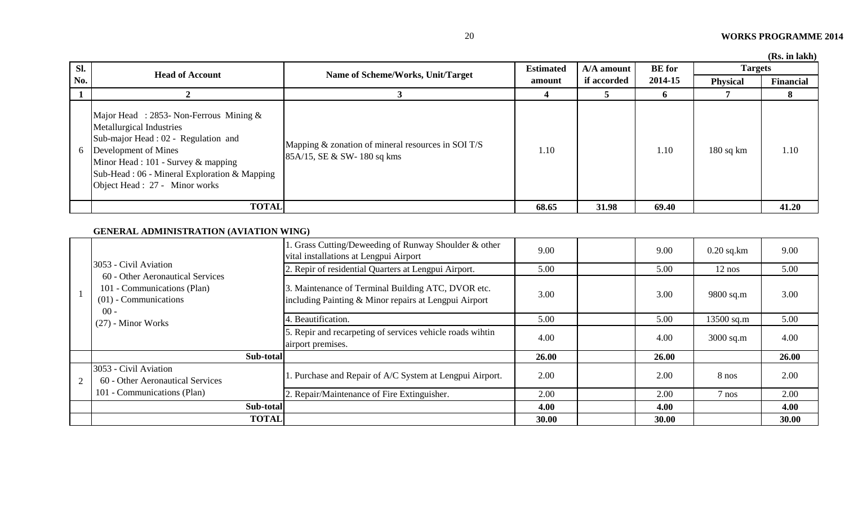|  | (Rs. in lakh) |  |
|--|---------------|--|
|  |               |  |

| Sl. | <b>Head of Account</b>                                                                                                                                                                                                                                          |                                                                                     | <b>Estimated</b> | A/A amount  | <b>BE</b> for | <b>Targets</b>  | <b>Tro: III RUMI</b> |
|-----|-----------------------------------------------------------------------------------------------------------------------------------------------------------------------------------------------------------------------------------------------------------------|-------------------------------------------------------------------------------------|------------------|-------------|---------------|-----------------|----------------------|
| No. |                                                                                                                                                                                                                                                                 | Name of Scheme/Works, Unit/Target                                                   | amount           | if accorded | 2014-15       | <b>Physical</b> | Financial            |
|     |                                                                                                                                                                                                                                                                 |                                                                                     |                  |             | O.            |                 |                      |
| 6   | Major Head : 2853- Non-Ferrous Mining $&$<br>Metallurgical Industries<br>Sub-major Head : 02 - Regulation and<br>Development of Mines<br>Minor Head : 101 - Survey & mapping<br>Sub-Head : 06 - Mineral Exploration & Mapping<br>Object Head : 27 - Minor works | Mapping & zonation of mineral resources in SOI T/S<br>$85A/15$ , SE & SW-180 sq kms | 1.10             |             | 1.10          | $180$ sq km     | 1.10                 |
|     | <b>TOTAL</b>                                                                                                                                                                                                                                                    |                                                                                     | 68.65            | 31.98       | 69.40         |                 | 41.20                |

# **GENERAL ADMINISTRATION (AVIATION WING)**

|   |                                                                                                                              | . Grass Cutting/Deweeding of Runway Shoulder & other<br>vital installations at Lengpui Airport              | 9.00  | 9.00  | $0.20$ sq.km | 9.00  |
|---|------------------------------------------------------------------------------------------------------------------------------|-------------------------------------------------------------------------------------------------------------|-------|-------|--------------|-------|
|   | 3053 - Civil Aviation                                                                                                        | 2. Repir of residential Quarters at Lengpui Airport.                                                        | 5.00  | 5.00  | $12$ nos     | 5.00  |
|   | 60 - Other Aeronautical Services<br>101 - Communications (Plan)<br>$(01)$ - Communications<br>$00 -$<br>$(27)$ - Minor Works | 3. Maintenance of Terminal Building ATC, DVOR etc.<br>including Painting & Minor repairs at Lengpui Airport | 3.00  | 3.00  | 9800 sq.m    | 3.00  |
|   |                                                                                                                              | 4. Beautification.                                                                                          | 5.00  | 5.00  | $13500$ sq.m | 5.00  |
|   |                                                                                                                              | 5. Repir and recarpeting of services vehicle roads wihtin<br>airport premises.                              | 4.00  | 4.00  | $3000$ sq.m  | 4.00  |
|   | Sub-total                                                                                                                    |                                                                                                             | 26.00 | 26.00 |              | 26.00 |
| 2 | 3053 - Civil Aviation<br>60 - Other Aeronautical Services                                                                    | 1. Purchase and Repair of A/C System at Lengpui Airport.                                                    | 2.00  | 2.00  | 8 nos        | 2.00  |
|   | 101 - Communications (Plan)                                                                                                  | 2. Repair/Maintenance of Fire Extinguisher.                                                                 | 2.00  | 2.00  | $7$ nos      | 2.00  |
|   | Sub-total                                                                                                                    |                                                                                                             | 4.00  | 4.00  |              | 4.00  |
|   | <b>TOTAL</b>                                                                                                                 |                                                                                                             | 30.00 | 30.00 |              | 30.00 |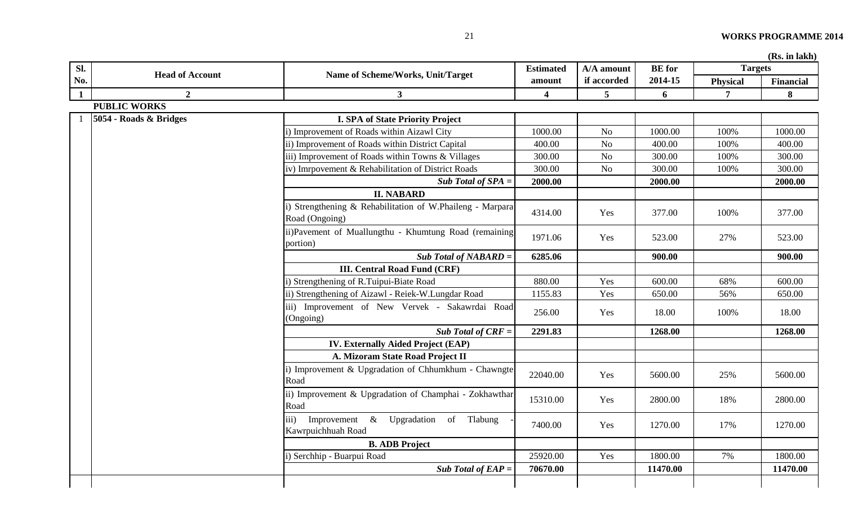| Sl.          | <b>Head of Account</b> | Name of Scheme/Works, Unit/Target                                              | <b>Estimated</b>        | A/A amount      | <b>BE</b> for | <b>Targets</b>  |                  |
|--------------|------------------------|--------------------------------------------------------------------------------|-------------------------|-----------------|---------------|-----------------|------------------|
| No.          |                        |                                                                                | amount                  | if accorded     | 2014-15       | <b>Physical</b> | <b>Financial</b> |
| $\mathbf{1}$ | $\boldsymbol{2}$       | $\mathbf{3}$                                                                   | $\overline{\mathbf{4}}$ | $5\overline{)}$ | 6             | $7\overline{ }$ | 8                |
|              | <b>PUBLIC WORKS</b>    |                                                                                |                         |                 |               |                 |                  |
|              | 5054 - Roads & Bridges | <b>I. SPA of State Priority Project</b>                                        |                         |                 |               |                 |                  |
|              |                        | i) Improvement of Roads within Aizawl City                                     | 1000.00                 | N <sub>o</sub>  | 1000.00       | 100%            | 1000.00          |
|              |                        | ii) Improvement of Roads within District Capital                               | 400.00                  | No              | 400.00        | 100%            | 400.00           |
|              |                        | iii) Improvement of Roads within Towns & Villages                              | 300.00                  | $\rm No$        | 300.00        | 100%            | 300.00           |
|              |                        | iv) Imrpovement & Rehabilitation of District Roads                             | 300.00                  | No              | 300.00        | 100%            | 300.00           |
|              |                        | Sub Total of $SPA =$                                                           | 2000.00                 |                 | 2000.00       |                 | 2000.00          |
|              |                        | <b>II. NABARD</b>                                                              |                         |                 |               |                 |                  |
|              |                        | i) Strengthening & Rehabilitation of W.Phaileng - Marpara<br>Road (Ongoing)    | 4314.00                 | Yes             | 377.00        | 100%            | 377.00           |
|              |                        | ii)Pavement of Muallungthu - Khumtung Road (remaining<br>portion)              | 1971.06                 | Yes             | 523.00        | 27%             | 523.00           |
|              |                        | $Sub Total of NABARD =$                                                        | 6285.06                 |                 | 900.00        |                 | 900.00           |
|              |                        | <b>III. Central Road Fund (CRF)</b>                                            |                         |                 |               |                 |                  |
|              |                        | i) Strengthening of R.Tuipui-Biate Road                                        | 880.00                  | Yes             | 600.00        | 68%             | 600.00           |
|              |                        | ii) Strengthening of Aizawl - Reiek-W.Lungdar Road                             | 1155.83                 | Yes             | 650.00        | 56%             | 650.00           |
|              |                        | iii) Improvement of New Vervek - Sakawrdai Road<br>(Ongoing)                   | 256.00                  | Yes             | 18.00         | 100%            | 18.00            |
|              |                        | Sub Total of $CRF =$                                                           | 2291.83                 |                 | 1268.00       |                 | 1268.00          |
|              |                        | IV. Externally Aided Project (EAP)                                             |                         |                 |               |                 |                  |
|              |                        | A. Mizoram State Road Project II                                               |                         |                 |               |                 |                  |
|              |                        | i) Improvement & Upgradation of Chhumkhum - Chawngte<br>Road                   | 22040.00                | Yes             | 5600.00       | 25%             | 5600.00          |
|              |                        | ii) Improvement & Upgradation of Champhai - Zokhawthar<br>Road                 | 15310.00                | Yes             | 2800.00       | 18%             | 2800.00          |
|              |                        | Improvement & Upgradation of Tlabung<br>$\overline{iii}$<br>Kawrpuichhuah Road | 7400.00                 | Yes             | 1270.00       | 17%             | 1270.00          |
|              |                        | <b>B. ADB Project</b>                                                          |                         |                 |               |                 |                  |
|              |                        | i) Serchhip - Buarpui Road                                                     | 25920.00                | Yes             | 1800.00       | 7%              | 1800.00          |
|              |                        | Sub Total of $EAP =$                                                           | 70670.00                |                 | 11470.00      |                 | 11470.00         |
|              |                        |                                                                                |                         |                 |               |                 |                  |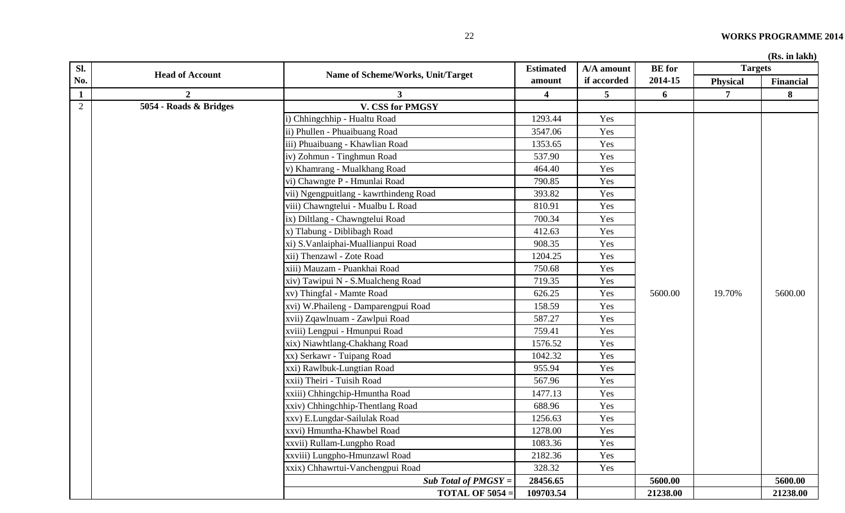| SI.            |                        |                                        | <b>Estimated</b> | A/A amount  | <b>BE</b> for | <b>Targets</b> | (15.1)           |
|----------------|------------------------|----------------------------------------|------------------|-------------|---------------|----------------|------------------|
| No.            | <b>Head of Account</b> | Name of Scheme/Works, Unit/Target      | amount           | if accorded | 2014-15       | Physical       | <b>Financial</b> |
| $\mathbf{1}$   | $\mathbf{2}$           | 3                                      | 4                | 5           | 6             | 7              | 8                |
| $\overline{2}$ | 5054 - Roads & Bridges | V. CSS for PMGSY                       |                  |             |               |                |                  |
|                |                        | i) Chhingchhip - Hualtu Road           | 1293.44          | Yes         |               |                |                  |
|                |                        | ii) Phullen - Phuaibuang Road          | 3547.06          | Yes         |               |                |                  |
|                |                        | iii) Phuaibuang - Khawlian Road        | 1353.65          | Yes         |               |                |                  |
|                |                        | iv) Zohmun - Tinghmun Road             | 537.90           | Yes         |               |                |                  |
|                |                        | v) Khamrang - Mualkhang Road           | 464.40           | Yes         |               |                |                  |
|                |                        | vi) Chawngte P - Hmunlai Road          | 790.85           | Yes         |               |                |                  |
|                |                        | vii) Ngengpuitlang - kawrthindeng Road | 393.82           | Yes         |               |                |                  |
|                |                        | viii) Chawngtelui - Mualbu L Road      | 810.91           | Yes         |               |                |                  |
|                |                        | ix) Diltlang - Chawngtelui Road        | 700.34           | Yes         |               |                |                  |
|                |                        | x) Tlabung - Diblibagh Road            | 412.63           | Yes         |               |                |                  |
|                |                        | xi) S. Vanlaiphai-Muallianpui Road     | 908.35           | Yes         |               |                |                  |
|                |                        | xii) Thenzawl - Zote Road              | 1204.25          | Yes         |               |                |                  |
|                |                        | xiii) Mauzam - Puankhai Road           | 750.68           | Yes         |               |                |                  |
|                |                        | xiv) Tawipui N - S.Mualcheng Road      | 719.35           | Yes         |               |                |                  |
|                |                        | xv) Thingfal - Mamte Road              | 626.25           | Yes         | 5600.00       | 19.70%         | 5600.00          |
|                |                        | xvi) W.Phaileng - Damparengpui Road    | 158.59           | Yes         |               |                |                  |
|                |                        | xvii) Zqawlnuam - Zawlpui Road         | 587.27           | Yes         |               |                |                  |
|                |                        | xviii) Lengpui - Hmunpui Road          | 759.41           | Yes         |               |                |                  |
|                |                        | xix) Niawhtlang-Chakhang Road          | 1576.52          | Yes         |               |                |                  |
|                |                        | xx) Serkawr - Tuipang Road             | 1042.32          | Yes         |               |                |                  |
|                |                        | xxi) Rawlbuk-Lungtian Road             | 955.94           | Yes         |               |                |                  |
|                |                        | xxii) Theiri - Tuisih Road             | 567.96           | Yes         |               |                |                  |
|                |                        | xxiii) Chhingchip-Hmuntha Road         | 1477.13          | Yes         |               |                |                  |
|                |                        | xxiv) Chhingchhip-Thentlang Road       | 688.96           | Yes         |               |                |                  |
|                |                        | xxv) E.Lungdar-Sailulak Road           | 1256.63          | Yes         |               |                |                  |
|                |                        | xxvi) Hmuntha-Khawbel Road             | 1278.00          | Yes         |               |                |                  |
|                |                        | xxvii) Rullam-Lungpho Road             | 1083.36          | Yes         |               |                |                  |
|                |                        | xxviii) Lungpho-Hmunzawl Road          | 2182.36          | Yes         |               |                |                  |
|                |                        | xxix) Chhawrtui-Vanchengpui Road       | 328.32           | Yes         |               |                |                  |
|                |                        | Sub Total of $PMGSY =$                 | 28456.65         |             | 5600.00       |                | 5600.00          |
|                |                        | <b>TOTAL OF 5054 =</b>                 | 109703.54        |             | 21238.00      |                | 21238.00         |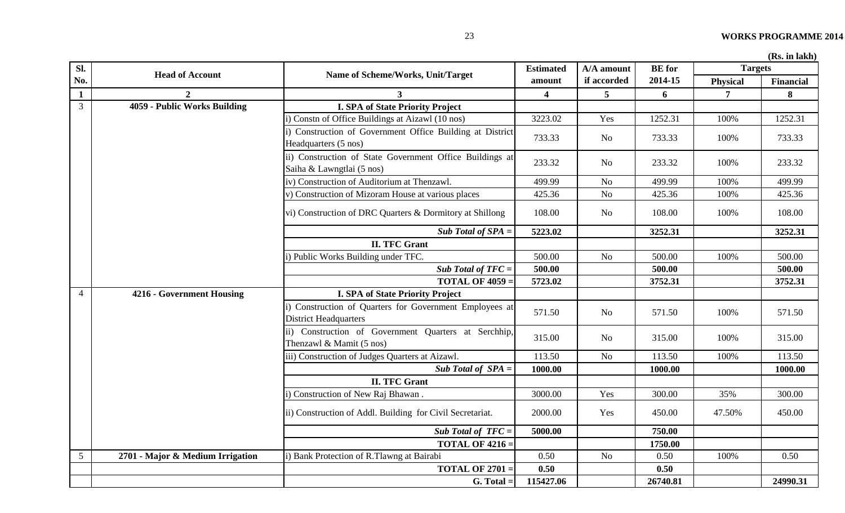| Sl.             | <b>Head of Account</b>           | Name of Scheme/Works, Unit/Target                                                          | <b>Estimated</b>        | A/A amount     | <b>BE</b> for | <b>Targets</b>  |           |
|-----------------|----------------------------------|--------------------------------------------------------------------------------------------|-------------------------|----------------|---------------|-----------------|-----------|
| No.             |                                  |                                                                                            | amount                  | if accorded    | 2014-15       | <b>Physical</b> | Financial |
| $\mathbf{1}$    |                                  | $\mathbf{3}$                                                                               | $\overline{\mathbf{4}}$ | 5              | 6             | $\overline{7}$  | 8         |
| $\overline{3}$  | 4059 - Public Works Building     | <b>I. SPA of State Priority Project</b>                                                    |                         |                |               |                 |           |
|                 |                                  | i) Constn of Office Buildings at Aizawl (10 nos)                                           | 3223.02                 | Yes            | 1252.31       | 100%            | 1252.31   |
|                 |                                  | i) Construction of Government Office Building at District<br>Headquarters (5 nos)          | 733.33                  | No             | 733.33        | 100%            | 733.33    |
|                 |                                  | ii) Construction of State Government Office Buildings at<br>Saiha & Lawngtlai (5 nos)      | 233.32                  | N <sub>o</sub> | 233.32        | 100%            | 233.32    |
|                 |                                  | iv) Construction of Auditorium at Thenzawl.                                                | 499.99                  | N <sub>o</sub> | 499.99        | 100%            | 499.99    |
|                 |                                  | v) Construction of Mizoram House at various places                                         | 425.36                  | $\rm No$       | 425.36        | 100%            | 425.36    |
|                 |                                  | vi) Construction of DRC Quarters & Dormitory at Shillong                                   | 108.00                  | No             | 108.00        | 100%            | 108.00    |
|                 |                                  | Sub Total of $SPA =$                                                                       | 5223.02                 |                | 3252.31       |                 | 3252.31   |
|                 |                                  | <b>II. TFC Grant</b>                                                                       |                         |                |               |                 |           |
|                 |                                  | i) Public Works Building under TFC.                                                        | 500.00                  | No             | 500.00        | 100%            | 500.00    |
|                 |                                  | Sub Total of $TFC =$                                                                       | 500.00                  |                | 500.00        |                 | 500.00    |
|                 |                                  | <b>TOTAL OF 4059 =</b>                                                                     | 5723.02                 |                | 3752.31       |                 | 3752.31   |
| $\overline{4}$  | 4216 - Government Housing        | <b>I. SPA of State Priority Project</b>                                                    |                         |                |               |                 |           |
|                 |                                  | i) Construction of Quarters for Government Employees at<br><b>District Headquarters</b>    | 571.50                  | N <sub>o</sub> | 571.50        | 100%            | 571.50    |
|                 |                                  | ii) Construction of Government Quarters at Serchhip,<br>Thenzawl & Mamit $(5 \text{ nos})$ | 315.00                  | N <sub>o</sub> | 315.00        | 100%            | 315.00    |
|                 |                                  | iii) Construction of Judges Quarters at Aizawl.                                            | 113.50                  | $\rm No$       | 113.50        | 100%            | 113.50    |
|                 |                                  | Sub Total of $SPA =$                                                                       | 1000.00                 |                | 1000.00       |                 | 1000.00   |
|                 |                                  | <b>II. TFC Grant</b>                                                                       |                         |                |               |                 |           |
|                 |                                  | i) Construction of New Raj Bhawan.                                                         | 3000.00                 | Yes            | 300.00        | 35%             | 300.00    |
|                 |                                  | ii) Construction of Addl. Building for Civil Secretariat.                                  | 2000.00                 | Yes            | 450.00        | 47.50%          | 450.00    |
|                 |                                  | Sub Total of $TFC =$                                                                       | 5000.00                 |                | 750.00        |                 |           |
|                 |                                  | <b>TOTAL OF 4216 =</b>                                                                     |                         |                | 1750.00       |                 |           |
| $5\overline{)}$ | 2701 - Major & Medium Irrigation | i) Bank Protection of R.Tlawng at Bairabi                                                  | 0.50                    | No             | 0.50          | 100%            | 0.50      |
|                 |                                  | <b>TOTAL OF 2701 :</b>                                                                     | 0.50                    |                | 0.50          |                 |           |
|                 |                                  | $G. Total =$                                                                               | 115427.06               |                | 26740.81      |                 | 24990.31  |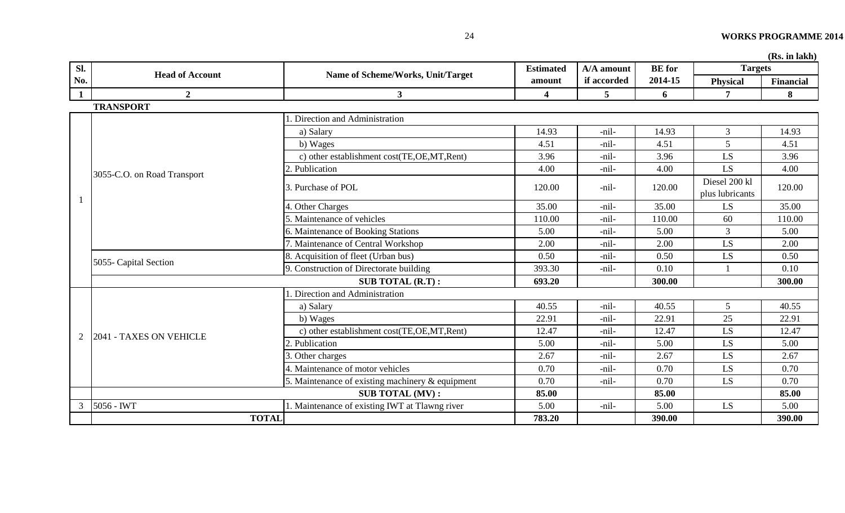**(Rs. in lakh)**

| Sl.          |                             |                                                  | A/A amount<br><b>Estimated</b><br>Name of Scheme/Works, Unit/Target | <b>BE</b> for | <b>Targets</b> | (M <sub>o</sub> , III IdAll)     |                  |
|--------------|-----------------------------|--------------------------------------------------|---------------------------------------------------------------------|---------------|----------------|----------------------------------|------------------|
| No.          | <b>Head of Account</b>      |                                                  | amount                                                              | if accorded   | 2014-15        | <b>Physical</b>                  | <b>Financial</b> |
| $\mathbf{1}$ | $\overline{2}$              | 3 <sup>1</sup>                                   | 4                                                                   | 5             | 6              | $\tau$                           | 8                |
|              | <b>TRANSPORT</b>            |                                                  |                                                                     |               |                |                                  |                  |
|              |                             | Direction and Administration                     |                                                                     |               |                |                                  |                  |
|              |                             | a) Salary                                        | 14.93                                                               | -nil-         | 14.93          | 3                                | 14.93            |
|              |                             | b) Wages                                         | 4.51                                                                | -nil-         | 4.51           | $5\overline{)}$                  | 4.51             |
|              |                             | c) other establishment cost(TE,OE,MT,Rent)       | 3.96                                                                | -nil-         | 3.96           | LS                               | 3.96             |
|              | 3055-C.O. on Road Transport | 2. Publication                                   | 4.00                                                                | -nil-         | 4.00           | LS.                              | 4.00             |
|              |                             | 3. Purchase of POL                               | 120.00                                                              | -nil-         | 120.00         | Diesel 200 kl<br>plus lubricants | 120.00           |
|              |                             | 4. Other Charges                                 | 35.00                                                               | -nil-         | 35.00          | LS                               | 35.00            |
|              |                             | 5. Maintenance of vehicles                       | 110.00                                                              | -nil-         | 110.00         | 60                               | 110.00           |
|              |                             | 6. Maintenance of Booking Stations               | 5.00                                                                | -nil-         | 5.00           | 3                                | 5.00             |
|              |                             | 7. Maintenance of Central Workshop               | 2.00                                                                | -nil-         | 2.00           | LS.                              | 2.00             |
|              | 5055- Capital Section       | 8. Acquisition of fleet (Urban bus)              | 0.50                                                                | -nil-         | 0.50           | LS                               | 0.50             |
|              |                             | 9. Construction of Directorate building          | 393.30                                                              | -nil-         | 0.10           |                                  | 0.10             |
|              |                             | <b>SUB TOTAL (R.T):</b>                          | 693.20                                                              |               | 300.00         |                                  | 300.00           |
|              |                             | Direction and Administration                     |                                                                     |               |                |                                  |                  |
|              |                             | a) Salary                                        | 40.55                                                               | -nil-         | 40.55          | 5                                | 40.55            |
|              |                             | b) Wages                                         | 22.91                                                               | -nil-         | 22.91          | 25                               | 22.91            |
| 2            | 2041 - TAXES ON VEHICLE     | c) other establishment cost(TE,OE,MT,Rent)       | 12.47                                                               | -nil-         | 12.47          | LS                               | 12.47            |
|              |                             | 2. Publication                                   | 5.00                                                                | -nil-         | 5.00           | $\mathbf{L}\mathbf{S}$           | 5.00             |
|              |                             | 3. Other charges                                 | 2.67                                                                | -nil-         | 2.67           | LS                               | 2.67             |
|              |                             | 4. Maintenance of motor vehicles                 | 0.70                                                                | -nil-         | 0.70           | LS                               | 0.70             |
|              |                             | 5. Maintenance of existing machinery & equipment | 0.70                                                                | -nil-         | 0.70           | LS                               | 0.70             |
|              |                             | <b>SUB TOTAL (MV):</b>                           | 85.00                                                               |               | 85.00          |                                  | 85.00            |
| 3            | 5056 - IWT                  | 1. Maintenance of existing IWT at Tlawng river   | 5.00                                                                | -nil-         | 5.00           | LS.                              | 5.00             |
|              | <b>TOTAL</b>                |                                                  | 783.20                                                              |               | 390.00         |                                  | 390.00           |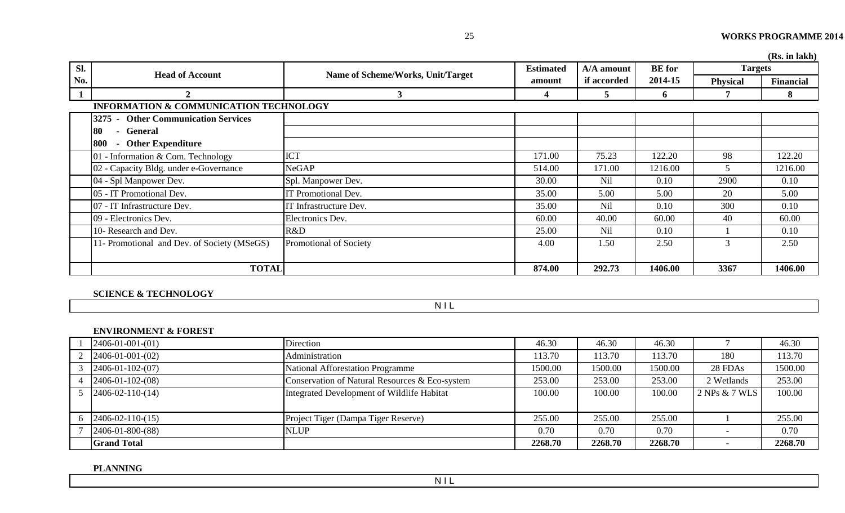|              |                                                   |                                   |                  |             |               |                 | (Rs. in lakh)    |
|--------------|---------------------------------------------------|-----------------------------------|------------------|-------------|---------------|-----------------|------------------|
| Sl.          | <b>Head of Account</b>                            | Name of Scheme/Works, Unit/Target | <b>Estimated</b> | A/A amount  | <b>BE</b> for | <b>Targets</b>  |                  |
| No.          |                                                   |                                   | amount           | if accorded | 2014-15       | <b>Physical</b> | <b>Financial</b> |
| $\mathbf{1}$ |                                                   | $\mathbf{3}$                      | 4                | 5           | 6             | 7               | 8                |
|              | <b>INFORMATION &amp; COMMUNICATION TECHNOLOGY</b> |                                   |                  |             |               |                 |                  |
|              | <b>Other Communication Services</b><br>3275       |                                   |                  |             |               |                 |                  |
|              | - General<br>180                                  |                                   |                  |             |               |                 |                  |
|              | <b>Other Expenditure</b><br> 800<br>$\sim$        |                                   |                  |             |               |                 |                  |
|              | 01 - Information & Com. Technology                | <b>ICT</b>                        | 171.00           | 75.23       | 122.20        | 98              | 122.20           |
|              | 02 - Capacity Bldg. under e-Governance            | <b>NeGAP</b>                      | 514.00           | 171.00      | 1216.00       | 5               | 1216.00          |
|              | 04 - Spl Manpower Dev.                            | Spl. Manpower Dev.                | 30.00            | <b>Nil</b>  | 0.10          | 2900            | 0.10             |
|              | 05 - IT Promotional Dev.                          | IT Promotional Dev.               | 35.00            | 5.00        | 5.00          | 20              | 5.00             |
|              | 07 - IT Infrastructure Dev.                       | IT Infrastructure Dev.            | 35.00            | <b>Nil</b>  | 0.10          | 300             | 0.10             |
|              | 09 - Electronics Dev.                             | Electronics Dev.                  | 60.00            | 40.00       | 60.00         | 40              | 60.00            |
|              | 10- Research and Dev.                             | R&D                               | 25.00            | <b>Nil</b>  | 0.10          |                 | 0.10             |
|              | 11- Promotional and Dev. of Society (MSeGS)       | Promotional of Society            | 4.00             | 1.50        | 2.50          | 3               | 2.50             |
|              |                                                   |                                   |                  |             |               |                 |                  |
|              | <b>TOTAL</b>                                      |                                   | 874.00           | 292.73      | 1406.00       | 3367            | 1406.00          |

# **SCIENCE & TECHNOLOGY**

N I L

#### **ENVIRONMENT & FOREST**

| $2406 - 01 - 001 - (01)$         | Direction                                      | 46.30   | 46.30   | 46.30   |               | 46.30   |
|----------------------------------|------------------------------------------------|---------|---------|---------|---------------|---------|
| $2406 - 01 - 001 - (02)$         | Administration                                 | 13.70   | 113.70  | 113.70  | 180           | 113.70  |
| $2406 - 01 - 102 - (07)$         | National Afforestation Programme               | 1500.00 | 1500.00 | 1500.00 | 28 FDAs       | 1500.00 |
| $2406 - 01 - 102 - (08)$         | Conservation of Natural Resources & Eco-system | 253.00  | 253.00  | 253.00  | 2 Wetlands    | 253.00  |
| $2406 - 02 - 110 - (14)$         | Integrated Development of Wildlife Habitat     | 100.00  | 100.00  | 100.00  | 2 NPs & 7 WLS | 100.00  |
| $6 \quad 2406 - 02 - 110 - (15)$ | Project Tiger (Dampa Tiger Reserve)            | 255.00  | 255.00  | 255.00  |               | 255.00  |
| $2406 - 01 - 800 - (88)$         | <b>NLUP</b>                                    | 0.70    | 0.70    | 0.70    |               | 0.70    |
| <b>Grand Total</b>               |                                                | 2268.70 | 2268.70 | 2268.70 |               | 2268.70 |

**PLANNING**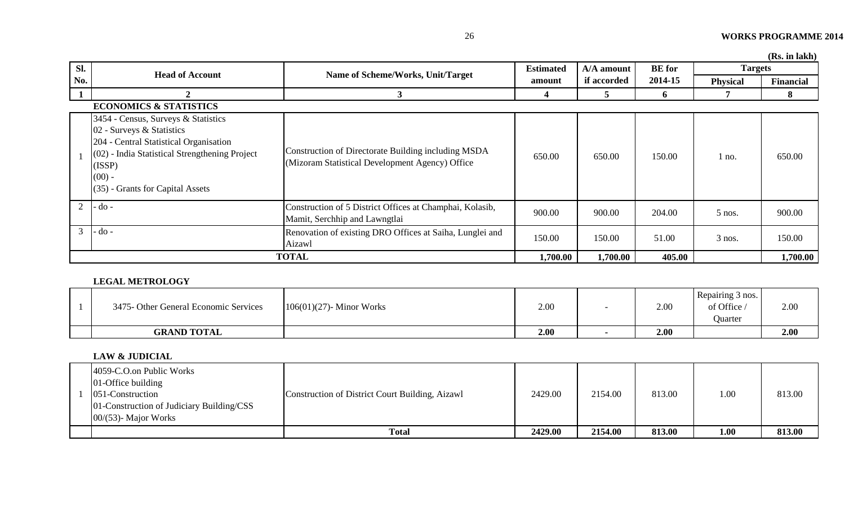| 26 | <b>WORKS PROGRAMME 2014</b> |
|----|-----------------------------|
|    |                             |

|                |                                                                                                                                                                                                                          |                                                                                                        |                  |             |               |                 | (Rs. in lakh) |
|----------------|--------------------------------------------------------------------------------------------------------------------------------------------------------------------------------------------------------------------------|--------------------------------------------------------------------------------------------------------|------------------|-------------|---------------|-----------------|---------------|
| Sl.            | <b>Head of Account</b>                                                                                                                                                                                                   | Name of Scheme/Works, Unit/Target                                                                      | <b>Estimated</b> | A/A amount  | <b>BE</b> for | <b>Targets</b>  |               |
| No.            |                                                                                                                                                                                                                          |                                                                                                        | amount           | if accorded | 2014-15       | <b>Physical</b> | Financial     |
| 1              |                                                                                                                                                                                                                          |                                                                                                        |                  |             | 6             |                 | 8             |
|                | <b>ECONOMICS &amp; STATISTICS</b>                                                                                                                                                                                        |                                                                                                        |                  |             |               |                 |               |
|                | 3454 - Census, Surveys & Statistics<br>02 - Surveys & Statistics<br>204 - Central Statistical Organisation<br>(02) - India Statistical Strengthening Project<br>(ISSP)<br>$(00)$ -<br>$(35)$ - Grants for Capital Assets | Construction of Directorate Building including MSDA<br>(Mizoram Statistical Development Agency) Office | 650.00           | 650.00      | 150.00        | 1 no.           | 650.00        |
| 2              | $d$ o -                                                                                                                                                                                                                  | Construction of 5 District Offices at Champhai, Kolasib,<br>Mamit, Serchhip and Lawngtlai              | 900.00           | 900.00      | 204.00        | $5$ nos.        | 900.00        |
| $\mathfrak{Z}$ | $-do$ -                                                                                                                                                                                                                  | Renovation of existing DRO Offices at Saiha, Lunglei and<br>Aizawl                                     | 150.00           | 150.00      | 51.00         | 3 nos.          | 150.00        |
|                |                                                                                                                                                                                                                          | <b>TOTAL</b>                                                                                           | 1,700.00         | 1,700.00    | 405.00        |                 | 1,700.00      |

#### **LEGAL METROLOGY**

| 3475 - Other General Economic Services | $106(01)(27)$ - Minor Works | 2.00 | 2.00 | Repairing 3 nos.<br>of Office<br>Quarter | $2.00\,$ |
|----------------------------------------|-----------------------------|------|------|------------------------------------------|----------|
| <b>GRAND TOTAL</b>                     |                             | 2.00 | 2.00 |                                          | 2.00     |

#### **LAW & JUDICIAL**

| 4059-C.O.on Public Works<br>$01$ -Office building<br>051-Construction<br>01-Construction of Judiciary Building/CSS<br>$00/(53)$ - Major Works | Construction of District Court Building, Aizawl | 2429.00 | 2154.00 | 813.00 | 1.00 | 813.00 |
|-----------------------------------------------------------------------------------------------------------------------------------------------|-------------------------------------------------|---------|---------|--------|------|--------|
|                                                                                                                                               | <b>Total</b>                                    | 2429.00 | 2154.00 | 813.00 | 1.00 | 813.00 |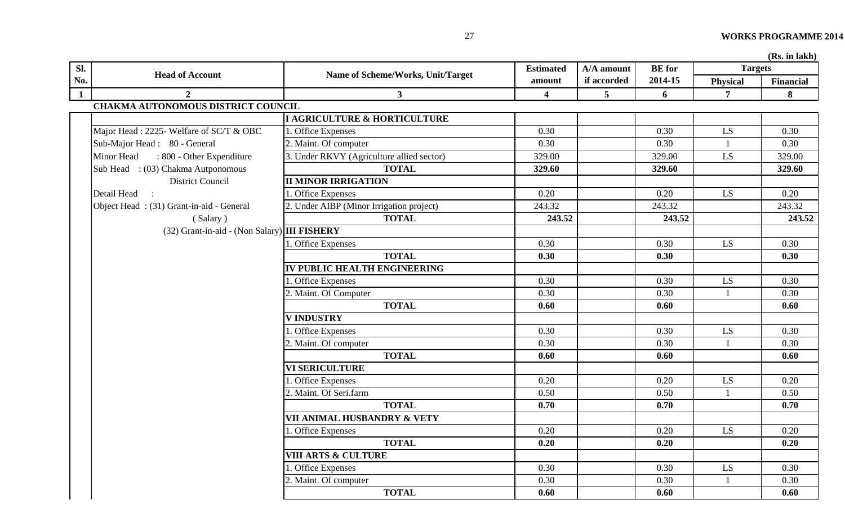| Sl.          |                                                |                                           | <b>Estimated</b>        | A/A amount     | <b>BE</b> for | <b>Targets</b>  |           |
|--------------|------------------------------------------------|-------------------------------------------|-------------------------|----------------|---------------|-----------------|-----------|
| No.          | <b>Head of Account</b>                         | Name of Scheme/Works, Unit/Target         | amount                  | if accorded    | 2014-15       | <b>Physical</b> | Financial |
| $\mathbf{1}$ | $\overline{2}$                                 | 3 <sup>1</sup>                            | $\overline{\mathbf{4}}$ | 5 <sup>5</sup> | 6             | 7               | 8         |
|              | <b>CHAKMA AUTONOMOUS DISTRICT COUNCIL</b>      |                                           |                         |                |               |                 |           |
|              |                                                | I AGRICULTURE & HORTICULTURE              |                         |                |               |                 |           |
|              | Major Head: 2225- Welfare of SC/T & OBC        | 1. Office Expenses                        | 0.30                    |                | 0.30          | LS              | 0.30      |
|              | Sub-Major Head: 80 - General                   | 2. Maint. Of computer                     | 0.30                    |                | 0.30          |                 | 0.30      |
|              | Minor Head<br>: 800 - Other Expenditure        | 3. Under RKVY (Agriculture allied sector) | 329.00                  |                | 329.00        | LS.             | 329.00    |
|              | Sub Head : (03) Chakma Autponomous             | <b>TOTAL</b>                              | 329.60                  |                | 329.60        |                 | 329.60    |
|              | <b>District Council</b>                        | <b>II MINOR IRRIGATION</b>                |                         |                |               |                 |           |
|              | Detail Head :                                  | 1. Office Expenses                        | 0.20                    |                | 0.20          | LS.             | 0.20      |
|              | Object Head: (31) Grant-in-aid - General       | 2. Under AIBP (Minor Irrigation project)  | 243.32                  |                | 243.32        |                 | 243.32    |
|              | (Salary)                                       | <b>TOTAL</b>                              | 243.52                  |                | 243.52        |                 | 243.52    |
|              | $(32)$ Grant-in-aid - (Non Salary) III FISHERY |                                           |                         |                |               |                 |           |
|              |                                                | 1. Office Expenses                        | 0.30                    |                | 0.30          | LS.             | 0.30      |
|              |                                                | <b>TOTAL</b>                              | 0.30                    |                | 0.30          |                 | 0.30      |
|              |                                                | IV PUBLIC HEALTH ENGINEERING              |                         |                |               |                 |           |
|              |                                                | 1. Office Expenses                        | 0.30                    |                | 0.30          | LS              | 0.30      |
|              |                                                | 2. Maint. Of Computer                     | 0.30                    |                | 0.30          |                 | 0.30      |
|              |                                                | <b>TOTAL</b>                              | 0.60                    |                | 0.60          |                 | 0.60      |
|              |                                                | <b>V INDUSTRY</b>                         |                         |                |               |                 |           |
|              |                                                | 1. Office Expenses                        | 0.30                    |                | 0.30          | LS              | 0.30      |
|              |                                                | 2. Maint. Of computer                     | 0.30                    |                | 0.30          |                 | 0.30      |
|              |                                                | <b>TOTAL</b>                              | 0.60                    |                | 0.60          |                 | 0.60      |
|              |                                                | <b>VI SERICULTURE</b>                     |                         |                |               |                 |           |
|              |                                                | . Office Expenses                         | 0.20                    |                | 0.20          | LS              | 0.20      |
|              |                                                | 2. Maint. Of Seri.farm                    | 0.50                    |                | 0.50          | $\mathbf{1}$    | 0.50      |
|              |                                                | <b>TOTAL</b>                              | 0.70                    |                | 0.70          |                 | 0.70      |
|              |                                                | VII ANIMAL HUSBANDRY & VETY               |                         |                |               |                 |           |
|              |                                                | 1. Office Expenses                        | 0.20                    |                | 0.20          | LS              | 0.20      |
|              |                                                | <b>TOTAL</b>                              | 0.20                    |                | 0.20          |                 | 0.20      |
|              |                                                | <b>VIII ARTS &amp; CULTURE</b>            |                         |                |               |                 |           |
|              |                                                | . Office Expenses                         | 0.30                    |                | 0.30          | LS.             | 0.30      |
|              |                                                | 2. Maint. Of computer                     | 0.30                    |                | 0.30          |                 | 0.30      |
|              |                                                | <b>TOTAL</b>                              | 0.60                    |                | 0.60          |                 | 0.60      |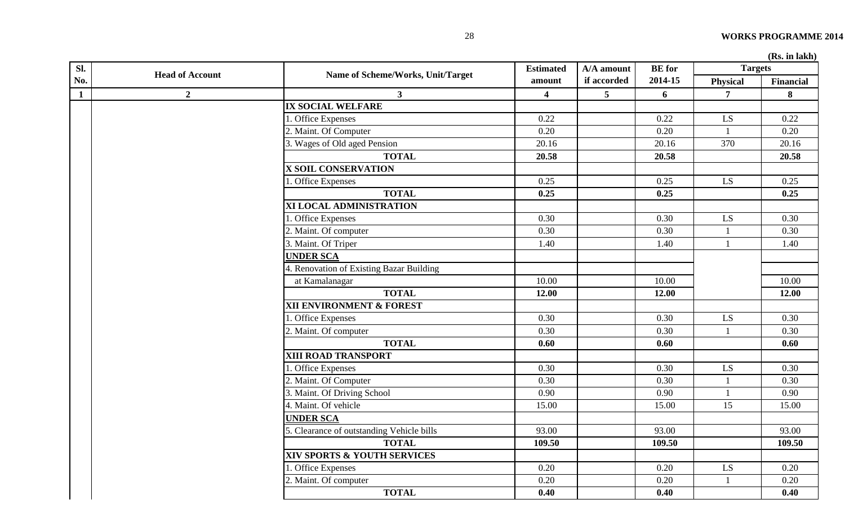| Sl.          |                        |                                           | <b>Estimated</b>        | A/A amount      | <b>BE</b> for |                 | <b>Targets</b> |  |
|--------------|------------------------|-------------------------------------------|-------------------------|-----------------|---------------|-----------------|----------------|--|
| No.          | <b>Head of Account</b> | Name of Scheme/Works, Unit/Target         | amount                  | if accorded     | 2014-15       | <b>Physical</b> | Financial      |  |
| $\mathbf{1}$ | $\overline{2}$         | $\mathbf{3}$                              | $\overline{\mathbf{4}}$ | $5\overline{)}$ | 6             | $\overline{7}$  | 8              |  |
|              |                        | <b>IX SOCIAL WELFARE</b>                  |                         |                 |               |                 |                |  |
|              |                        | 1. Office Expenses                        | 0.22                    |                 | 0.22          | LS              | 0.22           |  |
|              |                        | 2. Maint. Of Computer                     | 0.20                    |                 | 0.20          | $\overline{1}$  | 0.20           |  |
|              |                        | 3. Wages of Old aged Pension              | 20.16                   |                 | 20.16         | 370             | 20.16          |  |
|              |                        | <b>TOTAL</b>                              | 20.58                   |                 | 20.58         |                 | 20.58          |  |
|              |                        | <b>X SOIL CONSERVATION</b>                |                         |                 |               |                 |                |  |
|              |                        | 1. Office Expenses                        | 0.25                    |                 | 0.25          | LS.             | 0.25           |  |
|              |                        | <b>TOTAL</b>                              | 0.25                    |                 | 0.25          |                 | 0.25           |  |
|              |                        | XI LOCAL ADMINISTRATION                   |                         |                 |               |                 |                |  |
|              |                        | 1. Office Expenses                        | 0.30                    |                 | 0.30          | LS.             | 0.30           |  |
|              |                        | 2. Maint. Of computer                     | 0.30                    |                 | 0.30          |                 | 0.30           |  |
|              |                        | 3. Maint. Of Triper                       | 1.40                    |                 | 1.40          |                 | 1.40           |  |
|              |                        | <b>UNDER SCA</b>                          |                         |                 |               |                 |                |  |
|              |                        | 4. Renovation of Existing Bazar Building  |                         |                 |               |                 |                |  |
|              |                        | at Kamalanagar                            | 10.00                   |                 | 10.00         |                 | 10.00          |  |
|              |                        | <b>TOTAL</b>                              | 12.00                   |                 | 12.00         |                 | 12.00          |  |
|              |                        | XII ENVIRONMENT & FOREST                  |                         |                 |               |                 |                |  |
|              |                        | 1. Office Expenses                        | 0.30                    |                 | 0.30          | LS.             | 0.30           |  |
|              |                        | 2. Maint. Of computer                     | 0.30                    |                 | 0.30          |                 | 0.30           |  |
|              |                        | <b>TOTAL</b>                              | 0.60                    |                 | 0.60          |                 | 0.60           |  |
|              |                        | XIII ROAD TRANSPORT                       |                         |                 |               |                 |                |  |
|              |                        | 1. Office Expenses                        | 0.30                    |                 | 0.30          | LS              | 0.30           |  |
|              |                        | 2. Maint. Of Computer                     | 0.30                    |                 | 0.30          |                 | 0.30           |  |
|              |                        | 3. Maint. Of Driving School               | 0.90                    |                 | 0.90          |                 | 0.90           |  |
|              |                        | 4. Maint. Of vehicle                      | 15.00                   |                 | 15.00         | 15              | 15.00          |  |
|              |                        | <b>UNDER SCA</b>                          |                         |                 |               |                 |                |  |
|              |                        | 5. Clearance of outstanding Vehicle bills | 93.00                   |                 | 93.00         |                 | 93.00          |  |
|              |                        | <b>TOTAL</b>                              | 109.50                  |                 | 109.50        |                 | 109.50         |  |
|              |                        | XIV SPORTS & YOUTH SERVICES               |                         |                 |               |                 |                |  |
|              |                        | 1. Office Expenses                        | 0.20                    |                 | 0.20          | LS              | 0.20           |  |
|              |                        | 2. Maint. Of computer                     | 0.20                    |                 | 0.20          |                 | 0.20           |  |
|              |                        | <b>TOTAL</b>                              | 0.40                    |                 | 0.40          |                 | 0.40           |  |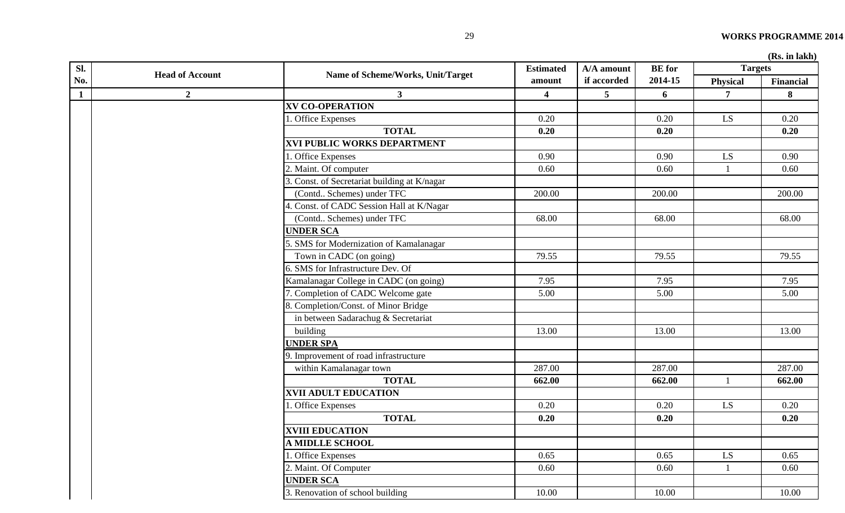|  |  | (Rs. in lakh) |
|--|--|---------------|
|--|--|---------------|

| Sl.          |                        |                                              | <b>Estimated</b>        | A/A amount      | <b>BE</b> for | <b>Targets</b> |           |
|--------------|------------------------|----------------------------------------------|-------------------------|-----------------|---------------|----------------|-----------|
| No.          | <b>Head of Account</b> | Name of Scheme/Works, Unit/Target            | amount                  | if accorded     | 2014-15       | Physical       | Financial |
| $\mathbf{1}$ | $\mathbf{2}$           | 3 <sup>1</sup>                               | $\overline{\mathbf{4}}$ | $5\overline{)}$ | 6             | 7              | 8         |
|              |                        | <b>XV CO-OPERATION</b>                       |                         |                 |               |                |           |
|              |                        | . Office Expenses                            | 0.20                    |                 | 0.20          | LS             | 0.20      |
|              |                        | <b>TOTAL</b>                                 | 0.20                    |                 | 0.20          |                | 0.20      |
|              |                        | <b>XVI PUBLIC WORKS DEPARTMENT</b>           |                         |                 |               |                |           |
|              |                        | 1. Office Expenses                           | 0.90                    |                 | 0.90          | LS             | 0.90      |
|              |                        | 2. Maint. Of computer                        | 0.60                    |                 | 0.60          | $\mathbf{1}$   | 0.60      |
|              |                        | 3. Const. of Secretariat building at K/nagar |                         |                 |               |                |           |
|              |                        | (Contd Schemes) under TFC                    | 200.00                  |                 | 200.00        |                | 200.00    |
|              |                        | 4. Const. of CADC Session Hall at K/Nagar    |                         |                 |               |                |           |
|              |                        | (Contd Schemes) under TFC                    | 68.00                   |                 | 68.00         |                | 68.00     |
|              |                        | <b>UNDER SCA</b>                             |                         |                 |               |                |           |
|              |                        | 5. SMS for Modernization of Kamalanagar      |                         |                 |               |                |           |
|              |                        | Town in CADC (on going)                      | 79.55                   |                 | 79.55         |                | 79.55     |
|              |                        | 6. SMS for Infrastructure Dev. Of            |                         |                 |               |                |           |
|              |                        | Kamalanagar College in CADC (on going)       | 7.95                    |                 | 7.95          |                | 7.95      |
|              |                        | 7. Completion of CADC Welcome gate           | 5.00                    |                 | 5.00          |                | 5.00      |
|              |                        | 8. Completion/Const. of Minor Bridge         |                         |                 |               |                |           |
|              |                        | in between Sadarachug & Secretariat          |                         |                 |               |                |           |
|              |                        | building                                     | 13.00                   |                 | 13.00         |                | 13.00     |
|              |                        | <b>UNDER SPA</b>                             |                         |                 |               |                |           |
|              |                        | 9. Improvement of road infrastructure        |                         |                 |               |                |           |
|              |                        | within Kamalanagar town                      | 287.00                  |                 | 287.00        |                | 287.00    |
|              |                        | <b>TOTAL</b>                                 | 662.00                  |                 | 662.00        | $\mathbf{1}$   | 662.00    |
|              |                        | <b>XVII ADULT EDUCATION</b>                  |                         |                 |               |                |           |
|              |                        | . Office Expenses                            | 0.20                    |                 | 0.20          | LS             | 0.20      |
|              |                        | <b>TOTAL</b>                                 | 0.20                    |                 | 0.20          |                | 0.20      |
|              |                        | <b>XVIII EDUCATION</b>                       |                         |                 |               |                |           |
|              |                        | <b>A MIDLLE SCHOOL</b>                       |                         |                 |               |                |           |
|              |                        | . Office Expenses                            | 0.65                    |                 | 0.65          | LS             | 0.65      |
|              |                        | 2. Maint. Of Computer                        | 0.60                    |                 | 0.60          | $\mathbf{1}$   | 0.60      |
|              |                        | <b>UNDER SCA</b>                             |                         |                 |               |                |           |
|              |                        | 3. Renovation of school building             | 10.00                   |                 | 10.00         |                | 10.00     |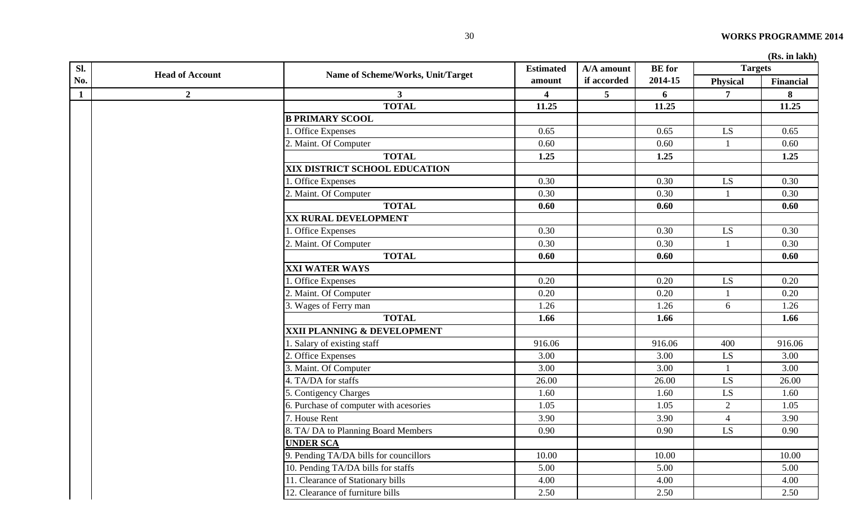| Sl.          |                        |                                        | <b>Estimated</b> | A/A amount  | <b>BE</b> for | <b>Targets</b>  | (AND: III IGINII) |
|--------------|------------------------|----------------------------------------|------------------|-------------|---------------|-----------------|-------------------|
| No.          | <b>Head of Account</b> | Name of Scheme/Works, Unit/Target      | amount           | if accorded | 2014-15       | <b>Physical</b> | <b>Financial</b>  |
| $\mathbf{1}$ | $\overline{2}$         | 3 <sup>1</sup>                         | $\boldsymbol{4}$ | 5           | 6             | $\overline{7}$  | 8                 |
|              |                        | <b>TOTAL</b>                           | 11.25            |             | 11.25         |                 | 11.25             |
|              |                        | <b>B PRIMARY SCOOL</b>                 |                  |             |               |                 |                   |
|              |                        | 1. Office Expenses                     | 0.65             |             | 0.65          | LS              | 0.65              |
|              |                        | 2. Maint. Of Computer                  | 0.60             |             | 0.60          | 1               | 0.60              |
|              |                        | <b>TOTAL</b>                           | 1.25             |             | 1.25          |                 | 1.25              |
|              |                        | XIX DISTRICT SCHOOL EDUCATION          |                  |             |               |                 |                   |
|              |                        | 1. Office Expenses                     | 0.30             |             | 0.30          | LS              | 0.30              |
|              |                        | 2. Maint. Of Computer                  | 0.30             |             | 0.30          | $\mathbf{1}$    | 0.30              |
|              |                        | <b>TOTAL</b>                           | 0.60             |             | 0.60          |                 | 0.60              |
|              |                        | XX RURAL DEVELOPMENT                   |                  |             |               |                 |                   |
|              |                        | <b>Office Expenses</b>                 | 0.30             |             | 0.30          | LS              | 0.30              |
|              |                        | 2. Maint. Of Computer                  | 0.30             |             | 0.30          | -1              | 0.30              |
|              |                        | <b>TOTAL</b>                           | 0.60             |             | 0.60          |                 | 0.60              |
|              |                        | <b>XXI WATER WAYS</b>                  |                  |             |               |                 |                   |
|              |                        | . Office Expenses                      | 0.20             |             | 0.20          | LS              | 0.20              |
|              |                        | 2. Maint. Of Computer                  | 0.20             |             | 0.20          |                 | 0.20              |
|              |                        | 3. Wages of Ferry man                  | 1.26             |             | 1.26          | 6               | 1.26              |
|              |                        | <b>TOTAL</b>                           | 1.66             |             | 1.66          |                 | 1.66              |
|              |                        | XXII PLANNING & DEVELOPMENT            |                  |             |               |                 |                   |
|              |                        | 1. Salary of existing staff            | 916.06           |             | 916.06        | 400             | 916.06            |
|              |                        | 2. Office Expenses                     | 3.00             |             | 3.00          | LS              | 3.00              |
|              |                        | 3. Maint. Of Computer                  | 3.00             |             | 3.00          | 1               | 3.00              |
|              |                        | 4. TA/DA for staffs                    | 26.00            |             | 26.00         | LS              | 26.00             |
|              |                        | 5. Contigency Charges                  | 1.60             |             | 1.60          | LS              | 1.60              |
|              |                        | 6. Purchase of computer with acesories | 1.05             |             | 1.05          | $\overline{2}$  | 1.05              |
|              |                        | 7. House Rent                          | 3.90             |             | 3.90          | $\overline{4}$  | 3.90              |
|              |                        | 8. TA/DA to Planning Board Members     | 0.90             |             | 0.90          | LS              | 0.90              |
|              |                        | <b>UNDER SCA</b>                       |                  |             |               |                 |                   |
|              |                        | 9. Pending TA/DA bills for councillors | 10.00            |             | 10.00         |                 | 10.00             |
|              |                        | 10. Pending TA/DA bills for staffs     | 5.00             |             | 5.00          |                 | 5.00              |
|              |                        | 11. Clearance of Stationary bills      | 4.00             |             | 4.00          |                 | 4.00              |
|              |                        | 12. Clearance of furniture bills       | 2.50             |             | 2.50          |                 | 2.50              |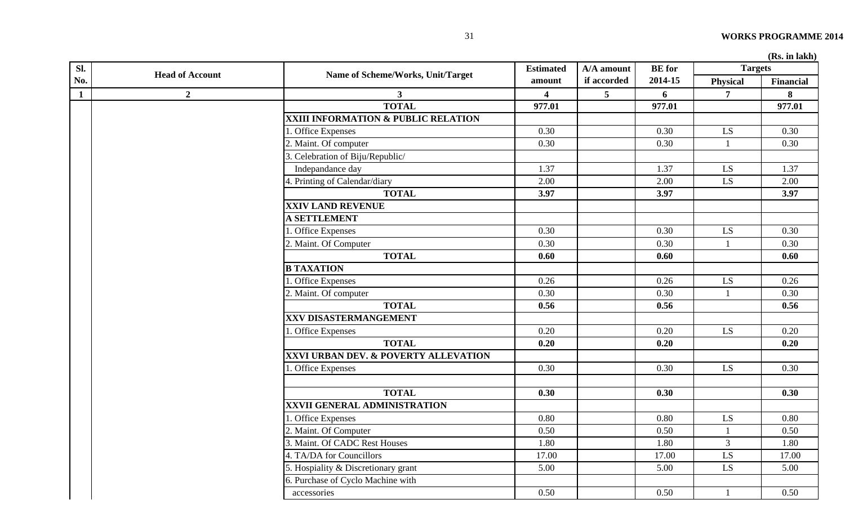| Sl.          |                        |                                      | <b>Estimated</b> | A/A amount      | <b>BE</b> for | <b>Targets</b>  | (15.1)           |
|--------------|------------------------|--------------------------------------|------------------|-----------------|---------------|-----------------|------------------|
| No.          | <b>Head of Account</b> | Name of Scheme/Works, Unit/Target    | amount           | if accorded     | 2014-15       | <b>Physical</b> | <b>Financial</b> |
| $\mathbf{1}$ | $\mathbf{2}$           | $\mathbf{3}$                         | 4                | $5\phantom{.0}$ | 6             | 7               | 8                |
|              |                        | <b>TOTAL</b>                         | 977.01           |                 | 977.01        |                 | 977.01           |
|              |                        | XXIII INFORMATION & PUBLIC RELATION  |                  |                 |               |                 |                  |
|              |                        | 1. Office Expenses                   | 0.30             |                 | 0.30          | LS              | 0.30             |
|              |                        | 2. Maint. Of computer                | 0.30             |                 | 0.30          |                 | 0.30             |
|              |                        | 3. Celebration of Biju/Republic/     |                  |                 |               |                 |                  |
|              |                        | Indepandance day                     | 1.37             |                 | 1.37          | LS              | 1.37             |
|              |                        | 4. Printing of Calendar/diary        | 2.00             |                 | 2.00          | LS              | 2.00             |
|              |                        | <b>TOTAL</b>                         | 3.97             |                 | 3.97          |                 | 3.97             |
|              |                        | <b>XXIV LAND REVENUE</b>             |                  |                 |               |                 |                  |
|              |                        | <b>A SETTLEMENT</b>                  |                  |                 |               |                 |                  |
|              |                        | 1. Office Expenses                   | 0.30             |                 | 0.30          | LS              | 0.30             |
|              |                        | 2. Maint. Of Computer                | 0.30             |                 | 0.30          |                 | 0.30             |
|              |                        | <b>TOTAL</b>                         | 0.60             |                 | 0.60          |                 | 0.60             |
|              |                        | <b>B TAXATION</b>                    |                  |                 |               |                 |                  |
|              |                        | 1. Office Expenses                   | 0.26             |                 | 0.26          | LS              | 0.26             |
|              |                        | 2. Maint. Of computer                | 0.30             |                 | 0.30          |                 | 0.30             |
|              |                        | <b>TOTAL</b>                         | 0.56             |                 | 0.56          |                 | 0.56             |
|              |                        | <b>XXV DISASTERMANGEMENT</b>         |                  |                 |               |                 |                  |
|              |                        | . Office Expenses                    | 0.20             |                 | 0.20          | LS              | 0.20             |
|              |                        | <b>TOTAL</b>                         | 0.20             |                 | 0.20          |                 | 0.20             |
|              |                        | XXVI URBAN DEV. & POVERTY ALLEVATION |                  |                 |               |                 |                  |
|              |                        | . Office Expenses                    | 0.30             |                 | 0.30          | LS.             | 0.30             |
|              |                        |                                      |                  |                 |               |                 |                  |
|              |                        | <b>TOTAL</b>                         | 0.30             |                 | 0.30          |                 | 0.30             |
|              |                        | XXVII GENERAL ADMINISTRATION         |                  |                 |               |                 |                  |
|              |                        | 1. Office Expenses                   | 0.80             |                 | 0.80          | LS              | 0.80             |
|              |                        | 2. Maint. Of Computer                | 0.50             |                 | 0.50          |                 | 0.50             |
|              |                        | 3. Maint. Of CADC Rest Houses        | 1.80             |                 | 1.80          | $\mathfrak{Z}$  | 1.80             |
|              |                        | 4. TA/DA for Councillors             | 17.00            |                 | 17.00         | LS              | 17.00            |
|              |                        | 5. Hospiality & Discretionary grant  | 5.00             |                 | 5.00          | LS              | 5.00             |
|              |                        | 6. Purchase of Cyclo Machine with    |                  |                 |               |                 |                  |
|              |                        | accessories                          | 0.50             |                 | 0.50          |                 | 0.50             |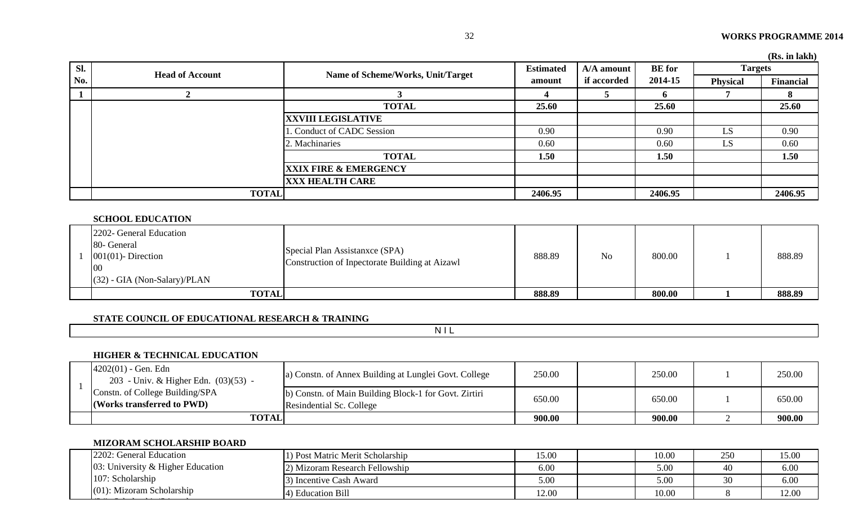|     |                        |                                   |                  |             |               |                 | (Rs. in lakh) |
|-----|------------------------|-----------------------------------|------------------|-------------|---------------|-----------------|---------------|
| Sl. | <b>Head of Account</b> | Name of Scheme/Works, Unit/Target | <b>Estimated</b> | A/A amount  | <b>BE</b> for | <b>Targets</b>  |               |
| No. |                        |                                   | amount           | if accorded | 2014-15       | <b>Physical</b> | Financial     |
|     |                        |                                   |                  |             | <sup>o</sup>  |                 | 8             |
|     |                        | <b>TOTAL</b>                      | 25.60            |             | 25.60         |                 | 25.60         |
|     |                        | <b>XXVIII LEGISLATIVE</b>         |                  |             |               |                 |               |
|     |                        | Conduct of CADC Session           | 0.90             |             | 0.90          | LS              | 0.90          |
|     |                        | 2. Machinaries                    | 0.60             |             | 0.60          | LS              | 0.60          |
|     |                        | <b>TOTAL</b>                      | 1.50             |             | 1.50          |                 | 1.50          |
|     |                        | <b>XXIX FIRE &amp; EMERGENCY</b>  |                  |             |               |                 |               |
|     |                        | <b>XXX HEALTH CARE</b>            |                  |             |               |                 |               |
|     | <b>TOTAL</b>           |                                   | 2406.95          |             | 2406.95       |                 | 2406.95       |

#### **SCHOOL EDUCATION**

| 2202- General Education<br>80- General<br>$001(01)$ - Direction<br>00<br>$(32)$ - GIA (Non-Salary)/PLAN | Special Plan Assistanxce (SPA)<br>Construction of Inpectorate Building at Aizawl | 888.89 | N <sub>o</sub> | 800.00 | 888.89 |
|---------------------------------------------------------------------------------------------------------|----------------------------------------------------------------------------------|--------|----------------|--------|--------|
| <b>TOTAL</b>                                                                                            |                                                                                  | 888.89 |                | 800.00 | 888.89 |

#### **STATE COUNCIL OF EDUCATIONAL RESEARCH & TRAINING**

N I L

### **HIGHER & TECHNICAL EDUCATION**

|  | $4202(01)$ - Gen. Edn<br>203 - Univ. & Higher Edn. (03)(53) - | a) Constn. of Annex Building at Lunglei Govt. College                             | 250.00 | 250.00 | 250.00 |
|--|---------------------------------------------------------------|-----------------------------------------------------------------------------------|--------|--------|--------|
|  | Constn. of College Building/SPA<br>(Works transferred to PWD) | b) Constn. of Main Building Block-1 for Govt. Zirtiri<br>Resindential Sc. College | 650.00 | 650.00 | 650.00 |
|  | <b>TOTAL</b>                                                  |                                                                                   | 900.00 | 900.00 | 900.00 |

# **MIZORAM SCHOLARSHIP BOARD**

| 2202: General Education<br>$03$ : University & Higher Education<br>107: Scholarship | 1) Post Matric Merit Scholarship | 15.00 | 10.00 | 250 | 15.00 |
|-------------------------------------------------------------------------------------|----------------------------------|-------|-------|-----|-------|
|                                                                                     | 2) Mizoram Research Fellowship   | 6.00  | 5.00  | 40  | 6.00  |
|                                                                                     | 3) Incentive Cash Award          | 5.00  | 5.00  | 30  | 6.00  |
| $(01)$ : Mizoram Scholarship                                                        | 4) Education Bill                | 12.00 | 10.00 |     | 12.00 |
|                                                                                     |                                  |       |       |     |       |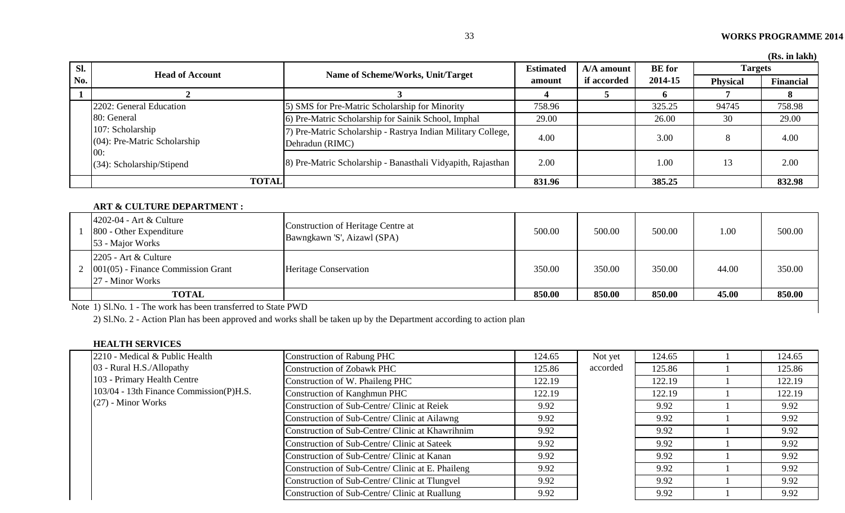|     |                                                     |                                                                                 |                  |                           |                          |                 | (Rs. in lakh)    |
|-----|-----------------------------------------------------|---------------------------------------------------------------------------------|------------------|---------------------------|--------------------------|-----------------|------------------|
| Sl. | <b>Head of Account</b>                              |                                                                                 | <b>Estimated</b> | A/A amount<br>if accorded | <b>BE</b> for<br>2014-15 | <b>Targets</b>  |                  |
| No. |                                                     | Name of Scheme/Works, Unit/Target                                               | amount           |                           |                          | <b>Physical</b> | <b>Financial</b> |
|     |                                                     |                                                                                 |                  |                           |                          |                 |                  |
|     | 2202: General Education                             | 5) SMS for Pre-Matric Scholarship for Minority                                  | 758.96           |                           | 325.25                   | 94745           | 758.98           |
|     | 80: General                                         | 6) Pre-Matric Scholarship for Sainik School, Imphal                             | 29.00            |                           | 26.00                    | 30              | 29.00            |
|     | 107: Scholarship<br>$(04)$ : Pre-Matric Scholarship | 7) Pre-Matric Scholarship - Rastrya Indian Military College,<br>Dehradun (RIMC) | 4.00             |                           | 3.00                     | 8               | 4.00             |
|     | 00:<br>$(34)$ : Scholarship/Stipend                 | 8) Pre-Matric Scholarship - Banasthali Vidyapith, Rajasthan                     | 2.00             |                           | 1.00                     | 13              | 2.00             |
|     | <b>TOTAL</b>                                        |                                                                                 | 831.96           |                           | 385.25                   |                 | 832.98           |

#### **ART & CULTURE DEPARTMENT :**

| $4202-04$ - Art & Culture<br>800 - Other Expenditure<br>53 - Major Works                  | Construction of Heritage Centre at<br>Bawngkawn 'S', Aizawl (SPA) | 500.00 | 500.00 | 500.00 | 1.00  | 500.00 |
|-------------------------------------------------------------------------------------------|-------------------------------------------------------------------|--------|--------|--------|-------|--------|
| $2205$ - Art & Culture<br>$2 \mid 001(05)$ - Finance Commission Grant<br>27 - Minor Works | <b>Heritage Conservation</b>                                      | 350.00 | 350.00 | 350.00 | 44.00 | 350.00 |
| <b>TOTAL</b>                                                                              |                                                                   | 850.00 | 850.00 | 850.00 | 45.00 | 850.00 |

Note 1) Sl.No. 1 - The work has been transferred to State PWD

2) Sl.No. 2 - Action Plan has been approved and works shall be taken up by the Department according to action plan

#### **HEALTH SERVICES**

| 2210 - Medical & Public Health          | Construction of Rabung PHC                                                                                       | 124.65 | Not yet  | 124.65 | 124.65 |
|-----------------------------------------|------------------------------------------------------------------------------------------------------------------|--------|----------|--------|--------|
| 03 - Rural H.S./Allopathy               | Construction of Zobawk PHC                                                                                       | 125.86 | accorded | 125.86 | 125.86 |
| 103 - Primary Health Centre             | Construction of W. Phaileng PHC                                                                                  | 122.19 |          | 122.19 | 122.19 |
| 103/04 - 13th Finance Commission(P)H.S. | Construction of Kanghmun PHC                                                                                     | 122.19 |          | 122.19 | 122.19 |
| $(27)$ - Minor Works                    | Construction of Sub-Centre/ Clinic at Reiek                                                                      | 9.92   |          | 9.92   | 9.92   |
|                                         | Construction of Sub-Centre/ Clinic at Ailawng                                                                    | 9.92   |          | 9.92   | 9.92   |
|                                         | Construction of Sub-Centre/ Clinic at Khawrihnim                                                                 | 9.92   |          | 9.92   | 9.92   |
|                                         | Construction of Sub-Centre/ Clinic at Sateek                                                                     | 9.92   |          | 9.92   | 9.92   |
|                                         | Construction of Sub-Centre/ Clinic at Kanan<br>9.92<br>Construction of Sub-Centre/ Clinic at E. Phaileng<br>9.92 |        |          | 9.92   | 9.92   |
|                                         |                                                                                                                  |        |          | 9.92   | 9.92   |
|                                         | Construction of Sub-Centre/ Clinic at Tlungvel                                                                   | 9.92   |          | 9.92   | 9.92   |
|                                         | Construction of Sub-Centre/ Clinic at Ruallung                                                                   | 9.92   |          | 9.92   | 9.92   |
|                                         |                                                                                                                  |        |          |        |        |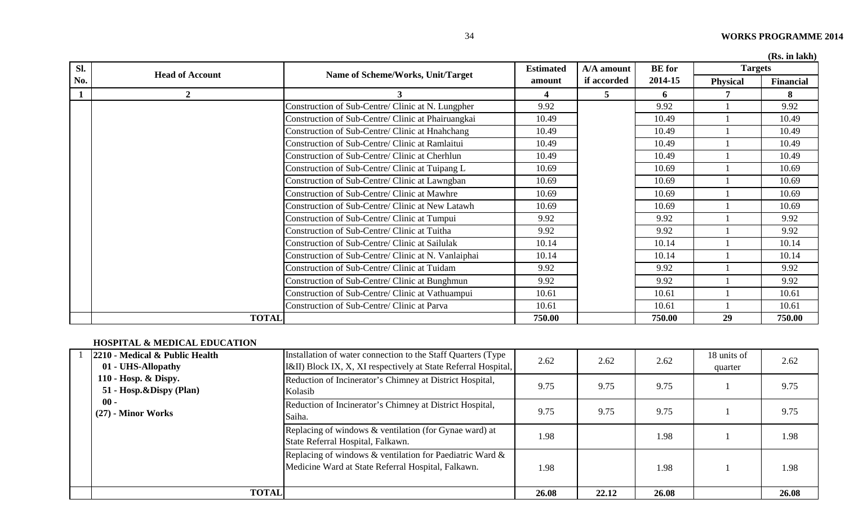|  |  | (Rs. in lakh) |
|--|--|---------------|
|--|--|---------------|

| Sl. |                        |                                                     | <b>Estimated</b> | A/A amount  | <b>BE</b> for | <b>Targets</b>  | (RS. III lakh |
|-----|------------------------|-----------------------------------------------------|------------------|-------------|---------------|-----------------|---------------|
| No. | <b>Head of Account</b> | Name of Scheme/Works, Unit/Target                   | amount           | if accorded | 2014-15       | <b>Physical</b> | Financial     |
|     | $\mathbf{2}$           | 3                                                   |                  | 5           | 6             |                 | 8             |
|     |                        | Construction of Sub-Centre/ Clinic at N. Lungpher   | 9.92             |             | 9.92          |                 | 9.92          |
|     |                        | Construction of Sub-Centre/ Clinic at Phairuangkai  | 10.49            |             | 10.49         |                 | 10.49         |
|     |                        | Construction of Sub-Centre/ Clinic at Hnahchang     | 10.49            |             | 10.49         |                 | 10.49         |
|     |                        | Construction of Sub-Centre/ Clinic at Ramlaitui     | 10.49            |             | 10.49         |                 | 10.49         |
|     |                        | Construction of Sub-Centre/ Clinic at Cherhlun      | 10.49            |             | 10.49         |                 | 10.49         |
|     |                        | Construction of Sub-Centre/ Clinic at Tuipang L     | 10.69            |             | 10.69         |                 | 10.69         |
|     |                        | Construction of Sub-Centre/ Clinic at Lawngban      | 10.69            |             | 10.69         |                 | 10.69         |
|     |                        | Construction of Sub-Centre/ Clinic at Mawhre        | 10.69            |             | 10.69         |                 | 10.69         |
|     |                        | Construction of Sub-Centre/ Clinic at New Latawh    | 10.69            |             | 10.69         |                 | 10.69         |
|     |                        | Construction of Sub-Centre/ Clinic at Tumpui        | 9.92             |             | 9.92          |                 | 9.92          |
|     |                        | Construction of Sub-Centre/ Clinic at Tuitha        | 9.92             |             | 9.92          |                 | 9.92          |
|     |                        | Construction of Sub-Centre/ Clinic at Sailulak      | 10.14            |             | 10.14         |                 | 10.14         |
|     |                        | Construction of Sub-Centre/ Clinic at N. Vanlaiphai | 10.14            |             | 10.14         |                 | 10.14         |
|     |                        | Construction of Sub-Centre/ Clinic at Tuidam        | 9.92             |             | 9.92          |                 | 9.92          |
|     |                        | Construction of Sub-Centre/ Clinic at Bunghmun      | 9.92             |             | 9.92          |                 | 9.92          |
|     |                        | Construction of Sub-Centre/ Clinic at Vathuampui    | 10.61            |             | 10.61         |                 | 10.61         |
|     |                        | Construction of Sub-Centre/ Clinic at Parva         | 10.61            |             | 10.61         |                 | 10.61         |
|     | <b>TOTAL</b>           |                                                     | 750.00           |             | 750.00        | 29              | 750.00        |

# **HOSPITAL & MEDICAL EDUCATION**

| 2210 - Medical & Public Health<br>01 - UHS-Allopathy | Installation of water connection to the Staff Quarters (Type)<br>[I&II] Block IX, X, XI respectively at State Referral Hospital, | 2.62  | 2.62  | 2.62  | 18 units of<br>quarter | 2.62  |
|------------------------------------------------------|----------------------------------------------------------------------------------------------------------------------------------|-------|-------|-------|------------------------|-------|
| 110 - Hosp. & Dispy.<br>51 - Hosp.&Dispy (Plan)      | Reduction of Incinerator's Chimney at District Hospital,<br>Kolasib                                                              | 9.75  | 9.75  | 9.75  |                        | 9.75  |
| $00 -$<br>$(27)$ - Minor Works                       | Reduction of Incinerator's Chimney at District Hospital,<br>Saiha.                                                               | 9.75  | 9.75  | 9.75  |                        | 9.75  |
|                                                      | Replacing of windows & ventilation (for Gynae ward) at<br>State Referral Hospital, Falkawn.                                      | 1.98  |       | 1.98  |                        | 1.98  |
|                                                      | Replacing of windows $\&$ ventilation for Paediatric Ward $\&$<br>Medicine Ward at State Referral Hospital, Falkawn.             | 1.98  |       | 1.98  |                        | 1.98  |
| <b>TOTAL</b>                                         |                                                                                                                                  | 26.08 | 22.12 | 26.08 |                        | 26.08 |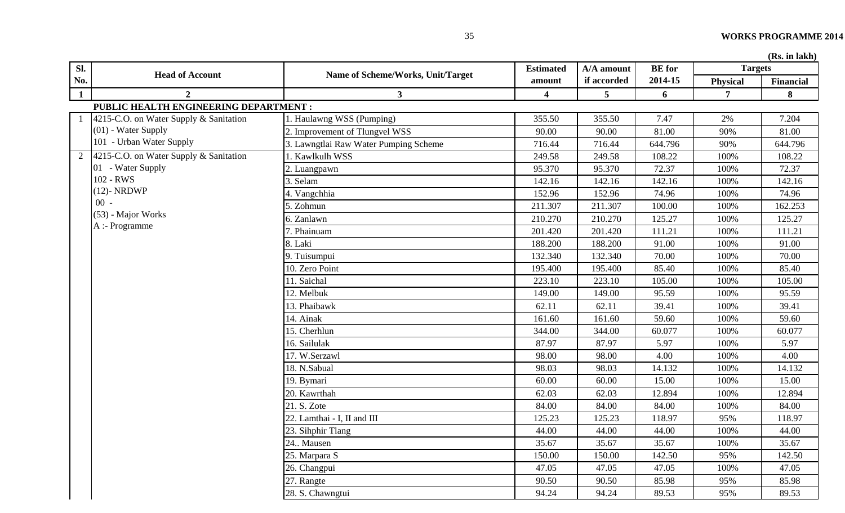| Sl.            | <b>Head of Account</b>                 | Name of Scheme/Works, Unit/Target     | <b>Estimated</b>        | A/A amount  | <b>BE</b> for | <b>Targets</b>  |           |
|----------------|----------------------------------------|---------------------------------------|-------------------------|-------------|---------------|-----------------|-----------|
| No.            |                                        |                                       | amount                  | if accorded | 2014-15       | <b>Physical</b> | Financial |
| $\mathbf{1}$   | $\overline{2}$                         | 3 <sup>1</sup>                        | $\overline{\mathbf{4}}$ | 5           | 6             | $\overline{7}$  | 8         |
|                | PUBLIC HEALTH ENGINEERING DEPARTMENT : |                                       |                         |             |               |                 |           |
|                | 4215-C.O. on Water Supply & Sanitation | . Haulawng WSS (Pumping)              | 355.50                  | 355.50      | 7.47          | 2%              | 7.204     |
|                | $(01)$ - Water Supply                  | Improvement of Tlungvel WSS           | 90.00                   | 90.00       | 81.00         | 90%             | 81.00     |
|                | 101 - Urban Water Supply               | 3. Lawngtlai Raw Water Pumping Scheme | 716.44                  | 716.44      | 644.796       | 90%             | 644.796   |
| $\overline{2}$ | 4215-C.O. on Water Supply & Sanitation | Kawlkulh WSS                          | 249.58                  | 249.58      | 108.22        | 100%            | 108.22    |
|                | 01 - Water Supply                      | Luangpawn                             | 95.370                  | 95.370      | 72.37         | 100%            | 72.37     |
|                | 102 - RWS                              | Selam                                 | 142.16                  | 142.16      | 142.16        | 100%            | 142.16    |
|                | $(12)$ - NRDWP                         | Vangchhia                             | 152.96                  | 152.96      | 74.96         | 100%            | 74.96     |
|                | $00 -$                                 | . Zohmun                              | 211.307                 | 211.307     | 100.00        | 100%            | 162.253   |
|                | (53) - Major Works                     | 6. Zanlawn                            | 210.270                 | 210.270     | 125.27        | 100%            | 125.27    |
|                | A :- Programme                         | Phainuam                              | 201.420                 | 201.420     | 111.21        | 100%            | 111.21    |
|                |                                        | 8. Laki                               | 188.200                 | 188.200     | 91.00         | 100%            | 91.00     |
|                |                                        | 9. Tuisumpui                          | 132.340                 | 132.340     | 70.00         | 100%            | 70.00     |
|                |                                        | 10. Zero Point                        | 195.400                 | 195.400     | 85.40         | 100%            | 85.40     |
|                |                                        | 11. Saichal                           | 223.10                  | 223.10      | 105.00        | 100%            | 105.00    |
|                |                                        | 12. Melbuk                            | 149.00                  | 149.00      | 95.59         | 100%            | 95.59     |
|                |                                        | 13. Phaibawk                          | 62.11                   | 62.11       | 39.41         | 100%            | 39.41     |
|                |                                        | 14. Ainak                             | 161.60                  | 161.60      | 59.60         | 100%            | 59.60     |
|                |                                        | 15. Cherhlun                          | 344.00                  | 344.00      | 60.077        | 100%            | 60.077    |
|                |                                        | 16. Sailulak                          | 87.97                   | 87.97       | 5.97          | 100%            | 5.97      |
|                |                                        | 17. W.Serzawl                         | 98.00                   | 98.00       | 4.00          | 100%            | 4.00      |
|                |                                        | 18. N.Sabual                          | 98.03                   | 98.03       | 14.132        | 100%            | 14.132    |
|                |                                        | 19. Bymari                            | 60.00                   | 60.00       | 15.00         | 100%            | 15.00     |
|                |                                        | 20. Kawrthah                          | 62.03                   | 62.03       | 12.894        | 100%            | 12.894    |
|                |                                        | 21. S. Zote                           | 84.00                   | 84.00       | 84.00         | 100%            | 84.00     |
|                |                                        | 22. Lamthai - I, II and III           | 125.23                  | 125.23      | 118.97        | 95%             | 118.97    |
|                |                                        | 23. Sihphir Tlang                     | 44.00                   | 44.00       | 44.00         | 100%            | 44.00     |
|                |                                        | 24. Mausen                            | 35.67                   | 35.67       | 35.67         | 100%            | 35.67     |
|                |                                        | 25. Marpara S                         | 150.00                  | 150.00      | 142.50        | 95%             | 142.50    |
|                |                                        | 26. Changpui                          | 47.05                   | 47.05       | 47.05         | 100%            | 47.05     |
|                |                                        | 27. Rangte                            | 90.50                   | 90.50       | 85.98         | 95%             | 85.98     |
|                |                                        | 28. S. Chawngtui                      | 94.24                   | 94.24       | 89.53         | 95%             | 89.53     |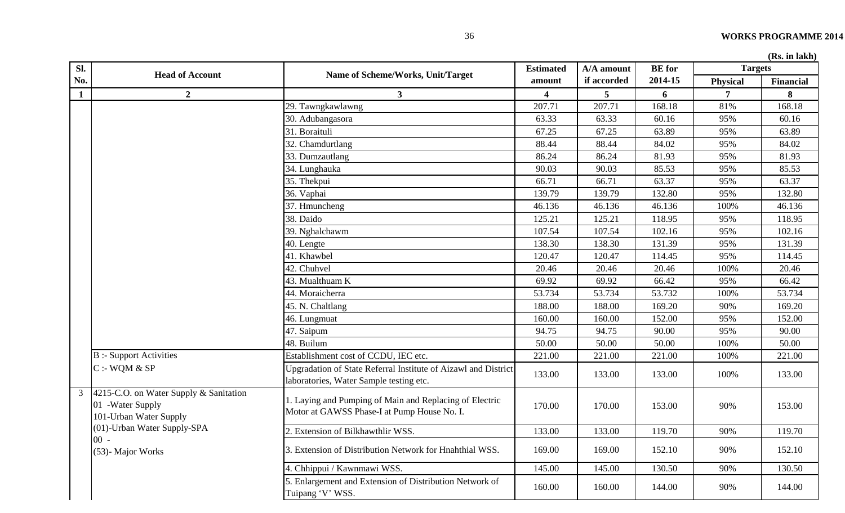|  | (Rs. in lakh) |
|--|---------------|
|  |               |

| Sl.          |                                                                                         |                                                                                                           | <b>Estimated</b> | A/A amount  | <b>BE</b> for | <b>Targets</b>  |           |
|--------------|-----------------------------------------------------------------------------------------|-----------------------------------------------------------------------------------------------------------|------------------|-------------|---------------|-----------------|-----------|
| No.          | <b>Head of Account</b>                                                                  | Name of Scheme/Works, Unit/Target                                                                         | amount           | if accorded | 2014-15       | <b>Physical</b> | Financial |
| $\mathbf{1}$ | $\boldsymbol{2}$                                                                        | 3 <sup>1</sup>                                                                                            | 4                | 5           | 6             | 7               | 8         |
|              |                                                                                         | 29. Tawngkawlawng                                                                                         | 207.71           | 207.71      | 168.18        | 81%             | 168.18    |
|              |                                                                                         | 30. Adubangasora                                                                                          | 63.33            | 63.33       | 60.16         | 95%             | 60.16     |
|              |                                                                                         | 31. Boraituli                                                                                             | 67.25            | 67.25       | 63.89         | 95%             | 63.89     |
|              |                                                                                         | 32. Chamdurtlang                                                                                          | 88.44            | 88.44       | 84.02         | 95%             | 84.02     |
|              |                                                                                         | 33. Dumzautlang                                                                                           | 86.24            | 86.24       | 81.93         | 95%             | 81.93     |
|              |                                                                                         | 34. Lunghauka                                                                                             | 90.03            | 90.03       | 85.53         | 95%             | 85.53     |
|              |                                                                                         | 35. Thekpui                                                                                               | 66.71            | 66.71       | 63.37         | 95%             | 63.37     |
|              |                                                                                         | 36. Vaphai                                                                                                | 139.79           | 139.79      | 132.80        | 95%             | 132.80    |
|              |                                                                                         | 37. Hmuncheng                                                                                             | 46.136           | 46.136      | 46.136        | 100%            | 46.136    |
|              |                                                                                         | 38. Daido                                                                                                 | 125.21           | 125.21      | 118.95        | 95%             | 118.95    |
|              |                                                                                         | 39. Nghalchawm                                                                                            | 107.54           | 107.54      | 102.16        | 95%             | 102.16    |
|              |                                                                                         | 40. Lengte                                                                                                | 138.30           | 138.30      | 131.39        | 95%             | 131.39    |
|              |                                                                                         | 41. Khawbel                                                                                               | 120.47           | 120.47      | 114.45        | 95%             | 114.45    |
|              |                                                                                         | 42. Chuhvel                                                                                               | 20.46            | 20.46       | 20.46         | 100%            | 20.46     |
|              |                                                                                         | 43. Mualthuam K                                                                                           | 69.92            | 69.92       | 66.42         | 95%             | 66.42     |
|              |                                                                                         | 44. Moraicherra                                                                                           | 53.734           | 53.734      | 53.732        | 100%            | 53.734    |
|              |                                                                                         | 45. N. Chaltlang                                                                                          | 188.00           | 188.00      | 169.20        | 90%             | 169.20    |
|              |                                                                                         | 46. Lungmuat                                                                                              | 160.00           | 160.00      | 152.00        | 95%             | 152.00    |
|              |                                                                                         | 47. Saipum                                                                                                | 94.75            | 94.75       | 90.00         | 95%             | 90.00     |
|              |                                                                                         | 48. Builum                                                                                                | 50.00            | 50.00       | 50.00         | 100%            | 50.00     |
|              | <b>B</b> :- Support Activities                                                          | Establishment cost of CCDU, IEC etc.                                                                      | 221.00           | 221.00      | 221.00        | 100%            | 221.00    |
|              | $C : WQM \& SP$                                                                         | Upgradation of State Referral Institute of Aizawl and District<br>laboratories, Water Sample testing etc. | 133.00           | 133.00      | 133.00        | 100%            | 133.00    |
|              | 3 4215-C.O. on Water Supply & Sanitation<br>01 - Water Supply<br>101-Urban Water Supply | 1. Laying and Pumping of Main and Replacing of Electric<br>Motor at GAWSS Phase-I at Pump House No. I.    | 170.00           | 170.00      | 153.00        | 90%             | 153.00    |
|              | (01)-Urban Water Supply-SPA                                                             | 2. Extension of Bilkhawthlir WSS.                                                                         | 133.00           | 133.00      | 119.70        | 90%             | 119.70    |
|              | $00 -$<br>(53)- Major Works                                                             | 3. Extension of Distribution Network for Hnahthial WSS.                                                   | 169.00           | 169.00      | 152.10        | 90%             | 152.10    |
|              |                                                                                         | 4. Chhippui / Kawnmawi WSS.                                                                               | 145.00           | 145.00      | 130.50        | 90%             | 130.50    |
|              |                                                                                         | 5. Enlargement and Extension of Distribution Network of<br>Tuipang 'V' WSS.                               | 160.00           | 160.00      | 144.00        | 90%             | 144.00    |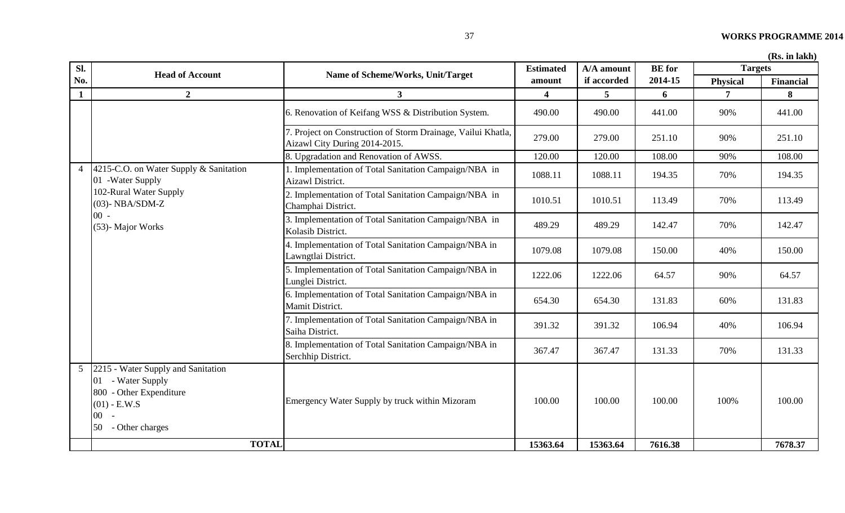| Sl.            | <b>Head of Account</b>                                                                                                                  | Name of Scheme/Works, Unit/Target                                                             | <b>Estimated</b> | A/A amount  | <b>BE</b> for | <b>Targets</b>  |                  |
|----------------|-----------------------------------------------------------------------------------------------------------------------------------------|-----------------------------------------------------------------------------------------------|------------------|-------------|---------------|-----------------|------------------|
| No.            |                                                                                                                                         |                                                                                               | amount           | if accorded | 2014-15       | <b>Physical</b> | <b>Financial</b> |
| $\mathbf{1}$   | $\overline{2}$                                                                                                                          | 3 <sup>1</sup>                                                                                |                  | 5           | 6             | $\overline{7}$  | 8                |
|                |                                                                                                                                         | 6. Renovation of Keifang WSS & Distribution System.                                           | 490.00           | 490.00      | 441.00        | 90%             | 441.00           |
|                |                                                                                                                                         | 7. Project on Construction of Storm Drainage, Vailui Khatla,<br>Aizawl City During 2014-2015. | 279.00           | 279.00      | 251.10        | 90%             | 251.10           |
|                |                                                                                                                                         | 8. Upgradation and Renovation of AWSS.                                                        | 120.00           | 120.00      | 108.00        | 90%             | 108.00           |
| $\overline{4}$ | 4215-C.O. on Water Supply & Sanitation<br>01 - Water Supply                                                                             | 1. Implementation of Total Sanitation Campaign/NBA in<br>Aizawl District.                     | 1088.11          | 1088.11     | 194.35        | 70%             | 194.35           |
|                | 102-Rural Water Supply<br>$(03)$ - NBA/SDM-Z                                                                                            | 2. Implementation of Total Sanitation Campaign/NBA in<br>Champhai District.                   | 1010.51          | 1010.51     | 113.49        | 70%             | 113.49           |
|                | $00 -$<br>(53)- Major Works                                                                                                             | 3. Implementation of Total Sanitation Campaign/NBA in<br>Kolasib District.                    | 489.29           | 489.29      | 142.47        | 70%             | 142.47           |
|                |                                                                                                                                         | 4. Implementation of Total Sanitation Campaign/NBA in<br>Lawngtlai District.                  | 1079.08          | 1079.08     | 150.00        | 40%             | 150.00           |
|                |                                                                                                                                         | 5. Implementation of Total Sanitation Campaign/NBA in<br>Lunglei District.                    | 1222.06          | 1222.06     | 64.57         | 90%             | 64.57            |
|                |                                                                                                                                         | 6. Implementation of Total Sanitation Campaign/NBA in<br>Mamit District.                      | 654.30           | 654.30      | 131.83        | 60%             | 131.83           |
|                |                                                                                                                                         | 7. Implementation of Total Sanitation Campaign/NBA in<br>Saiha District.                      | 391.32           | 391.32      | 106.94        | 40%             | 106.94           |
|                |                                                                                                                                         | 8. Implementation of Total Sanitation Campaign/NBA in<br>Serchhip District.                   | 367.47           | 367.47      | 131.33        | 70%             | 131.33           |
| 5 <sup>5</sup> | 2215 - Water Supply and Sanitation<br>01 - Water Supply<br>800 - Other Expenditure<br>$(01) - E.W.S$<br>$00 -$<br>- Other charges<br>50 | Emergency Water Supply by truck within Mizoram                                                | 100.00           | 100.00      | 100.00        | 100%            | 100.00           |
|                | <b>TOTAL</b>                                                                                                                            |                                                                                               | 15363.64         | 15363.64    | 7616.38       |                 | 7678.37          |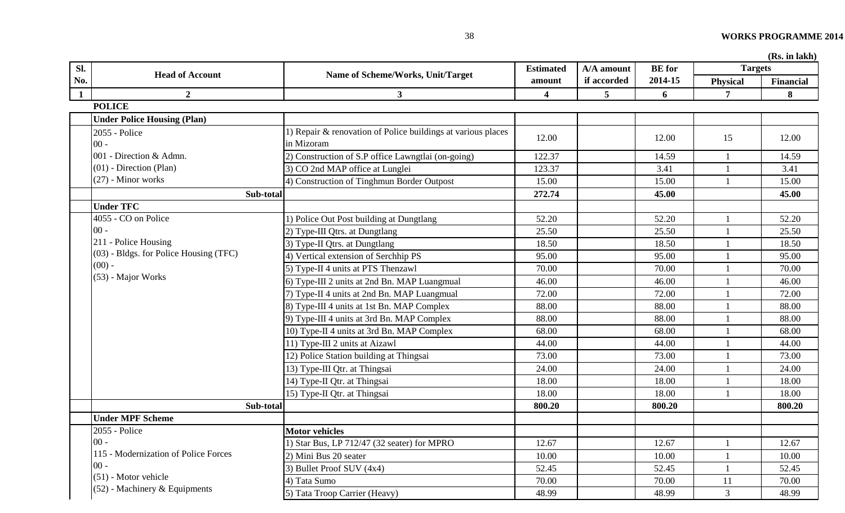| Sl.          |                                          |                                                                            | <b>Estimated</b>        | A/A amount      | <b>BE</b> for | <b>Targets</b>  |                  |
|--------------|------------------------------------------|----------------------------------------------------------------------------|-------------------------|-----------------|---------------|-----------------|------------------|
| No.          | <b>Head of Account</b>                   | Name of Scheme/Works, Unit/Target                                          | amount                  | if accorded     | 2014-15       | <b>Physical</b> | <b>Financial</b> |
| $\mathbf{1}$ | $\overline{2}$                           | $\mathbf{3}$                                                               | $\overline{\mathbf{4}}$ | $5\overline{)}$ | 6             | 7               | 8                |
|              | <b>POLICE</b>                            |                                                                            |                         |                 |               |                 |                  |
|              | <b>Under Police Housing (Plan)</b>       |                                                                            |                         |                 |               |                 |                  |
|              | 2055 - Police<br>$00 -$                  | 1) Repair & renovation of Police buildings at various places<br>in Mizoram | 12.00                   |                 | 12.00         | 15              | 12.00            |
|              | 001 - Direction & Admn.                  | 2) Construction of S.P office Lawngtlai (on-going)                         | 122.37                  |                 | 14.59         |                 | 14.59            |
|              | $(01)$ - Direction (Plan)                | 3) CO 2nd MAP office at Lunglei                                            | 123.37                  |                 | 3.41          |                 | 3.41             |
|              | $(27)$ - Minor works                     | 4) Construction of Tinghmun Border Outpost                                 | 15.00                   |                 | 15.00         |                 | 15.00            |
|              | Sub-total                                |                                                                            | 272.74                  |                 | 45.00         |                 | 45.00            |
|              | <b>Under TFC</b>                         |                                                                            |                         |                 |               |                 |                  |
|              | 4055 - CO on Police                      | 1) Police Out Post building at Dungtlang                                   | 52.20                   |                 | 52.20         |                 | 52.20            |
|              | $00 -$                                   | 2) Type-III Qtrs. at Dungtlang                                             | 25.50                   |                 | 25.50         |                 | 25.50            |
|              | 211 - Police Housing                     | 3) Type-II Qtrs. at Dungtlang                                              | 18.50                   |                 | 18.50         |                 | 18.50            |
|              | $(03)$ - Bldgs. for Police Housing (TFC) | 4) Vertical extension of Serchhip PS                                       | 95.00                   |                 | 95.00         |                 | 95.00            |
|              | $(00)$ -                                 | 5) Type-II 4 units at PTS Thenzawl                                         | 70.00                   |                 | 70.00         |                 | 70.00            |
|              | (53) - Major Works                       | 6) Type-III 2 units at 2nd Bn. MAP Luangmual                               | 46.00                   |                 | 46.00         |                 | 46.00            |
|              |                                          | 7) Type-II 4 units at 2nd Bn. MAP Luangmual                                | 72.00                   |                 | 72.00         |                 | 72.00            |
|              |                                          | 8) Type-III 4 units at 1st Bn. MAP Complex                                 | 88.00                   |                 | 88.00         |                 | 88.00            |
|              |                                          | 9) Type-III 4 units at 3rd Bn. MAP Complex                                 | 88.00                   |                 | 88.00         |                 | 88.00            |
|              |                                          | 10) Type-II 4 units at 3rd Bn. MAP Complex                                 | 68.00                   |                 | 68.00         |                 | 68.00            |
|              |                                          | 11) Type-III 2 units at Aizawl                                             | 44.00                   |                 | 44.00         |                 | 44.00            |
|              |                                          | 12) Police Station building at Thingsai                                    | 73.00                   |                 | 73.00         |                 | 73.00            |
|              |                                          | 13) Type-III Qtr. at Thingsai                                              | 24.00                   |                 | 24.00         |                 | 24.00            |
|              |                                          | 14) Type-II Qtr. at Thingsai                                               | 18.00                   |                 | 18.00         |                 | 18.00            |
|              |                                          | 15) Type-II Qtr. at Thingsai                                               | 18.00                   |                 | 18.00         |                 | 18.00            |
|              | Sub-total                                |                                                                            | 800.20                  |                 | 800.20        |                 | 800.20           |
|              | <b>Under MPF Scheme</b>                  |                                                                            |                         |                 |               |                 |                  |
|              | 2055 - Police                            | <b>Motor vehicles</b>                                                      |                         |                 |               |                 |                  |
|              | $00 -$                                   | ) Star Bus, LP 712/47 (32 seater) for MPRO                                 | 12.67                   |                 | 12.67         |                 | 12.67            |
|              | 115 - Modernization of Police Forces     | 2) Mini Bus 20 seater                                                      | 10.00                   |                 | 10.00         |                 | 10.00            |
|              | $00 -$                                   | 3) Bullet Proof SUV (4x4)                                                  | 52.45                   |                 | 52.45         |                 | 52.45            |
|              | $(51)$ - Motor vehicle                   | 4) Tata Sumo                                                               | 70.00                   |                 | 70.00         | 11              | 70.00            |
|              | $(52)$ - Machinery & Equipments          | 5) Tata Troop Carrier (Heavy)                                              | 48.99                   |                 | 48.99         | $\mathfrak{Z}$  | 48.99            |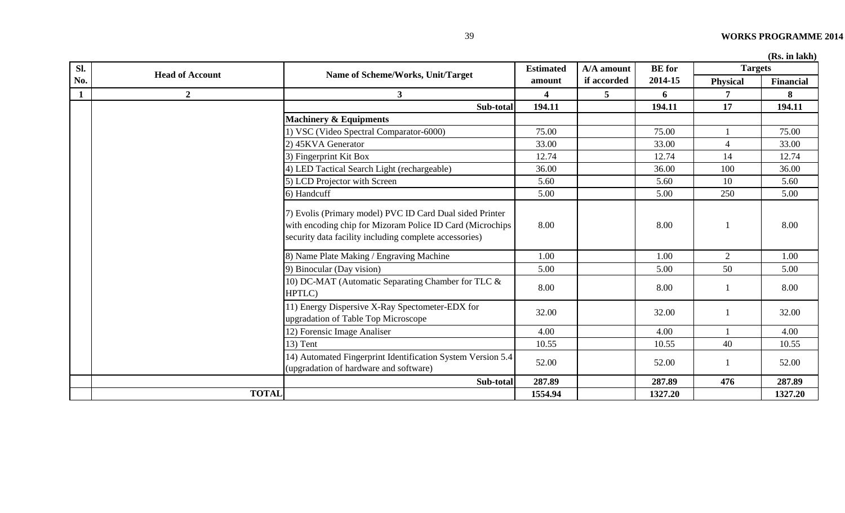|  |  | (Rs. in lakh) |
|--|--|---------------|
|--|--|---------------|

| Sl.          |                        |                                                                                                                                                                                 | <b>Estimated</b> | A/A amount     | <b>BE</b> for | <b>Targets</b>  | (IS), III IARII <i>)</i> |
|--------------|------------------------|---------------------------------------------------------------------------------------------------------------------------------------------------------------------------------|------------------|----------------|---------------|-----------------|--------------------------|
| No.          | <b>Head of Account</b> | Name of Scheme/Works, Unit/Target                                                                                                                                               | amount           | if accorded    | 2014-15       | <b>Physical</b> | <b>Financial</b>         |
| $\mathbf{1}$ | $\boldsymbol{2}$       | 3 <sup>1</sup>                                                                                                                                                                  | 4                | 5 <sup>5</sup> | 6             | 7               | 8                        |
|              |                        | Sub-total                                                                                                                                                                       | 194.11           |                | 194.11        | 17              | 194.11                   |
|              |                        | <b>Machinery &amp; Equipments</b>                                                                                                                                               |                  |                |               |                 |                          |
|              |                        | 1) VSC (Video Spectral Comparator-6000)                                                                                                                                         | 75.00            |                | 75.00         |                 | 75.00                    |
|              |                        | 2) 45KVA Generator                                                                                                                                                              | 33.00            |                | 33.00         | $\overline{4}$  | 33.00                    |
|              |                        | 3) Fingerprint Kit Box                                                                                                                                                          | 12.74            |                | 12.74         | 14              | 12.74                    |
|              |                        | 4) LED Tactical Search Light (rechargeable)                                                                                                                                     | 36.00            |                | 36.00         | 100             | 36.00                    |
|              |                        | 5) LCD Projector with Screen                                                                                                                                                    | 5.60             |                | 5.60          | 10              | 5.60                     |
|              |                        | 6) Handcuff                                                                                                                                                                     | 5.00             |                | 5.00          | 250             | 5.00                     |
|              |                        | 7) Evolis (Primary model) PVC ID Card Dual sided Printer<br>with encoding chip for Mizoram Police ID Card (Microchips<br>security data facility including complete accessories) | 8.00             |                | 8.00          |                 | 8.00                     |
|              |                        | 8) Name Plate Making / Engraving Machine                                                                                                                                        | 1.00             |                | 1.00          | $\overline{2}$  | 1.00                     |
|              |                        | 9) Binocular (Day vision)                                                                                                                                                       | 5.00             |                | 5.00          | 50              | 5.00                     |
|              |                        | 10) DC-MAT (Automatic Separating Chamber for TLC &<br>HPTLC)                                                                                                                    | 8.00             |                | 8.00          |                 | 8.00                     |
|              |                        | 11) Energy Dispersive X-Ray Spectometer-EDX for<br>upgradation of Table Top Microscope                                                                                          | 32.00            |                | 32.00         |                 | 32.00                    |
|              |                        | 12) Forensic Image Analiser                                                                                                                                                     | 4.00             |                | 4.00          |                 | 4.00                     |
|              |                        | $13)$ Tent                                                                                                                                                                      | 10.55            |                | 10.55         | 40              | 10.55                    |
|              |                        | 14) Automated Fingerprint Identification System Version 5.4<br>(upgradation of hardware and software)                                                                           | 52.00            |                | 52.00         | 1               | 52.00                    |
|              |                        | Sub-total                                                                                                                                                                       | 287.89           |                | 287.89        | 476             | 287.89                   |
|              | <b>TOTAL</b>           |                                                                                                                                                                                 | 1554.94          |                | 1327.20       |                 | 1327.20                  |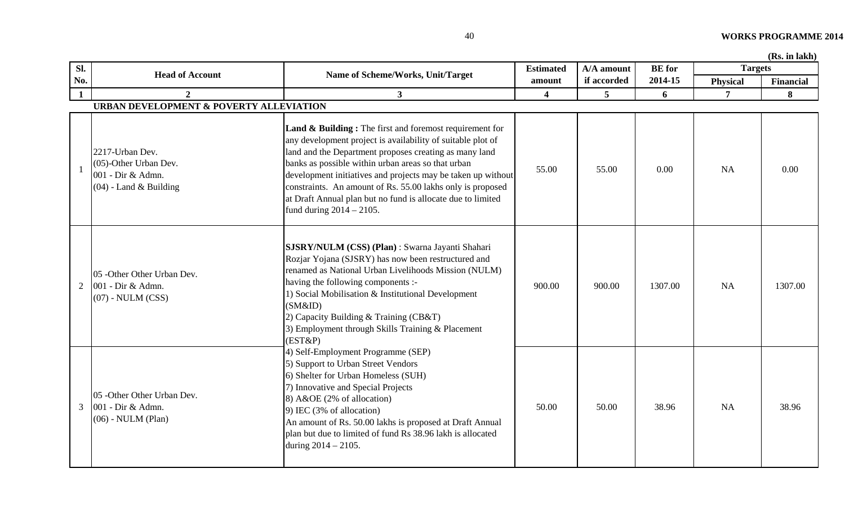| 40 | <b>WORKS PROGRAMME 2014</b> |
|----|-----------------------------|
|    |                             |

|              |                                                                                           |                                                                                                                                                                                                                                                                                                                                                                                                                                                                               |                  |             |               |                 | (Rs. in lakh)    |
|--------------|-------------------------------------------------------------------------------------------|-------------------------------------------------------------------------------------------------------------------------------------------------------------------------------------------------------------------------------------------------------------------------------------------------------------------------------------------------------------------------------------------------------------------------------------------------------------------------------|------------------|-------------|---------------|-----------------|------------------|
| Sl.          | <b>Head of Account</b>                                                                    | Name of Scheme/Works, Unit/Target                                                                                                                                                                                                                                                                                                                                                                                                                                             | <b>Estimated</b> | A/A amount  | <b>BE</b> for | <b>Targets</b>  |                  |
| No.          |                                                                                           |                                                                                                                                                                                                                                                                                                                                                                                                                                                                               | amount           | if accorded | 2014-15       | <b>Physical</b> | <b>Financial</b> |
| $\mathbf{1}$ | $\mathbf{2}$                                                                              | 3 <sup>1</sup>                                                                                                                                                                                                                                                                                                                                                                                                                                                                | 4                | 5           | 6             | $\overline{7}$  | 8                |
|              | URBAN DEVELOPMENT & POVERTY ALLEVIATION                                                   |                                                                                                                                                                                                                                                                                                                                                                                                                                                                               |                  |             |               |                 |                  |
|              | 2217-Urban Dev.<br>(05)-Other Urban Dev.<br>001 - Dir & Admn.<br>$(04)$ - Land & Building | <b>Land &amp; Building:</b> The first and foremost requirement for<br>any development project is availability of suitable plot of<br>land and the Department proposes creating as many land<br>banks as possible within urban areas so that urban<br>development initiatives and projects may be taken up without<br>constraints. An amount of Rs. 55.00 lakhs only is proposed<br>at Draft Annual plan but no fund is allocate due to limited<br>fund during $2014 - 2105$ . | 55.00            | 55.00       | 0.00          | <b>NA</b>       | 0.00             |
| 2            | 05 -Other Other Urban Dev.<br>001 - Dir & Admn.<br>$(07)$ - NULM $(CSS)$                  | SJSRY/NULM (CSS) (Plan) : Swarna Jayanti Shahari<br>Rozjar Yojana (SJSRY) has now been restructured and<br>renamed as National Urban Livelihoods Mission (NULM)<br>having the following components :-<br>1) Social Mobilisation & Institutional Development<br>(SM&ID)<br>2) Capacity Building & Training (CB&T)<br>3) Employment through Skills Training & Placement<br>(EST&P)                                                                                              | 900.00           | 900.00      | 1307.00       | <b>NA</b>       | 1307.00          |
| 3            | 05 -Other Other Urban Dev.<br>001 - Dir & Admn.<br>$(06)$ - NULM (Plan)                   | 4) Self-Employment Programme (SEP)<br>5) Support to Urban Street Vendors<br>6) Shelter for Urban Homeless (SUH)<br>7) Innovative and Special Projects<br>8) A&OE (2% of allocation)<br>9) IEC (3% of allocation)<br>An amount of Rs. 50.00 lakhs is proposed at Draft Annual<br>plan but due to limited of fund Rs 38.96 lakh is allocated<br>during 2014 - 2105.                                                                                                             | 50.00            | 50.00       | 38.96         | <b>NA</b>       | 38.96            |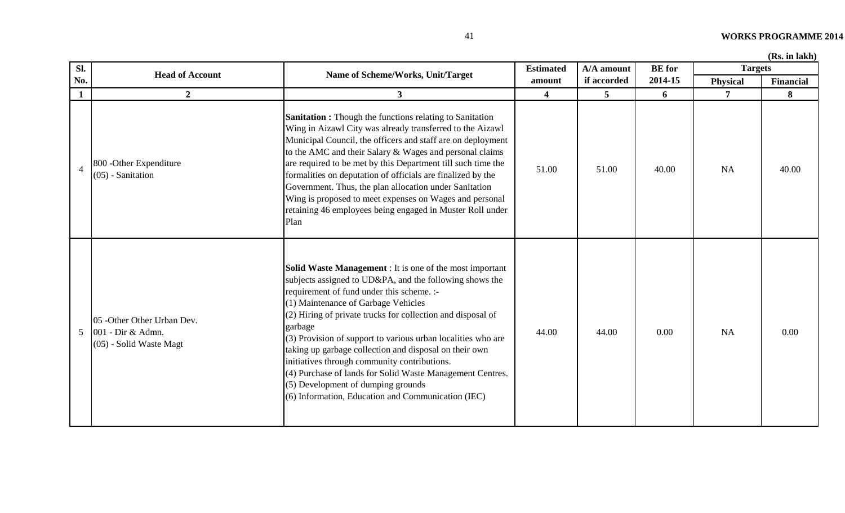| SI.             | <b>Head of Account</b>                                                     | Name of Scheme/Works, Unit/Target                                                                                                                                                                                                                                                                                                                                                                                                                                                                                                                                                                                           | <b>Estimated</b>        | A/A amount  | <b>BE</b> for | <b>Targets</b>  |           |
|-----------------|----------------------------------------------------------------------------|-----------------------------------------------------------------------------------------------------------------------------------------------------------------------------------------------------------------------------------------------------------------------------------------------------------------------------------------------------------------------------------------------------------------------------------------------------------------------------------------------------------------------------------------------------------------------------------------------------------------------------|-------------------------|-------------|---------------|-----------------|-----------|
| No.             |                                                                            |                                                                                                                                                                                                                                                                                                                                                                                                                                                                                                                                                                                                                             | amount                  | if accorded | 2014-15       | <b>Physical</b> | Financial |
| $\mathbf{1}$    | $\overline{2}$                                                             | $3^{\circ}$                                                                                                                                                                                                                                                                                                                                                                                                                                                                                                                                                                                                                 | $\overline{\mathbf{4}}$ | 5           | 6             |                 | 8         |
| $\overline{4}$  | 800 - Other Expenditure<br>$(05)$ - Sanitation                             | <b>Sanitation :</b> Though the functions relating to Sanitation<br>Wing in Aizawl City was already transferred to the Aizawl<br>Municipal Council, the officers and staff are on deployment<br>to the AMC and their Salary & Wages and personal claims<br>are required to be met by this Department till such time the<br>formalities on deputation of officials are finalized by the<br>Government. Thus, the plan allocation under Sanitation<br>Wing is proposed to meet expenses on Wages and personal<br>retaining 46 employees being engaged in Muster Roll under<br>Plan                                             | 51.00                   | 51.00       | 40.00         | <b>NA</b>       | 40.00     |
| $5\overline{)}$ | 05 -Other Other Urban Dev.<br>001 - Dir & Admn.<br>(05) - Solid Waste Magt | <b>Solid Waste Management</b> : It is one of the most important<br>subjects assigned to UD&PA, and the following shows the<br>requirement of fund under this scheme. :-<br>(1) Maintenance of Garbage Vehicles<br>(2) Hiring of private trucks for collection and disposal of<br>garbage<br>(3) Provision of support to various urban localities who are<br>taking up garbage collection and disposal on their own<br>initiatives through community contributions.<br>(4) Purchase of lands for Solid Waste Management Centres.<br>(5) Development of dumping grounds<br>(6) Information, Education and Communication (IEC) | 44.00                   | 44.00       | 0.00          | <b>NA</b>       | 0.00      |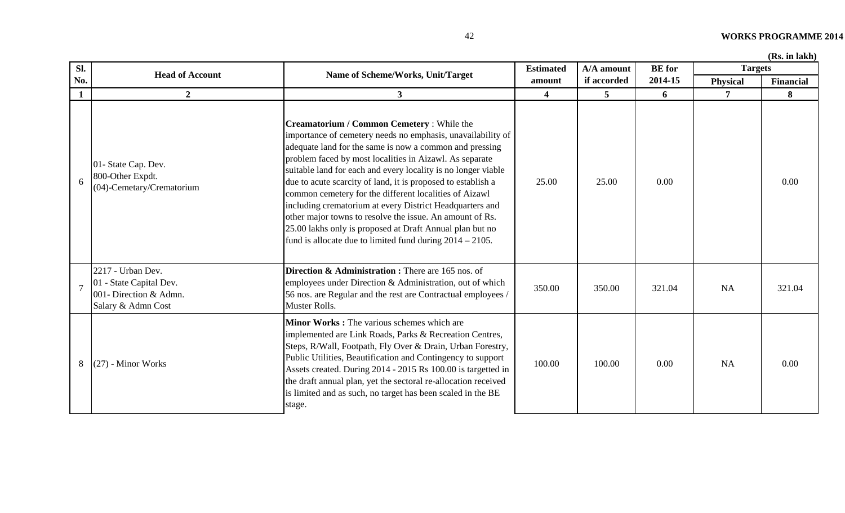| Sl.            | <b>Head of Account</b>                                                                       | Name of Scheme/Works, Unit/Target                                                                                                                                                                                                                                                                                                                                                                                                                                                                                                                                                                                                                                             | <b>Estimated</b> | A/A amount     | <b>BE</b> for | <b>Targets</b>  | тало. ні киліп |
|----------------|----------------------------------------------------------------------------------------------|-------------------------------------------------------------------------------------------------------------------------------------------------------------------------------------------------------------------------------------------------------------------------------------------------------------------------------------------------------------------------------------------------------------------------------------------------------------------------------------------------------------------------------------------------------------------------------------------------------------------------------------------------------------------------------|------------------|----------------|---------------|-----------------|----------------|
| No.            |                                                                                              |                                                                                                                                                                                                                                                                                                                                                                                                                                                                                                                                                                                                                                                                               | amount           | if accorded    | 2014-15       | <b>Physical</b> | Financial      |
| $\mathbf{1}$   | $\overline{2}$                                                                               | 3 <sup>1</sup>                                                                                                                                                                                                                                                                                                                                                                                                                                                                                                                                                                                                                                                                | 4                | $\overline{5}$ | 6             | $\overline{7}$  | 8              |
| 6              | 01- State Cap. Dev.<br>800-Other Expdt.<br>(04)-Cemetary/Crematorium                         | Creamatorium / Common Cemetery : While the<br>importance of cemetery needs no emphasis, unavailability of<br>adequate land for the same is now a common and pressing<br>problem faced by most localities in Aizawl. As separate<br>suitable land for each and every locality is no longer viable<br>due to acute scarcity of land, it is proposed to establish a<br>common cemetery for the different localities of Aizawl<br>including crematorium at every District Headquarters and<br>other major towns to resolve the issue. An amount of Rs.<br>25.00 lakhs only is proposed at Draft Annual plan but no<br>fund is allocate due to limited fund during $2014 - 2105$ . | 25.00            | 25.00          | 0.00          |                 | 0.00           |
| $\overline{7}$ | 2217 - Urban Dev.<br>01 - State Capital Dev.<br>001- Direction & Admn.<br>Salary & Admn Cost | <b>Direction &amp; Administration :</b> There are 165 nos. of<br>employees under Direction & Administration, out of which<br>56 nos. are Regular and the rest are Contractual employees /<br>Muster Rolls.                                                                                                                                                                                                                                                                                                                                                                                                                                                                    | 350.00           | 350.00         | 321.04        | <b>NA</b>       | 321.04         |
| 8              | $(27)$ - Minor Works                                                                         | Minor Works: The various schemes which are<br>implemented are Link Roads, Parks & Recreation Centres,<br>Steps, R/Wall, Footpath, Fly Over & Drain, Urban Forestry,<br>Public Utilities, Beautification and Contingency to support<br>Assets created. During 2014 - 2015 Rs 100.00 is targetted in<br>the draft annual plan, yet the sectoral re-allocation received<br>is limited and as such, no target has been scaled in the BE<br>stage.                                                                                                                                                                                                                                 | 100.00           | 100.00         | 0.00          | NA              | 0.00           |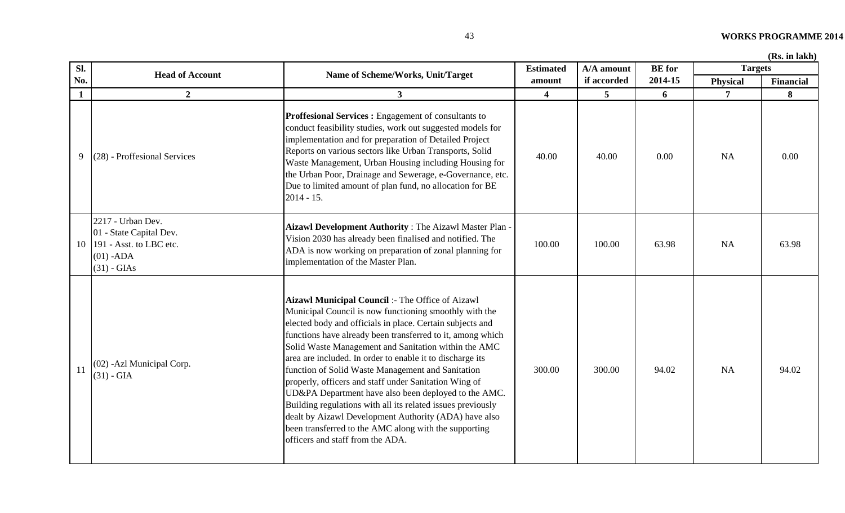| Sl.          | <b>Head of Account</b>                                                                                  | Name of Scheme/Works, Unit/Target                                                                                                                                                                                                                                                                                                                                                                                                                                                                                                                                                                                                                                                                                                                     | <b>Estimated</b>        | A/A amount     | <b>BE</b> for | <b>Targets</b>  |                  |
|--------------|---------------------------------------------------------------------------------------------------------|-------------------------------------------------------------------------------------------------------------------------------------------------------------------------------------------------------------------------------------------------------------------------------------------------------------------------------------------------------------------------------------------------------------------------------------------------------------------------------------------------------------------------------------------------------------------------------------------------------------------------------------------------------------------------------------------------------------------------------------------------------|-------------------------|----------------|---------------|-----------------|------------------|
| No.          |                                                                                                         |                                                                                                                                                                                                                                                                                                                                                                                                                                                                                                                                                                                                                                                                                                                                                       | amount                  | if accorded    | 2014-15       | <b>Physical</b> | <b>Financial</b> |
| $\mathbf{1}$ | $\overline{2}$                                                                                          | 3 <sup>1</sup>                                                                                                                                                                                                                                                                                                                                                                                                                                                                                                                                                                                                                                                                                                                                        | $\overline{\mathbf{4}}$ | $\overline{5}$ | 6             | $\overline{7}$  | 8                |
| 9            | $(28)$ - Proffesional Services                                                                          | Proffesional Services : Engagement of consultants to<br>conduct feasibility studies, work out suggested models for<br>implementation and for preparation of Detailed Project<br>Reports on various sectors like Urban Transports, Solid<br>Waste Management, Urban Housing including Housing for<br>the Urban Poor, Drainage and Sewerage, e-Governance, etc.<br>Due to limited amount of plan fund, no allocation for BE<br>$2014 - 15.$                                                                                                                                                                                                                                                                                                             | 40.00                   | 40.00          | 0.00          | <b>NA</b>       | 0.00             |
| 10           | 2217 - Urban Dev.<br>01 - State Capital Dev.<br>191 - Asst. to LBC etc.<br>$(01)$ -ADA<br>$(31)$ - GIAs | Aizawl Development Authority: The Aizawl Master Plan -<br>Vision 2030 has already been finalised and notified. The<br>ADA is now working on preparation of zonal planning for<br>implementation of the Master Plan.                                                                                                                                                                                                                                                                                                                                                                                                                                                                                                                                   | 100.00                  | 100.00         | 63.98         | <b>NA</b>       | 63.98            |
| 11           | (02) - Azl Municipal Corp.<br>$(31)$ - GIA                                                              | Aizawl Municipal Council :- The Office of Aizawl<br>Municipal Council is now functioning smoothly with the<br>elected body and officials in place. Certain subjects and<br>functions have already been transferred to it, among which<br>Solid Waste Management and Sanitation within the AMC<br>area are included. In order to enable it to discharge its<br>function of Solid Waste Management and Sanitation<br>properly, officers and staff under Sanitation Wing of<br>UD&PA Department have also been deployed to the AMC.<br>Building regulations with all its related issues previously<br>dealt by Aizawl Development Authority (ADA) have also<br>been transferred to the AMC along with the supporting<br>officers and staff from the ADA. | 300.00                  | 300.00         | 94.02         | <b>NA</b>       | 94.02            |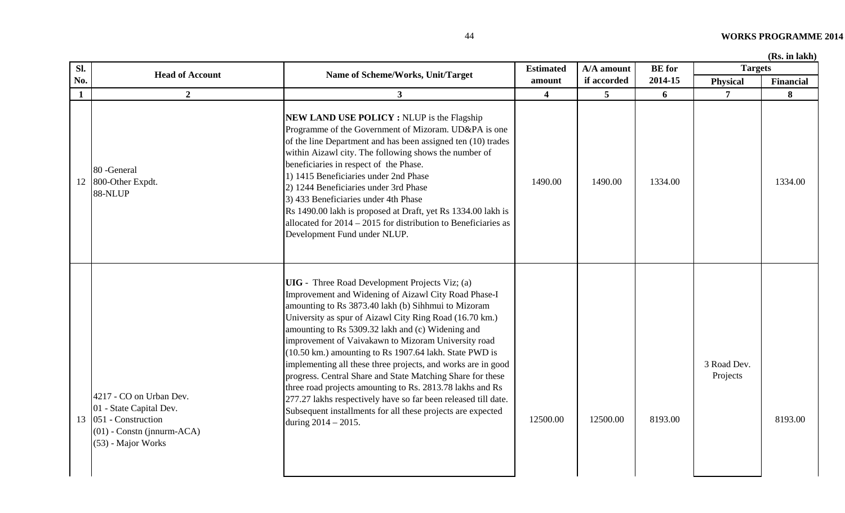| Sl.          | <b>Head of Account</b>                                                                                                         | Name of Scheme/Works, Unit/Target                                                                                                                                                                                                                                                                                                                                                                                                                                                                                                                                                                                                                                                                                                                           | <b>Estimated</b> | A/A amount  | <b>BE</b> for | <b>Targets</b>          |                  |
|--------------|--------------------------------------------------------------------------------------------------------------------------------|-------------------------------------------------------------------------------------------------------------------------------------------------------------------------------------------------------------------------------------------------------------------------------------------------------------------------------------------------------------------------------------------------------------------------------------------------------------------------------------------------------------------------------------------------------------------------------------------------------------------------------------------------------------------------------------------------------------------------------------------------------------|------------------|-------------|---------------|-------------------------|------------------|
| No.          |                                                                                                                                |                                                                                                                                                                                                                                                                                                                                                                                                                                                                                                                                                                                                                                                                                                                                                             | amount           | if accorded | 2014-15       | <b>Physical</b>         | <b>Financial</b> |
| $\mathbf{1}$ | $\overline{2}$                                                                                                                 | 3 <sup>1</sup>                                                                                                                                                                                                                                                                                                                                                                                                                                                                                                                                                                                                                                                                                                                                              | 4                | 5           | 6             | $\overline{7}$          | 8                |
| 12           | 80 - General<br>800-Other Expdt.<br>88-NLUP                                                                                    | <b>NEW LAND USE POLICY: NLUP</b> is the Flagship<br>Programme of the Government of Mizoram. UD&PA is one<br>of the line Department and has been assigned ten (10) trades<br>within Aizawl city. The following shows the number of<br>beneficiaries in respect of the Phase.<br>1) 1415 Beneficiaries under 2nd Phase<br>2) 1244 Beneficiaries under 3rd Phase<br>3) 433 Beneficiaries under 4th Phase<br>Rs 1490.00 lakh is proposed at Draft, yet Rs 1334.00 lakh is<br>allocated for $2014 - 2015$ for distribution to Beneficiaries as<br>Development Fund under NLUP.                                                                                                                                                                                   | 1490.00          | 1490.00     | 1334.00       |                         | 1334.00          |
| 13           | 4217 - CO on Urban Dev.<br>01 - State Capital Dev.<br>051 - Construction<br>$(01)$ - Constn (jnnurm-ACA)<br>(53) - Major Works | <b>UIG</b> - Three Road Development Projects Viz; (a)<br>Improvement and Widening of Aizawl City Road Phase-I<br>amounting to Rs 3873.40 lakh (b) Sihhmui to Mizoram<br>University as spur of Aizawl City Ring Road (16.70 km.)<br>amounting to Rs 5309.32 lakh and (c) Widening and<br>improvement of Vaivakawn to Mizoram University road<br>(10.50 km.) amounting to Rs 1907.64 lakh. State PWD is<br>implementing all these three projects, and works are in good<br>progress. Central Share and State Matching Share for these<br>three road projects amounting to Rs. 2813.78 lakhs and Rs<br>277.27 lakhs respectively have so far been released till date.<br>Subsequent installments for all these projects are expected<br>during $2014 - 2015$ . | 12500.00         | 12500.00    | 8193.00       | 3 Road Dev.<br>Projects | 8193.00          |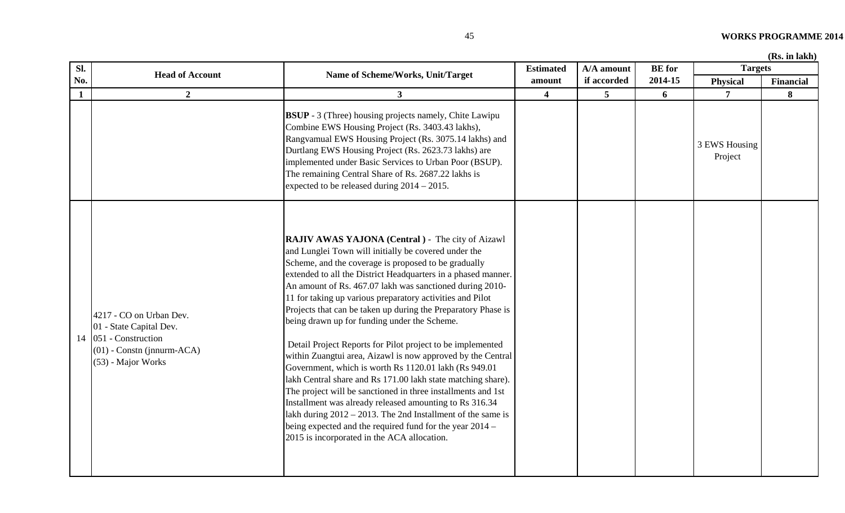| Sl. |                        |                                                                                                                                                                                                                                                                                                                                                                                                        | <b>Estimated</b> | A/A amount  | <b>BE</b> for | <b>Targets</b>           |                  |
|-----|------------------------|--------------------------------------------------------------------------------------------------------------------------------------------------------------------------------------------------------------------------------------------------------------------------------------------------------------------------------------------------------------------------------------------------------|------------------|-------------|---------------|--------------------------|------------------|
| No. | <b>Head of Account</b> | Name of Scheme/Works, Unit/Target                                                                                                                                                                                                                                                                                                                                                                      | amount           | if accorded | 2014-15       | <b>Physical</b>          | <b>Financial</b> |
|     |                        |                                                                                                                                                                                                                                                                                                                                                                                                        |                  |             | <sup>0</sup>  |                          | 8                |
|     |                        | <b>BSUP</b> - 3 (Three) housing projects namely, Chite Lawipu<br>Combine EWS Housing Project (Rs. 3403.43 lakhs),<br>Rangvamual EWS Housing Project (Rs. 3075.14 lakhs) and<br>Durtlang EWS Housing Project (Rs. 2623.73 lakhs) are<br>implemented under Basic Services to Urban Poor (BSUP).<br>The remaining Central Share of Rs. 2687.22 lakhs is<br>expected to be released during $2014 - 2015$ . |                  |             |               | 3 EWS Housing<br>Project |                  |
|     |                        | <b>RAJIV AWAS YAJONA (Central)</b> - The city of Aizawl<br>and Lunglei Town will initially be covered under the<br>Delegare and the corresponding monocol to be smalled that                                                                                                                                                                                                                           |                  |             |               |                          |                  |

|    |                                                                                                                                  | COMONIC L W S TROUSING I TOJECT (INS. 3405.45 TANDS),<br>Rangvamual EWS Housing Project (Rs. 3075.14 lakhs) and<br>Durtlang EWS Housing Project (Rs. 2623.73 lakhs) are<br>implemented under Basic Services to Urban Poor (BSUP).<br>The remaining Central Share of Rs. 2687.22 lakhs is<br>expected to be released during $2014 - 2015$ .                                                                                                                                                                                                                                                                                                                                                                                                                                                                                                                                                                                                                                                                                                        |  | 3 EWS Housing<br>Project |  |
|----|----------------------------------------------------------------------------------------------------------------------------------|---------------------------------------------------------------------------------------------------------------------------------------------------------------------------------------------------------------------------------------------------------------------------------------------------------------------------------------------------------------------------------------------------------------------------------------------------------------------------------------------------------------------------------------------------------------------------------------------------------------------------------------------------------------------------------------------------------------------------------------------------------------------------------------------------------------------------------------------------------------------------------------------------------------------------------------------------------------------------------------------------------------------------------------------------|--|--------------------------|--|
| 14 | 4217 - CO on Urban Dev.<br>01 - State Capital Dev.<br>051 - Construction<br>$(01)$ - Constn (jnnurm-ACA)<br>$(53)$ - Major Works | <b>RAJIV AWAS YAJONA (Central)</b> - The city of Aizawl<br>and Lunglei Town will initially be covered under the<br>Scheme, and the coverage is proposed to be gradually<br>extended to all the District Headquarters in a phased manner.<br>An amount of Rs. 467.07 lakh was sanctioned during 2010-<br>11 for taking up various preparatory activities and Pilot<br>Projects that can be taken up during the Preparatory Phase is<br>being drawn up for funding under the Scheme.<br>Detail Project Reports for Pilot project to be implemented<br>within Zuangtui area, Aizawl is now approved by the Central<br>Government, which is worth Rs 1120.01 lakh (Rs 949.01)<br>lakh Central share and Rs 171.00 lakh state matching share).<br>The project will be sanctioned in three installments and 1st<br>Installment was already released amounting to Rs 316.34<br>lakh during $2012 - 2013$ . The 2nd Installment of the same is<br>being expected and the required fund for the year 2014 –<br>2015 is incorporated in the ACA allocation. |  |                          |  |

**Sl.**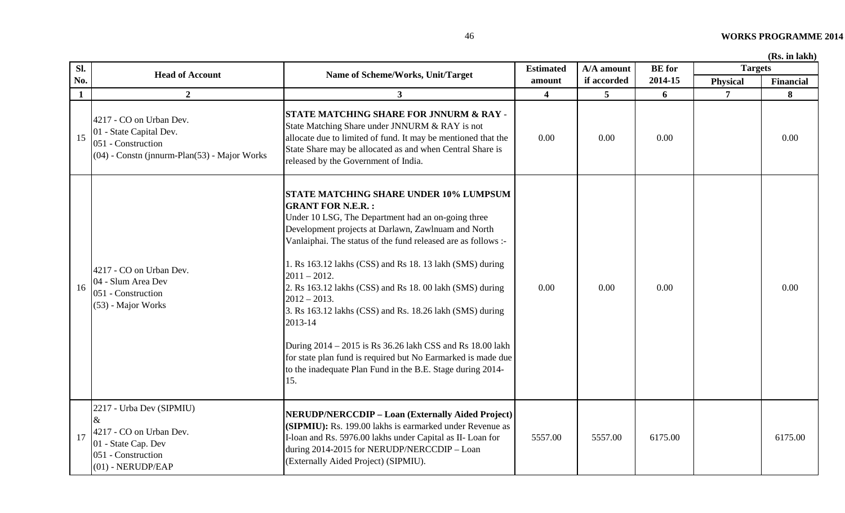| Sl.          | <b>Head of Account</b>                                                                                                          | Name of Scheme/Works, Unit/Target                                                                                                                                                                                                                                                                                                                                                                                                                                                                                                                                                                                                                                                            | <b>Estimated</b>        | A/A amount  | <b>BE</b> for | <b>Targets</b>  |                  |
|--------------|---------------------------------------------------------------------------------------------------------------------------------|----------------------------------------------------------------------------------------------------------------------------------------------------------------------------------------------------------------------------------------------------------------------------------------------------------------------------------------------------------------------------------------------------------------------------------------------------------------------------------------------------------------------------------------------------------------------------------------------------------------------------------------------------------------------------------------------|-------------------------|-------------|---------------|-----------------|------------------|
| No.          |                                                                                                                                 |                                                                                                                                                                                                                                                                                                                                                                                                                                                                                                                                                                                                                                                                                              | amount                  | if accorded | 2014-15       | <b>Physical</b> | <b>Financial</b> |
| $\mathbf{1}$ | $\boldsymbol{2}$                                                                                                                | $3^{\circ}$                                                                                                                                                                                                                                                                                                                                                                                                                                                                                                                                                                                                                                                                                  | $\overline{\mathbf{4}}$ | 5           | 6             | $\overline{7}$  | 8                |
| 15           | 4217 - CO on Urban Dev.<br>01 - State Capital Dev.<br>051 - Construction<br>$(04)$ - Constn (jnnurm-Plan(53) - Major Works      | <b>STATE MATCHING SHARE FOR JNNURM &amp; RAY -</b><br>State Matching Share under JNNURM & RAY is not<br>allocate due to limited of fund. It may be mentioned that the<br>State Share may be allocated as and when Central Share is<br>released by the Government of India.                                                                                                                                                                                                                                                                                                                                                                                                                   | 0.00                    | 0.00        | 0.00          |                 | 0.00             |
| 16           | 4217 - CO on Urban Dev.<br>04 - Slum Area Dev<br>051 - Construction<br>(53) - Major Works                                       | <b>STATE MATCHING SHARE UNDER 10% LUMPSUM</b><br><b>GRANT FOR N.E.R.:</b><br>Under 10 LSG, The Department had an on-going three<br>Development projects at Darlawn, Zawlnuam and North<br>Vanlaiphai. The status of the fund released are as follows :-<br>1. Rs 163.12 lakhs (CSS) and Rs 18. 13 lakh (SMS) during<br>$2011 - 2012.$<br>2. Rs 163.12 lakhs (CSS) and Rs 18. 00 lakh (SMS) during<br>$2012 - 2013.$<br>3. Rs 163.12 lakhs (CSS) and Rs. 18.26 lakh (SMS) during<br>2013-14<br>During 2014 - 2015 is Rs 36.26 lakh CSS and Rs 18.00 lakh<br>for state plan fund is required but No Earmarked is made due<br>to the inadequate Plan Fund in the B.E. Stage during 2014-<br>15. | 0.00                    | 0.00        | 0.00          |                 | 0.00             |
| 17           | 2217 - Urba Dev (SIPMIU)<br>$\&$<br>4217 - CO on Urban Dev.<br>01 - State Cap. Dev<br>051 - Construction<br>$(01)$ - NERUDP/EAP | <b>NERUDP/NERCCDIP - Loan (Externally Aided Project)</b><br>(SIPMIU): Rs. 199.00 lakhs is earmarked under Revenue as<br>I-loan and Rs. 5976.00 lakhs under Capital as II-Loan for<br>during 2014-2015 for NERUDP/NERCCDIP - Loan<br>(Externally Aided Project) (SIPMIU).                                                                                                                                                                                                                                                                                                                                                                                                                     | 5557.00                 | 5557.00     | 6175.00       |                 | 6175.00          |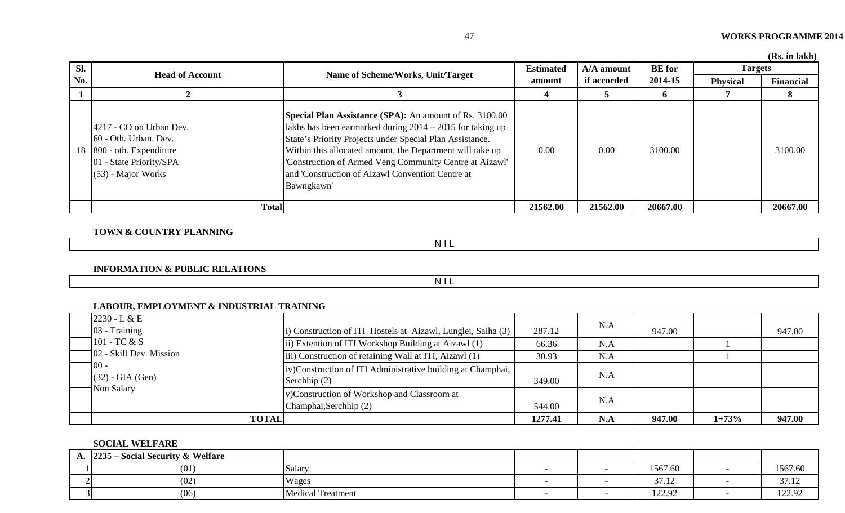| SI. |                                                                                                                                  | <b>Head of Account</b><br>Name of Scheme/Works, Unit/Target                                                                                                                                                                                                                                                                                                                         | <b>Estimated</b> | A/A amount  | <b>BE</b> for | <b>Targets</b>  |           |
|-----|----------------------------------------------------------------------------------------------------------------------------------|-------------------------------------------------------------------------------------------------------------------------------------------------------------------------------------------------------------------------------------------------------------------------------------------------------------------------------------------------------------------------------------|------------------|-------------|---------------|-----------------|-----------|
| No. |                                                                                                                                  |                                                                                                                                                                                                                                                                                                                                                                                     | amount           | if accorded | 2014-15       | <b>Physical</b> | Financial |
|     |                                                                                                                                  |                                                                                                                                                                                                                                                                                                                                                                                     |                  |             | O.            |                 | 8         |
|     | 4217 - CO on Urban Dev.<br>60 - Oth. Urban. Dev.<br>18 800 - oth. Expenditure<br>01 - State Priority/SPA<br>$(53)$ - Major Works | <b>Special Plan Assistance (SPA):</b> An amount of Rs. 3100.00<br>lakhs has been earmarked during $2014 - 2015$ for taking up<br>State's Priority Projects under Special Plan Assistance.<br>Within this allocated amount, the Department will take up<br>'Construction of Armed Veng Community Centre at Aizawl'<br>and 'Construction of Aizawl Convention Centre at<br>Bawngkawn' | 0.00             | 0.00        | 3100.00       |                 | 3100.00   |
|     | <b>Total</b>                                                                                                                     |                                                                                                                                                                                                                                                                                                                                                                                     | 21562.00         | 21562.00    | 20667.00      |                 | 20667.00  |

**TOWN & COUNTRY PLANNING**

N I L

**INFORMATION & PUBLIC RELATIONS**

N I L

# **LABOUR, EMPLOYMENT & INDUSTRIAL TRAINING**

| $2230 - L & E$              |                                                                               |         | N.A |        |         |        |
|-----------------------------|-------------------------------------------------------------------------------|---------|-----|--------|---------|--------|
| 03 - Training               | i) Construction of ITI Hostels at Aizawl, Lunglei, Saiha (3)                  | 287.12  |     | 947.00 |         | 947.00 |
| $\Box$ 101 - TC & S         | ii) Extention of ITI Workshop Building at Aizawl (1)                          | 66.36   | N.A |        |         |        |
| 102 - Skill Dev. Mission    | iii) Construction of retaining Wall at ITI, Aizawl (1)                        | 30.93   | N.A |        |         |        |
| 100 -<br>$(32)$ - GIA (Gen) | iv)Construction of ITI Administrative building at Champhai,<br>Serchhip $(2)$ | 349.00  | N.A |        |         |        |
| Non Salary                  | v)Construction of Workshop and Classroom at<br>Champhai, Serchhip (2)         | 544.00  | N.A |        |         |        |
| <b>TOTAL</b>                |                                                                               | 1277.41 | N.A | 947.00 | $1+73%$ | 947.00 |

#### **SOCIAL WELFARE**

| $\mathbf{a}$ | $2235 -$<br>- Social Security & Welfare |                          |  |                |               |
|--------------|-----------------------------------------|--------------------------|--|----------------|---------------|
|              | (01)                                    | Salary                   |  | 1567.60        | 1567.60       |
|              | (02)                                    | Wages                    |  | 27.12<br>J1.14 | 2712<br>31.IZ |
|              | (06)                                    | <b>Medical Treatment</b> |  | 122.92         | 122.92        |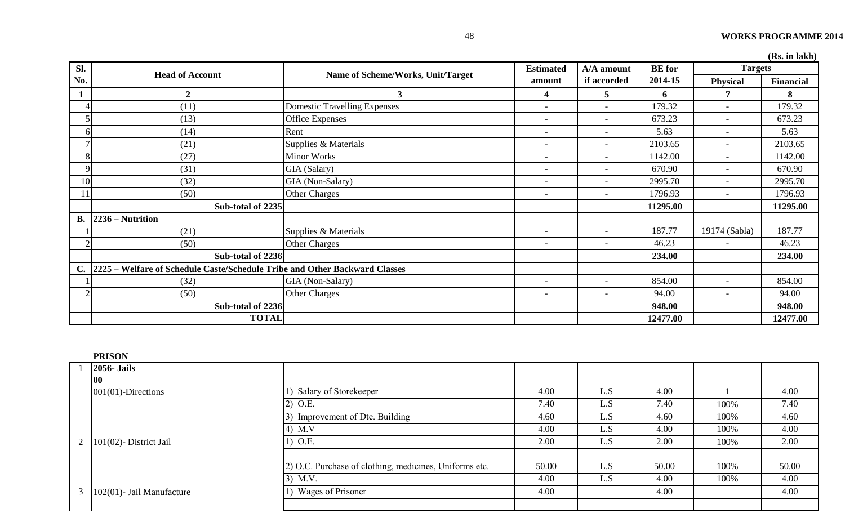|               | (RS. In lakh)                                                              |                                     |                          |                          |               |                          |                  |  |
|---------------|----------------------------------------------------------------------------|-------------------------------------|--------------------------|--------------------------|---------------|--------------------------|------------------|--|
| Sl.           |                                                                            |                                     | <b>Estimated</b>         | A/A amount               | <b>BE</b> for | <b>Targets</b>           |                  |  |
| No.           | <b>Head of Account</b>                                                     | Name of Scheme/Works, Unit/Target   | amount                   | if accorded              | 2014-15       | <b>Physical</b>          | <b>Financial</b> |  |
| $\mathbf{1}$  | $\mathbf{2}$                                                               | 3                                   | 4                        | 5                        | 6             | 7                        | 8                |  |
|               | (11)                                                                       | <b>Domestic Travelling Expenses</b> | $\overline{\phantom{a}}$ | $\overline{\phantom{a}}$ | 179.32        |                          | 179.32           |  |
|               | (13)                                                                       | <b>Office Expenses</b>              | $\overline{\phantom{0}}$ | $\overline{\phantom{a}}$ | 673.23        | $\overline{\phantom{a}}$ | 673.23           |  |
| h             | (14)                                                                       | Rent                                |                          | $\overline{\phantom{0}}$ | 5.63          |                          | 5.63             |  |
|               | (21)                                                                       | Supplies & Materials                | $\overline{\phantom{a}}$ | $\overline{\phantom{a}}$ | 2103.65       | $\overline{\phantom{a}}$ | 2103.65          |  |
| 8             | (27)                                                                       | <b>Minor Works</b>                  | <b>-</b>                 | $\overline{\phantom{0}}$ | 1142.00       |                          | 1142.00          |  |
|               | (31)                                                                       | GIA (Salary)                        | $\overline{\phantom{a}}$ | $\overline{\phantom{a}}$ | 670.90        |                          | 670.90           |  |
| 10            | (32)                                                                       | GIA (Non-Salary)                    |                          |                          | 2995.70       |                          | 2995.70          |  |
| 11            | (50)                                                                       | <b>Other Charges</b>                | $\overline{\phantom{a}}$ | $\overline{\phantom{a}}$ | 1796.93       |                          | 1796.93          |  |
|               | Sub-total of 2235                                                          |                                     |                          |                          | 11295.00      |                          | 11295.00         |  |
| <b>B.</b>     | 2236 – Nutrition                                                           |                                     |                          |                          |               |                          |                  |  |
|               | (21)                                                                       | Supplies & Materials                | $\overline{\phantom{a}}$ | $\overline{\phantom{a}}$ | 187.77        | 19174 (Sabla)            | 187.77           |  |
|               | (50)                                                                       | <b>Other Charges</b>                | $\overline{\phantom{0}}$ | $\overline{\phantom{0}}$ | 46.23         |                          | 46.23            |  |
|               | Sub-total of 2236                                                          |                                     |                          |                          | 234.00        |                          | 234.00           |  |
| $C_{\bullet}$ | 2225 - Welfare of Schedule Caste/Schedule Tribe and Other Backward Classes |                                     |                          |                          |               |                          |                  |  |
|               | (32)                                                                       | GIA (Non-Salary)                    | $\overline{\phantom{a}}$ | $\overline{\phantom{a}}$ | 854.00        | $\overline{\phantom{a}}$ | 854.00           |  |
|               | (50)                                                                       | <b>Other Charges</b>                | $\overline{\phantom{a}}$ | $\overline{\phantom{a}}$ | 94.00         |                          | 94.00            |  |
|               | Sub-total of 2236                                                          |                                     |                          |                          | 948.00        |                          | 948.00           |  |
|               | <b>TOTAL</b>                                                               |                                     |                          |                          | 12477.00      |                          | 12477.00         |  |

| <b>PRISON</b>                       |                                                        |       |     |       |      |       |
|-------------------------------------|--------------------------------------------------------|-------|-----|-------|------|-------|
| $2056$ - Jails                      |                                                        |       |     |       |      |       |
| $ 00\rangle$                        |                                                        |       |     |       |      |       |
| $001(01)$ -Directions               | Salary of Storekeeper                                  | 4.00  | L.S | 4.00  |      | 4.00  |
|                                     | 2) O.E.                                                | 7.40  | L.S | 7.40  | 100% | 7.40  |
|                                     | Improvement of Dte. Building<br>3)                     | 4.60  | L.S | 4.60  | 100% | 4.60  |
|                                     | 4) M.V                                                 | 4.00  | L.S | 4.00  | 100% | 4.00  |
| 2 $ 101(02)$ - District Jail        | 1) O.E.                                                | 2.00  | L.S | 2.00  | 100% | 2.00  |
|                                     |                                                        |       |     |       |      |       |
|                                     | 2) O.C. Purchase of clothing, medicines, Uniforms etc. | 50.00 | L.S | 50.00 | 100% | 50.00 |
|                                     | $3)$ M.V.                                              | 4.00  | L.S | 4.00  | 100% | 4.00  |
| $3 \mid 102(01)$ - Jail Manufacture | Wages of Prisoner                                      | 4.00  |     | 4.00  |      | 4.00  |
|                                     |                                                        |       |     |       |      |       |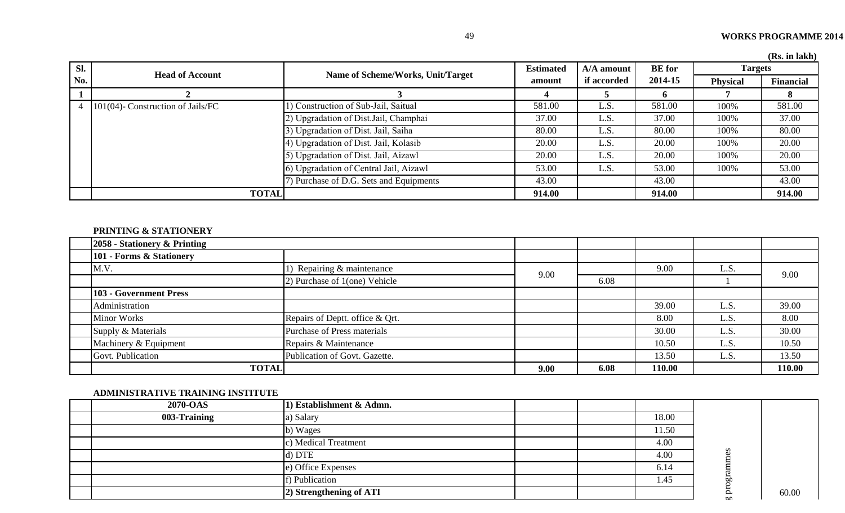| SI.            | <b>Head of Account</b>            | Name of Scheme/Works, Unit/Target      | <b>Estimated</b> | A/A amount  | <b>BE</b> for | <b>Targets</b>  | (100.111.14111)  |
|----------------|-----------------------------------|----------------------------------------|------------------|-------------|---------------|-----------------|------------------|
| No.            |                                   |                                        | amount           | if accorded | 2014-15       | <b>Physical</b> | <b>Financial</b> |
|                |                                   |                                        |                  |             |               |                 |                  |
| $\overline{4}$ | 101(04)- Construction of Jails/FC | 1) Construction of Sub-Jail, Saitual   | 581.00           | L.S         | 581.00        | 100%            | 581.00           |
|                |                                   | 2) Upgradation of Dist. Jail, Champhai | 37.00            | L.S         | 37.00         | 100%            | 37.00            |
|                |                                   | 3) Upgradation of Dist. Jail, Saiha    | 80.00            | L.S         | 80.00         | 100%            | 80.00            |
|                |                                   | 4) Upgradation of Dist. Jail, Kolasib  | 20.00            | L.S         | 20.00         | 100%            | 20.00            |
|                |                                   | 5) Upgradation of Dist. Jail, Aizawl   | 20.00            | L.S         | 20.00         | 100%            | 20.00            |
|                |                                   | 6) Upgradation of Central Jail, Aizawl | 53.00            | L.S         | 53.00         | 100%            | 53.00            |
|                |                                   | ) Purchase of D.G. Sets and Equipments | 43.00            |             | 43.00         |                 | 43.00            |
|                | <b>TOTAL</b>                      |                                        | 914.00           |             | 914.00        |                 | 914.00           |

# **PRINTING & STATIONERY**

| 2058 - Stationery & Printing  |                                 |      |      |        |      |        |
|-------------------------------|---------------------------------|------|------|--------|------|--------|
| 101 - Forms & Stationery      |                                 |      |      |        |      |        |
| M.V.                          | Repairing & maintenance         | 9.00 |      | 9.00   | L.S. | 9.00   |
|                               | 2) Purchase of 1(one) Vehicle   |      | 6.08 |        |      |        |
| <b>103 - Government Press</b> |                                 |      |      |        |      |        |
| Administration                |                                 |      |      | 39.00  | L.S. | 39.00  |
| <b>Minor Works</b>            | Repairs of Deptt. office & Qrt. |      |      | 8.00   | L.S. | 8.00   |
| Supply & Materials            | Purchase of Press materials     |      |      | 30.00  | L.S  | 30.00  |
| Machinery & Equipment         | Repairs & Maintenance           |      |      | 10.50  | L.S. | 10.50  |
| Govt. Publication             | Publication of Govt. Gazette.   |      |      | 13.50  | L.S. | 13.50  |
| <b>TOTAL</b>                  |                                 | 9.00 | 6.08 | 110.00 |      | 110.00 |

### **ADMINISTRATIVE TRAINING INSTITUTE**

| 2070-OAS     | 1) Establishment & Admn. |  |       |               |       |
|--------------|--------------------------|--|-------|---------------|-------|
| 003-Training | a) Salary                |  | 18.00 |               |       |
|              | b) Wages                 |  | 11.50 |               |       |
|              | c) Medical Treatment     |  | 4.00  | S<br>$\omega$ |       |
|              | d) DTE                   |  | 4.00  |               |       |
|              | e) Office Expenses       |  | 6.14  |               |       |
|              | f) Publication           |  | 1.45  | g progra      |       |
|              | 2) Strengthening of ATI  |  |       |               | 60.00 |
|              |                          |  |       |               |       |
|              |                          |  |       |               |       |
|              |                          |  |       |               |       |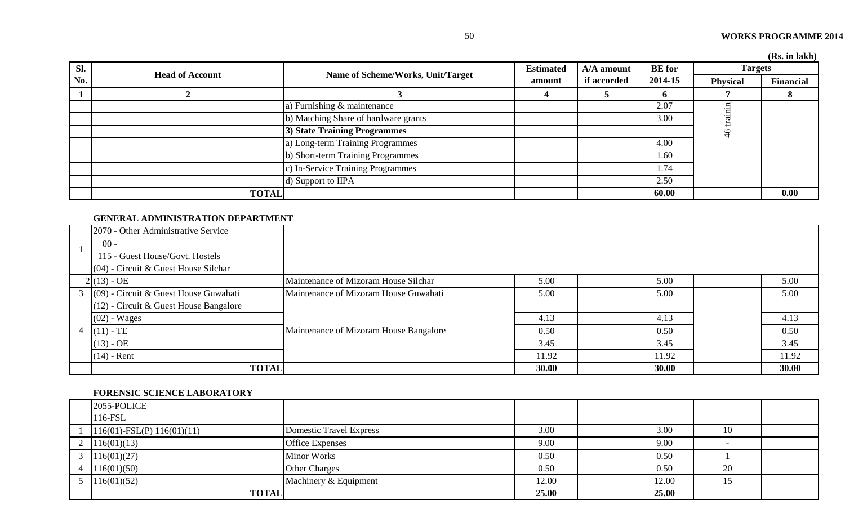|     |                        |                                      |                  |             |               |                 | (Rs. in lakh) |
|-----|------------------------|--------------------------------------|------------------|-------------|---------------|-----------------|---------------|
| SI. | <b>Head of Account</b> |                                      | <b>Estimated</b> | A/A amount  | <b>BE</b> for | <b>Targets</b>  |               |
| No. |                        | Name of Scheme/Works, Unit/Target    | amount           | if accorded | 2014-15       | <b>Physical</b> | Financial     |
|     |                        |                                      |                  |             | O.            |                 |               |
|     |                        | a) Furnishing & maintenance          |                  |             | 2.07          |                 |               |
|     |                        | b) Matching Share of hardware grants |                  |             | 3.00          |                 |               |
|     |                        | <b>3) State Training Programmes</b>  |                  |             |               | $\frac{4}{6}$   |               |
|     |                        | a) Long-term Training Programmes     |                  |             | 4.00          |                 |               |
|     |                        | b) Short-term Training Programmes    |                  |             | 1.60          |                 |               |
|     |                        | c) In-Service Training Programmes    |                  |             | 1.74          |                 |               |
|     |                        | d) Support to IIPA                   |                  |             | 2.50          |                 |               |
|     | <b>TOTAL</b>           |                                      |                  |             | 60.00         |                 | 0.00          |

#### **GENERAL ADMINISTRATION DEPARTMENT**

| 2070 - Other Administrative Service      |                                        |       |       |       |
|------------------------------------------|----------------------------------------|-------|-------|-------|
| $00 -$                                   |                                        |       |       |       |
| 115 - Guest House/Govt. Hostels          |                                        |       |       |       |
| $(04)$ - Circuit & Guest House Silchar   |                                        |       |       |       |
| $2(13) - OE$                             | Maintenance of Mizoram House Silchar   | 5.00  | 5.00  | 5.00  |
| $(09)$ - Circuit & Guest House Guwahati  | Maintenance of Mizoram House Guwahati  | 5.00  | 5.00  | 5.00  |
| $(12)$ - Circuit & Guest House Bangalore |                                        |       |       |       |
| $(02)$ - Wages                           |                                        | 4.13  | 4.13  | 4.13  |
| 4 $(11)$ - TE                            | Maintenance of Mizoram House Bangalore | 0.50  | 0.50  | 0.50  |
| $(13) - OE$                              |                                        | 3.45  | 3.45  | 3.45  |
| $(14)$ - Rent                            |                                        | 11.92 | 11.92 | 11.92 |
| <b>TOTAL</b>                             |                                        | 30.00 | 30.00 | 30.00 |

#### **FORENSIC SCIENCE LABORATORY**

| 2055-POLICE                     |                                |       |       |    |  |
|---------------------------------|--------------------------------|-------|-------|----|--|
| 116-FSL                         |                                |       |       |    |  |
| $116(01)$ -FSL(P) $116(01)(11)$ | <b>Domestic Travel Express</b> | 3.00  | 3.00  | 10 |  |
| 2 $116(01)(13)$                 | Office Expenses                | 9.00  | 9.00  |    |  |
| 116(01)(27)                     | <b>Minor Works</b>             | 0.50  | 0.50  |    |  |
| 4 $116(01)(50)$                 | <b>Other Charges</b>           | 0.50  | 0.50  | 20 |  |
| $5 \quad 116(01)(52)$           | Machinery & Equipment          | 12.00 | 12.00 | 15 |  |
| <b>TOTAL</b>                    |                                | 25.00 | 25.00 |    |  |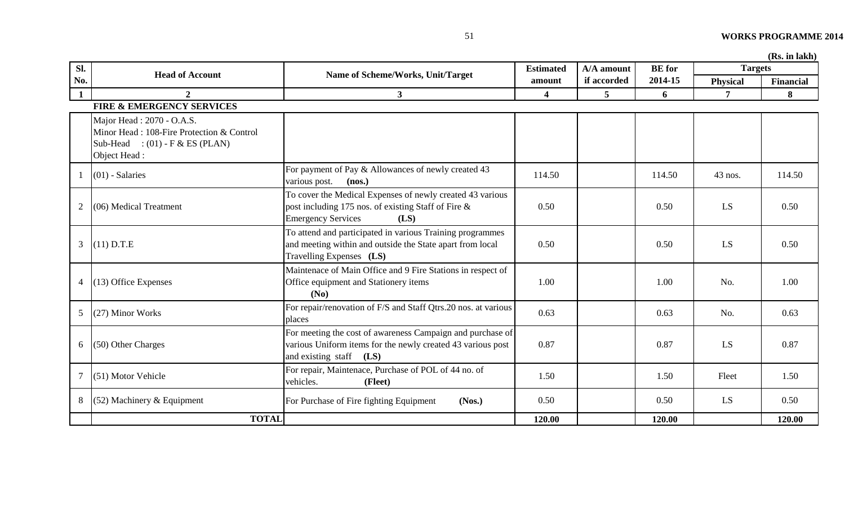|                | (Rs. in lakh)                                                                                                               |                                                                                                                                                         |                         |             |               |                 |                  |  |
|----------------|-----------------------------------------------------------------------------------------------------------------------------|---------------------------------------------------------------------------------------------------------------------------------------------------------|-------------------------|-------------|---------------|-----------------|------------------|--|
| Sl.            |                                                                                                                             |                                                                                                                                                         | <b>Estimated</b>        | A/A amount  | <b>BE</b> for | <b>Targets</b>  |                  |  |
| No.            | <b>Head of Account</b>                                                                                                      | Name of Scheme/Works, Unit/Target                                                                                                                       | amount                  | if accorded | 2014-15       | <b>Physical</b> | <b>Financial</b> |  |
| $\mathbf{1}$   | $\overline{2}$                                                                                                              | $\mathbf{3}$                                                                                                                                            | $\overline{\mathbf{4}}$ | 5           | 6             | 7               | 8                |  |
|                | <b>FIRE &amp; EMERGENCY SERVICES</b>                                                                                        |                                                                                                                                                         |                         |             |               |                 |                  |  |
|                | Major Head: 2070 - O.A.S.<br>Minor Head: 108-Fire Protection & Control<br>Sub-Head : $(01)$ - F & ES (PLAN)<br>Object Head: |                                                                                                                                                         |                         |             |               |                 |                  |  |
|                | $(01)$ - Salaries                                                                                                           | For payment of Pay & Allowances of newly created 43<br>various post.<br>(nos.)                                                                          | 114.50                  |             | 114.50        | $43$ nos.       | 114.50           |  |
|                | $(06)$ Medical Treatment                                                                                                    | To cover the Medical Expenses of newly created 43 various<br>post including 175 nos. of existing Staff of Fire &<br><b>Emergency Services</b><br>(LS)   | 0.50                    |             | 0.50          | LS              | 0.50             |  |
| $\mathfrak{Z}$ | $(11)$ D.T.E                                                                                                                | To attend and participated in various Training programmes<br>and meeting within and outside the State apart from local<br>Travelling Expenses (LS)      | 0.50                    |             | 0.50          | LS              | 0.50             |  |
| 4              | (13) Office Expenses                                                                                                        | Maintenace of Main Office and 9 Fire Stations in respect of<br>Office equipment and Stationery items<br>(N <sub>0</sub> )                               | 1.00                    |             | 1.00          | No.             | 1.00             |  |
| 5              | (27) Minor Works                                                                                                            | For repair/renovation of F/S and Staff Qtrs.20 nos. at various<br>places                                                                                | 0.63                    |             | 0.63          | No.             | 0.63             |  |
| 6              | (50) Other Charges                                                                                                          | For meeting the cost of awareness Campaign and purchase of<br>various Uniform items for the newly created 43 various post<br>and existing staff<br>(LS) | 0.87                    |             | 0.87          | LS              | 0.87             |  |
|                | (51) Motor Vehicle                                                                                                          | For repair, Maintenace, Purchase of POL of 44 no. of<br>vehicles.<br>(Fleet)                                                                            | 1.50                    |             | 1.50          | Fleet           | 1.50             |  |
| 8              | $(52)$ Machinery & Equipment                                                                                                | For Purchase of Fire fighting Equipment<br>(Nos.)                                                                                                       | 0.50                    |             | 0.50          | LS              | 0.50             |  |
|                | <b>TOTAL</b>                                                                                                                |                                                                                                                                                         | 120.00                  |             | 120.00        |                 | 120.00           |  |